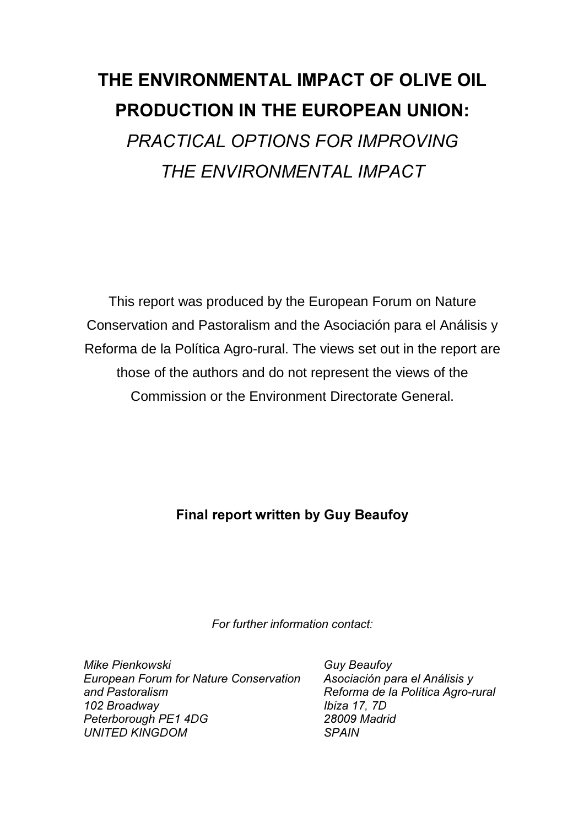# THE ENVIRONMENTAL IMPACT OF OLIVE OIL PRODUCTION IN THE EUROPEAN UNION:

**PRACTICAL OPTIONS FOR IMPROVING** *THE ENVIRONMENTAL IMPACT* 

This report was produced by the European Forum on Nature Conservation and Pastoralism and the Asociación para el Análisis y Reforma de la Política Agro-rural. The views set out in the report are those of the authors and do not represent the views of the Commission or the Environment Directorate General.

# Final report written by Guy Beaufoy

For further information contact:

*Mike Pienkowski* **European Forum for Nature Conservation** and Pastoralism 102 Broadwav Peterborough PE1 4DG *UNITED KINGDOM* 

*Guy Beaufoy* Asociación para el Análisis y **Reforma de la Política Agro-rural** *lbiza* 17, 7D 28009 Madrid  $SPAIN$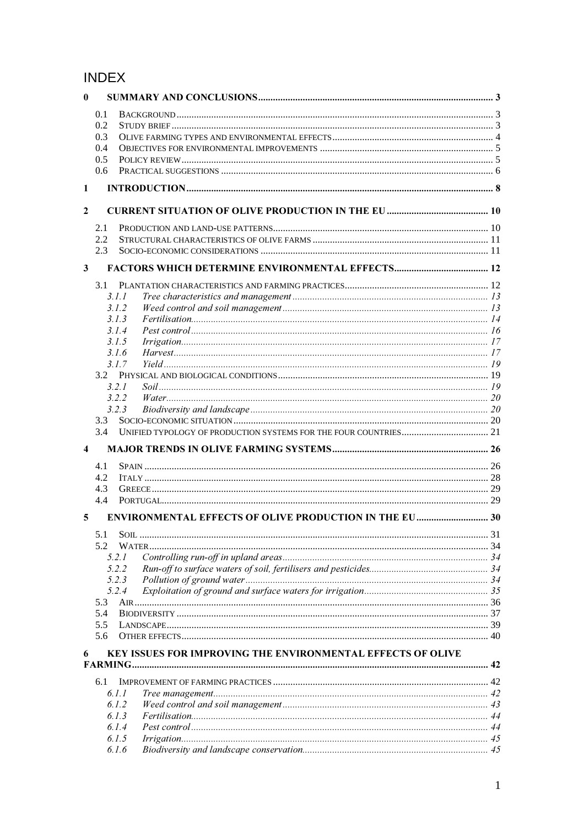# **INDEX**

| $\bf{0}$       |                                        |                                                               |  |
|----------------|----------------------------------------|---------------------------------------------------------------|--|
|                | 0.1<br>0.2<br>0.3<br>0.4<br>0.5<br>0.6 |                                                               |  |
| 1              |                                        |                                                               |  |
|                |                                        |                                                               |  |
| $\overline{2}$ |                                        |                                                               |  |
|                | 2.1                                    |                                                               |  |
|                | 2.2                                    |                                                               |  |
|                | 2.3                                    |                                                               |  |
| $\mathbf{3}$   |                                        |                                                               |  |
|                |                                        |                                                               |  |
|                | 3.1.1<br>3.1.2                         |                                                               |  |
|                | 3.1.3                                  |                                                               |  |
|                | 3.1.4                                  |                                                               |  |
|                | 3.1.5                                  |                                                               |  |
|                | 3.1.6                                  |                                                               |  |
|                | 3.1.7                                  |                                                               |  |
|                | 3.2                                    |                                                               |  |
|                | 3.2.1                                  |                                                               |  |
|                | 3.2.2                                  |                                                               |  |
|                | 3.2.3<br>$3.3^{\circ}$                 |                                                               |  |
|                | 3.4                                    |                                                               |  |
|                |                                        |                                                               |  |
| 4              |                                        |                                                               |  |
|                | 4.1                                    |                                                               |  |
|                | 4.2                                    |                                                               |  |
|                | 4.3<br>4.4                             |                                                               |  |
|                |                                        |                                                               |  |
| 5              |                                        | <b>ENVIRONMENTAL EFFECTS OF OLIVE PRODUCTION IN THE EU 30</b> |  |
|                | 5.1                                    |                                                               |  |
|                | 5.2                                    |                                                               |  |
|                | 5.2.1                                  |                                                               |  |
|                | 5.2.2                                  |                                                               |  |
|                | 5.2.3                                  |                                                               |  |
|                | 5.2.4<br>5.3                           |                                                               |  |
|                | 5.4                                    |                                                               |  |
|                | 5.5                                    |                                                               |  |
|                | 5.6                                    |                                                               |  |
| 6              |                                        | KEY ISSUES FOR IMPROVING THE ENVIRONMENTAL EFFECTS OF OLIVE   |  |
|                |                                        |                                                               |  |
|                |                                        |                                                               |  |
|                | 6.1                                    |                                                               |  |
|                | 6.1.1                                  |                                                               |  |
|                | 6.1.2                                  |                                                               |  |
|                | 6.1.3                                  |                                                               |  |
|                | 6.1.4                                  |                                                               |  |
|                | 6.1.5<br>6.1.6                         |                                                               |  |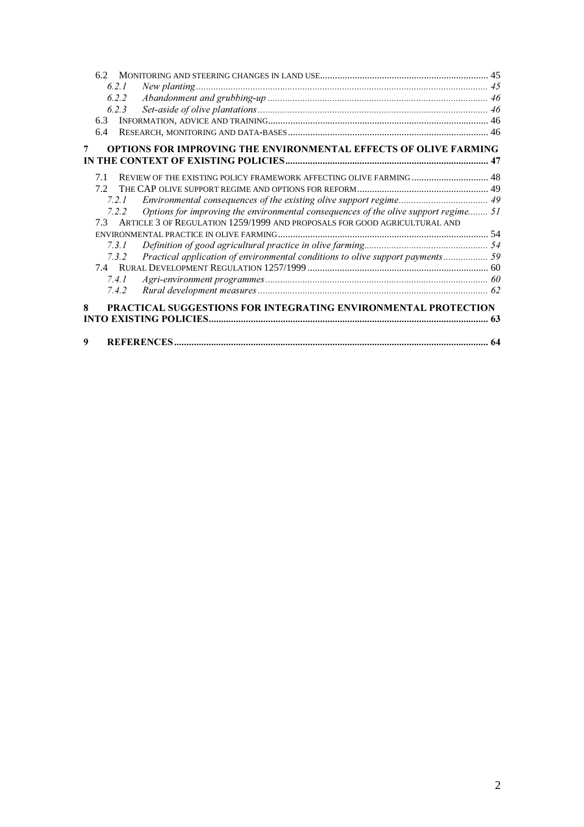| 6.2.1                                                                                        |  |
|----------------------------------------------------------------------------------------------|--|
| 6.2.2                                                                                        |  |
| 6.2.3                                                                                        |  |
| 6.3                                                                                          |  |
| 6.4                                                                                          |  |
| OPTIONS FOR IMPROVING THE ENVIRONMENTAL EFFECTS OF OLIVE FARMING<br>7                        |  |
|                                                                                              |  |
| REVIEW OF THE EXISTING POLICY FRAMEWORK AFFECTING OLIVE FARMING  48<br>71                    |  |
| 72                                                                                           |  |
| 7.2.1                                                                                        |  |
| Options for improving the environmental consequences of the olive support regime 51<br>7.2.2 |  |
| ARTICLE 3 OF REGULATION 1259/1999 AND PROPOSALS FOR GOOD AGRICULTURAL AND<br>73              |  |
|                                                                                              |  |
| 731                                                                                          |  |
| Practical application of environmental conditions to olive support payments 59<br>7.3.2      |  |
|                                                                                              |  |
| 7.4.1                                                                                        |  |
| 7.4.2                                                                                        |  |
| PRACTICAL SUGGESTIONS FOR INTEGRATING ENVIRONMENTAL PROTECTION<br>8                          |  |
|                                                                                              |  |
|                                                                                              |  |
| 9                                                                                            |  |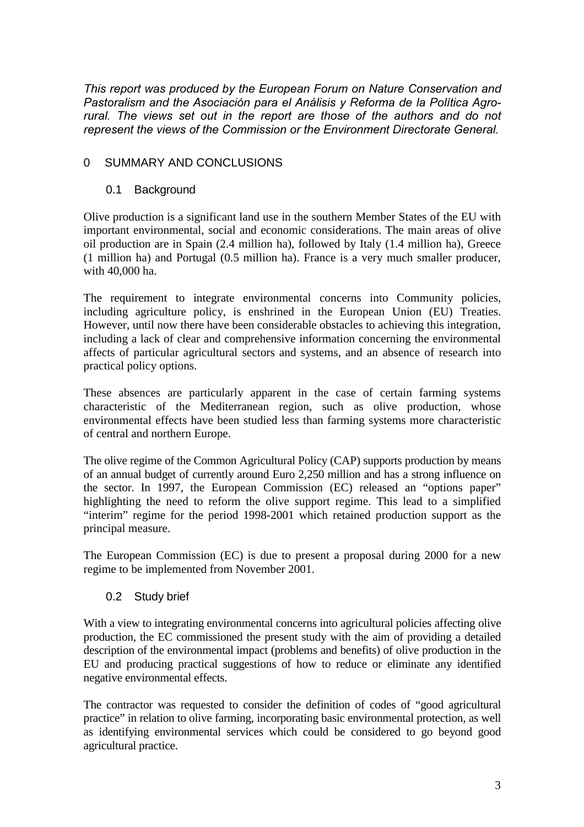*This report was produced by the European Forum on Nature Conservation and* Pastoralism and the Asociación para el Análisis y Reforma de la Política Agro*rural. The views set out in the report are those of the authors and do not Tepresent the views of the Commission or the Environment Directorate General.* 

# 0 SUMMARY AND CONCLUSIONS

#### 0.1 Background

Olive production is a significant land use in the southern Member States of the EU with important environmental, social and economic considerations. The main areas of olive oil production are in Spain (2.4 million ha), followed by Italy (1.4 million ha), Greece (1 million ha) and Portugal (0.5 million ha). France is a very much smaller producer, with 40,000 ha.

The requirement to integrate environmental concerns into Community policies, including agriculture policy, is enshrined in the European Union (EU) Treaties. However, until now there have been considerable obstacles to achieving this integration, including a lack of clear and comprehensive information concerning the environmental affects of particular agricultural sectors and systems, and an absence of research into practical policy options.

These absences are particularly apparent in the case of certain farming systems characteristic of the Mediterranean region, such as olive production, whose environmental effects have been studied less than farming systems more characteristic of central and northern Europe.

The olive regime of the Common Agricultural Policy (CAP) supports production by means of an annual budget of currently around Euro 2,250 million and has a strong influence on the sector. In 1997, the European Commission (EC) released an "options paper" highlighting the need to reform the olive support regime. This lead to a simplified "interim" regime for the period 1998-2001 which retained production support as the principal measure.

The European Commission (EC) is due to present a proposal during 2000 for a new regime to be implemented from November 2001.

#### 0.2 Study brief

With a view to integrating environmental concerns into agricultural policies affecting olive production, the EC commissioned the present study with the aim of providing a detailed description of the environmental impact (problems and benefits) of olive production in the EU and producing practical suggestions of how to reduce or eliminate any identified negative environmental effects.

The contractor was requested to consider the definition of codes of "good agricultural practice" in relation to olive farming, incorporating basic environmental protection, as well as identifying environmental services which could be considered to go beyond good agricultural practice.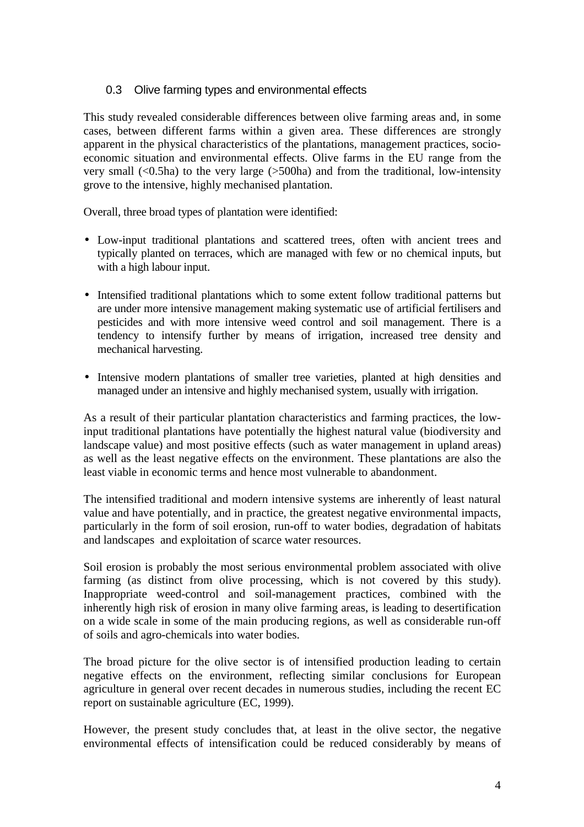### 0.3 Olive farming types and environmental effects

This study revealed considerable differences between olive farming areas and, in some cases, between different farms within a given area. These differences are strongly apparent in the physical characteristics of the plantations, management practices, socioeconomic situation and environmental effects. Olive farms in the EU range from the very small  $(<0.5ha$ ) to the very large  $(>500ha)$  and from the traditional, low-intensity grove to the intensive, highly mechanised plantation.

Overall, three broad types of plantation were identified:

- Low-input traditional plantations and scattered trees, often with ancient trees and typically planted on terraces, which are managed with few or no chemical inputs, but with a high labour input.
- Intensified traditional plantations which to some extent follow traditional patterns but are under more intensive management making systematic use of artificial fertilisers and pesticides and with more intensive weed control and soil management. There is a tendency to intensify further by means of irrigation, increased tree density and mechanical harvesting.
- Intensive modern plantations of smaller tree varieties, planted at high densities and managed under an intensive and highly mechanised system, usually with irrigation.

As a result of their particular plantation characteristics and farming practices, the lowinput traditional plantations have potentially the highest natural value (biodiversity and landscape value) and most positive effects (such as water management in upland areas) as well as the least negative effects on the environment. These plantations are also the least viable in economic terms and hence most vulnerable to abandonment.

The intensified traditional and modern intensive systems are inherently of least natural value and have potentially, and in practice, the greatest negative environmental impacts, particularly in the form of soil erosion, run-off to water bodies, degradation of habitats and landscapes and exploitation of scarce water resources.

Soil erosion is probably the most serious environmental problem associated with olive farming (as distinct from olive processing, which is not covered by this study). Inappropriate weed-control and soil-management practices, combined with the inherently high risk of erosion in many olive farming areas, is leading to desertification on a wide scale in some of the main producing regions, as well as considerable run-off of soils and agro-chemicals into water bodies.

The broad picture for the olive sector is of intensified production leading to certain negative effects on the environment, reflecting similar conclusions for European agriculture in general over recent decades in numerous studies, including the recent EC report on sustainable agriculture (EC, 1999).

However, the present study concludes that, at least in the olive sector, the negative environmental effects of intensification could be reduced considerably by means of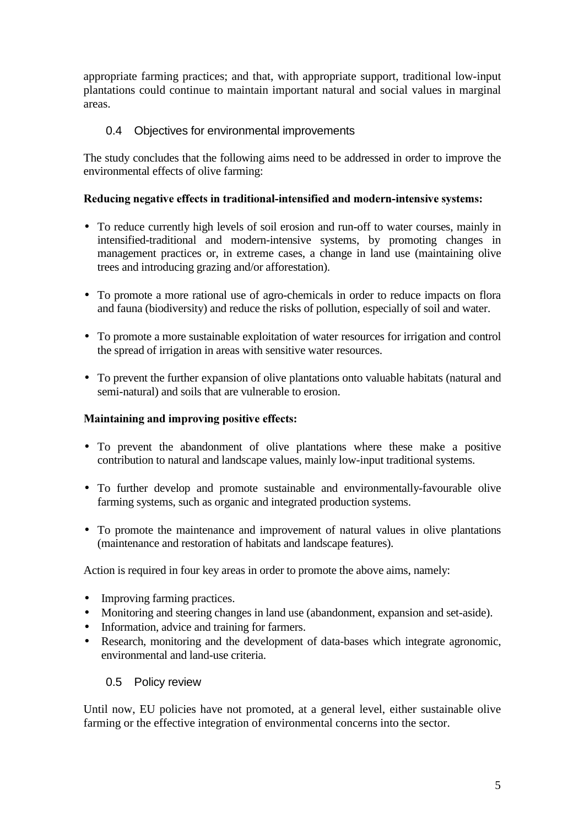appropriate farming practices; and that, with appropriate support, traditional low-input plantations could continue to maintain important natural and social values in marginal areas.

# 0.4 Objectives for environmental improvements

The study concludes that the following aims need to be addressed in order to improve the environmental effects of olive farming:

#### Reducing negative effects in traditional-intensified and modern-intensive systems:

- To reduce currently high levels of soil erosion and run-off to water courses, mainly in intensified-traditional and modern-intensive systems, by promoting changes in management practices or, in extreme cases, a change in land use (maintaining olive trees and introducing grazing and/or afforestation).
- To promote a more rational use of agro-chemicals in order to reduce impacts on flora and fauna (biodiversity) and reduce the risks of pollution, especially of soil and water.
- To promote a more sustainable exploitation of water resources for irrigation and control the spread of irrigation in areas with sensitive water resources.
- To prevent the further expansion of olive plantations onto valuable habitats (natural and semi-natural) and soils that are vulnerable to erosion.

#### Maintaining and improving positive effects:

- To prevent the abandonment of olive plantations where these make a positive contribution to natural and landscape values, mainly low-input traditional systems.
- To further develop and promote sustainable and environmentally-favourable olive farming systems, such as organic and integrated production systems.
- To promote the maintenance and improvement of natural values in olive plantations (maintenance and restoration of habitats and landscape features).

Action is required in four key areas in order to promote the above aims, namely:

- Improving farming practices.
- Monitoring and steering changes in land use (abandonment, expansion and set-aside).
- Information, advice and training for farmers.
- Research, monitoring and the development of data-bases which integrate agronomic, environmental and land-use criteria.

#### 0.5 Policy review

Until now, EU policies have not promoted, at a general level, either sustainable olive farming or the effective integration of environmental concerns into the sector.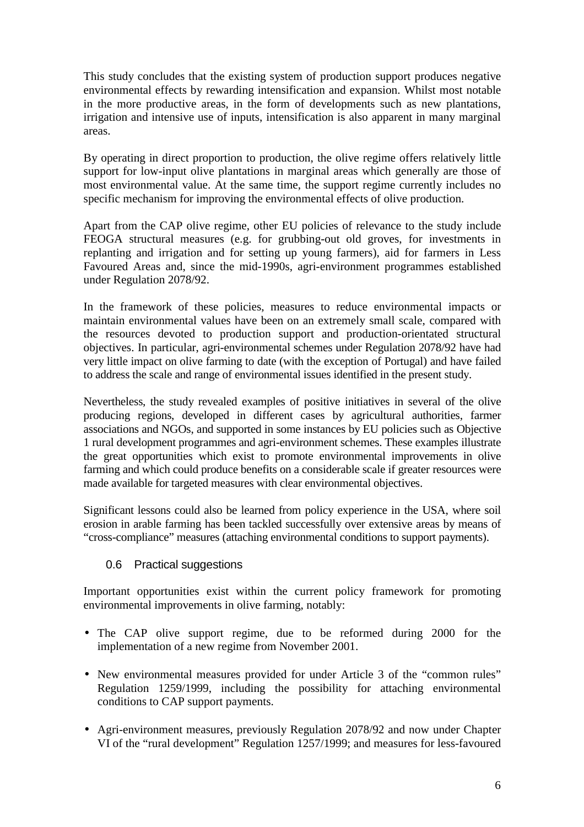This study concludes that the existing system of production support produces negative environmental effects by rewarding intensification and expansion. Whilst most notable in the more productive areas, in the form of developments such as new plantations, irrigation and intensive use of inputs, intensification is also apparent in many marginal areas.

By operating in direct proportion to production, the olive regime offers relatively little support for low-input olive plantations in marginal areas which generally are those of most environmental value. At the same time, the support regime currently includes no specific mechanism for improving the environmental effects of olive production.

Apart from the CAP olive regime, other EU policies of relevance to the study include FEOGA structural measures (e.g. for grubbing-out old groves, for investments in replanting and irrigation and for setting up young farmers), aid for farmers in Less Favoured Areas and, since the mid-1990s, agri-environment programmes established under Regulation 2078/92.

In the framework of these policies, measures to reduce environmental impacts or maintain environmental values have been on an extremely small scale, compared with the resources devoted to production support and production-orientated structural objectives. In particular, agri-environmental schemes under Regulation 2078/92 have had very little impact on olive farming to date (with the exception of Portugal) and have failed to address the scale and range of environmental issues identified in the present study.

Nevertheless, the study revealed examples of positive initiatives in several of the olive producing regions, developed in different cases by agricultural authorities, farmer associations and NGOs, and supported in some instances by EU policies such as Objective 1 rural development programmes and agri-environment schemes. These examples illustrate the great opportunities which exist to promote environmental improvements in olive farming and which could produce benefits on a considerable scale if greater resources were made available for targeted measures with clear environmental objectives.

Significant lessons could also be learned from policy experience in the USA, where soil erosion in arable farming has been tackled successfully over extensive areas by means of "cross-compliance" measures (attaching environmental conditions to support payments).

# 0.6 Practical suggestions

Important opportunities exist within the current policy framework for promoting environmental improvements in olive farming, notably:

- The CAP olive support regime, due to be reformed during 2000 for the implementation of a new regime from November 2001.
- New environmental measures provided for under Article 3 of the "common rules" Regulation 1259/1999, including the possibility for attaching environmental conditions to CAP support payments.
- Agri-environment measures, previously Regulation 2078/92 and now under Chapter VI of the "rural development" Regulation 1257/1999; and measures for less-favoured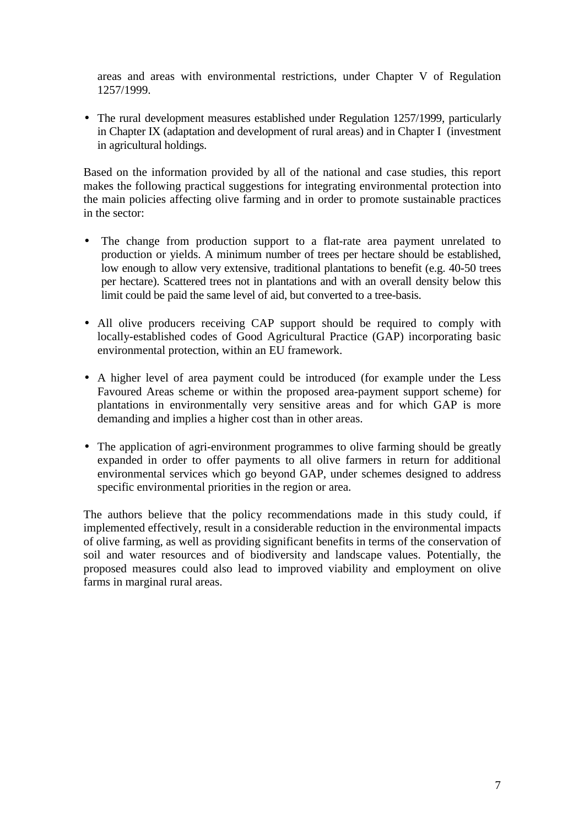areas and areas with environmental restrictions, under Chapter V of Regulation 1257/1999.

• The rural development measures established under Regulation 1257/1999, particularly in Chapter IX (adaptation and development of rural areas) and in Chapter I (investment in agricultural holdings.

Based on the information provided by all of the national and case studies, this report makes the following practical suggestions for integrating environmental protection into the main policies affecting olive farming and in order to promote sustainable practices in the sector:

- The change from production support to a flat-rate area payment unrelated to production or yields. A minimum number of trees per hectare should be established, low enough to allow very extensive, traditional plantations to benefit (e.g. 40-50 trees per hectare). Scattered trees not in plantations and with an overall density below this limit could be paid the same level of aid, but converted to a tree-basis.
- All olive producers receiving CAP support should be required to comply with locally-established codes of Good Agricultural Practice (GAP) incorporating basic environmental protection, within an EU framework.
- A higher level of area payment could be introduced (for example under the Less Favoured Areas scheme or within the proposed area-payment support scheme) for plantations in environmentally very sensitive areas and for which GAP is more demanding and implies a higher cost than in other areas.
- The application of agri-environment programmes to olive farming should be greatly expanded in order to offer payments to all olive farmers in return for additional environmental services which go beyond GAP, under schemes designed to address specific environmental priorities in the region or area.

The authors believe that the policy recommendations made in this study could, if implemented effectively, result in a considerable reduction in the environmental impacts of olive farming, as well as providing significant benefits in terms of the conservation of soil and water resources and of biodiversity and landscape values. Potentially, the proposed measures could also lead to improved viability and employment on olive farms in marginal rural areas.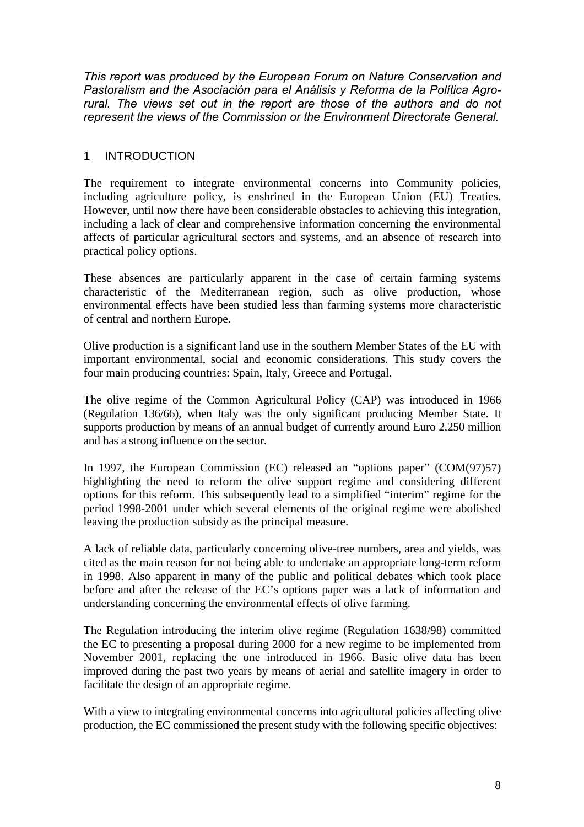*This report was produced by the European Forum on Nature Conservation and* Pastoralism and the Asociación para el Análisis y Reforma de la Política Agrorural. The views set out in the report are those of the authors and do not *Tepresent the views of the Commission or the Environment Directorate General.* 

#### 1 INTRODUCTION

The requirement to integrate environmental concerns into Community policies, including agriculture policy, is enshrined in the European Union (EU) Treaties. However, until now there have been considerable obstacles to achieving this integration, including a lack of clear and comprehensive information concerning the environmental affects of particular agricultural sectors and systems, and an absence of research into practical policy options.

These absences are particularly apparent in the case of certain farming systems characteristic of the Mediterranean region, such as olive production, whose environmental effects have been studied less than farming systems more characteristic of central and northern Europe.

Olive production is a significant land use in the southern Member States of the EU with important environmental, social and economic considerations. This study covers the four main producing countries: Spain, Italy, Greece and Portugal.

The olive regime of the Common Agricultural Policy (CAP) was introduced in 1966 (Regulation 136/66), when Italy was the only significant producing Member State. It supports production by means of an annual budget of currently around Euro 2,250 million and has a strong influence on the sector.

In 1997, the European Commission (EC) released an "options paper" (COM(97)57) highlighting the need to reform the olive support regime and considering different options for this reform. This subsequently lead to a simplified "interim" regime for the period 1998-2001 under which several elements of the original regime were abolished leaving the production subsidy as the principal measure.

A lack of reliable data, particularly concerning olive-tree numbers, area and yields, was cited as the main reason for not being able to undertake an appropriate long-term reform in 1998. Also apparent in many of the public and political debates which took place before and after the release of the EC's options paper was a lack of information and understanding concerning the environmental effects of olive farming.

The Regulation introducing the interim olive regime (Regulation 1638/98) committed the EC to presenting a proposal during 2000 for a new regime to be implemented from November 2001, replacing the one introduced in 1966. Basic olive data has been improved during the past two years by means of aerial and satellite imagery in order to facilitate the design of an appropriate regime.

With a view to integrating environmental concerns into agricultural policies affecting olive production, the EC commissioned the present study with the following specific objectives: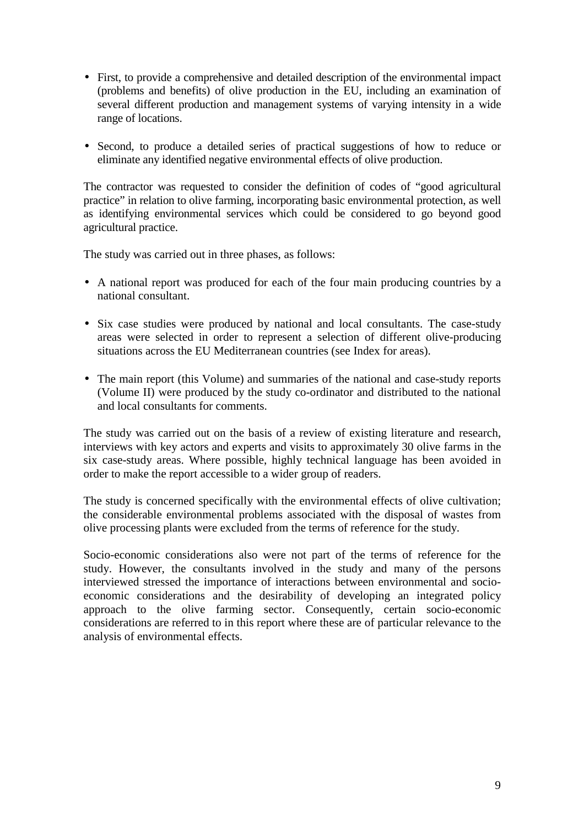- First, to provide a comprehensive and detailed description of the environmental impact (problems and benefits) of olive production in the EU, including an examination of several different production and management systems of varying intensity in a wide range of locations.
- Second, to produce a detailed series of practical suggestions of how to reduce or eliminate any identified negative environmental effects of olive production.

The contractor was requested to consider the definition of codes of "good agricultural practice" in relation to olive farming, incorporating basic environmental protection, as well as identifying environmental services which could be considered to go beyond good agricultural practice.

The study was carried out in three phases, as follows:

- A national report was produced for each of the four main producing countries by a national consultant.
- Six case studies were produced by national and local consultants. The case-study areas were selected in order to represent a selection of different olive-producing situations across the EU Mediterranean countries (see Index for areas).
- The main report (this Volume) and summaries of the national and case-study reports (Volume II) were produced by the study co-ordinator and distributed to the national and local consultants for comments.

The study was carried out on the basis of a review of existing literature and research, interviews with key actors and experts and visits to approximately 30 olive farms in the six case-study areas. Where possible, highly technical language has been avoided in order to make the report accessible to a wider group of readers.

The study is concerned specifically with the environmental effects of olive cultivation; the considerable environmental problems associated with the disposal of wastes from olive processing plants were excluded from the terms of reference for the study.

Socio-economic considerations also were not part of the terms of reference for the study. However, the consultants involved in the study and many of the persons interviewed stressed the importance of interactions between environmental and socioeconomic considerations and the desirability of developing an integrated policy approach to the olive farming sector. Consequently, certain socio-economic considerations are referred to in this report where these are of particular relevance to the analysis of environmental effects.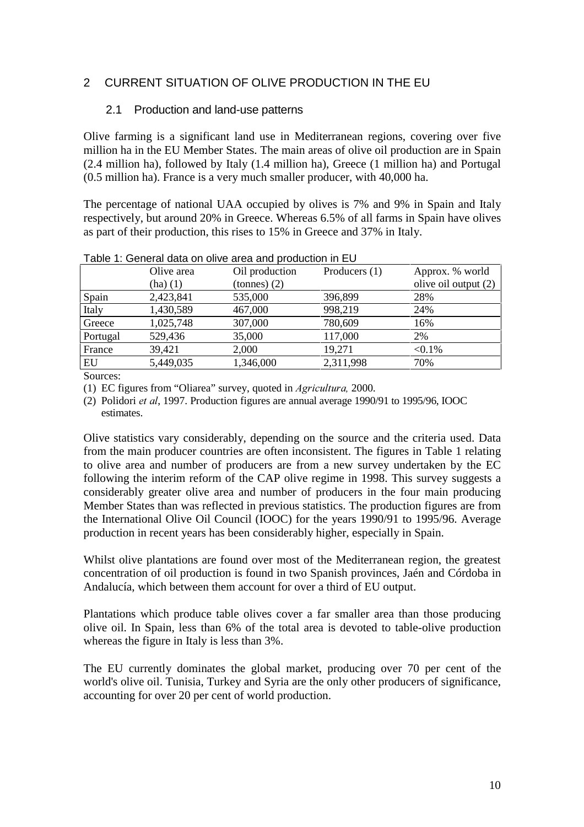# 2 CURRENT SITUATION OF OLIVE PRODUCTION IN THE EU

### 2.1 Production and land-use patterns

Olive farming is a significant land use in Mediterranean regions, covering over five million ha in the EU Member States. The main areas of olive oil production are in Spain (2.4 million ha), followed by Italy (1.4 million ha), Greece (1 million ha) and Portugal (0.5 million ha). France is a very much smaller producer, with 40,000 ha.

The percentage of national UAA occupied by olives is 7% and 9% in Spain and Italy respectively, but around 20% in Greece. Whereas 6.5% of all farms in Spain have olives as part of their production, this rises to 15% in Greece and 37% in Italy.

|          | Olive area   | Oil production | Producers $(1)$ | Approx. % world      |
|----------|--------------|----------------|-----------------|----------------------|
|          | $(ha)$ $(1)$ | tonnes(2)      |                 | olive oil output (2) |
| Spain    | 2,423,841    | 535,000        | 396,899         | 28%                  |
| Italy    | 1,430,589    | 467,000        | 998,219         | 24%                  |
| Greece   | 1,025,748    | 307,000        | 780,609         | 16%                  |
| Portugal | 529,436      | 35,000         | 117,000         | 2%                   |
| France   | 39,421       | 2,000          | 19,271          | $< 0.1\%$            |
| EU       | 5,449,035    | 1,346,000      | 2,311,998       | 70%                  |

| Table 1: General data on olive area and production in EU |  |
|----------------------------------------------------------|--|
|                                                          |  |

Sources:

(1) EC figures from "Oliarea" survey, quoted in *Agricultura*, 2000.

(2) Polidori *et al*, 1997. Production figures are annual average 1990/91 to 1995/96, IOOC estimates.

Olive statistics vary considerably, depending on the source and the criteria used. Data from the main producer countries are often inconsistent. The figures in Table 1 relating to olive area and number of producers are from a new survey undertaken by the EC following the interim reform of the CAP olive regime in 1998. This survey suggests a considerably greater olive area and number of producers in the four main producing Member States than was reflected in previous statistics. The production figures are from the International Olive Oil Council (IOOC) for the years 1990/91 to 1995/96. Average production in recent years has been considerably higher, especially in Spain.

Whilst olive plantations are found over most of the Mediterranean region, the greatest concentration of oil production is found in two Spanish provinces, Jaén and Córdoba in Andalucía, which between them account for over a third of EU output.

Plantations which produce table olives cover a far smaller area than those producing olive oil. In Spain, less than 6% of the total area is devoted to table-olive production whereas the figure in Italy is less than 3%.

The EU currently dominates the global market, producing over 70 per cent of the world's olive oil. Tunisia, Turkey and Syria are the only other producers of significance, accounting for over 20 per cent of world production.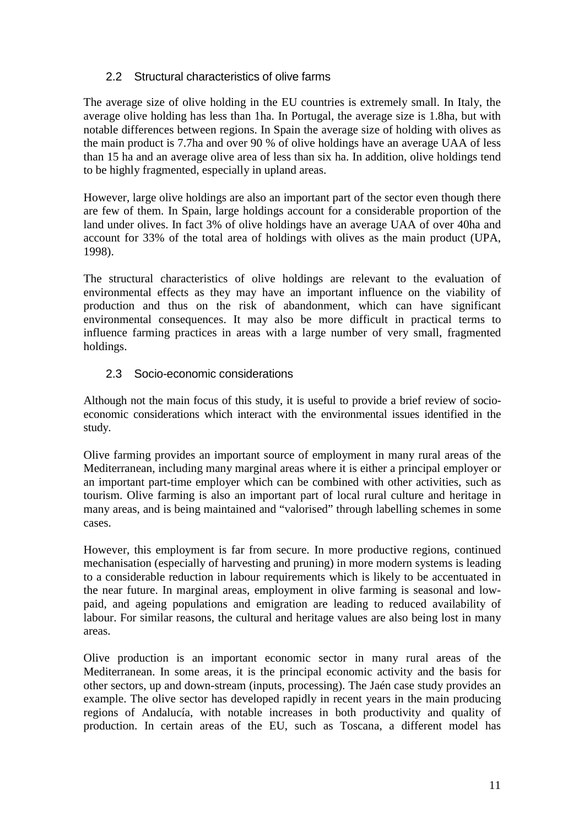# 2.2 Structural characteristics of olive farms

The average size of olive holding in the EU countries is extremely small. In Italy, the average olive holding has less than 1ha. In Portugal, the average size is 1.8ha, but with notable differences between regions. In Spain the average size of holding with olives as the main product is 7.7ha and over 90 % of olive holdings have an average UAA of less than 15 ha and an average olive area of less than six ha. In addition, olive holdings tend to be highly fragmented, especially in upland areas.

However, large olive holdings are also an important part of the sector even though there are few of them. In Spain, large holdings account for a considerable proportion of the land under olives. In fact 3% of olive holdings have an average UAA of over 40ha and account for 33% of the total area of holdings with olives as the main product (UPA, 1998).

The structural characteristics of olive holdings are relevant to the evaluation of environmental effects as they may have an important influence on the viability of production and thus on the risk of abandonment, which can have significant environmental consequences. It may also be more difficult in practical terms to influence farming practices in areas with a large number of very small, fragmented holdings.

# 2.3 Socio-economic considerations

Although not the main focus of this study, it is useful to provide a brief review of socioeconomic considerations which interact with the environmental issues identified in the study.

Olive farming provides an important source of employment in many rural areas of the Mediterranean, including many marginal areas where it is either a principal employer or an important part-time employer which can be combined with other activities, such as tourism. Olive farming is also an important part of local rural culture and heritage in many areas, and is being maintained and "valorised" through labelling schemes in some cases.

However, this employment is far from secure. In more productive regions, continued mechanisation (especially of harvesting and pruning) in more modern systems is leading to a considerable reduction in labour requirements which is likely to be accentuated in the near future. In marginal areas, employment in olive farming is seasonal and lowpaid, and ageing populations and emigration are leading to reduced availability of labour. For similar reasons, the cultural and heritage values are also being lost in many areas.

Olive production is an important economic sector in many rural areas of the Mediterranean. In some areas, it is the principal economic activity and the basis for other sectors, up and down-stream (inputs, processing). The Jaén case study provides an example. The olive sector has developed rapidly in recent years in the main producing regions of Andalucía, with notable increases in both productivity and quality of production. In certain areas of the EU, such as Toscana, a different model has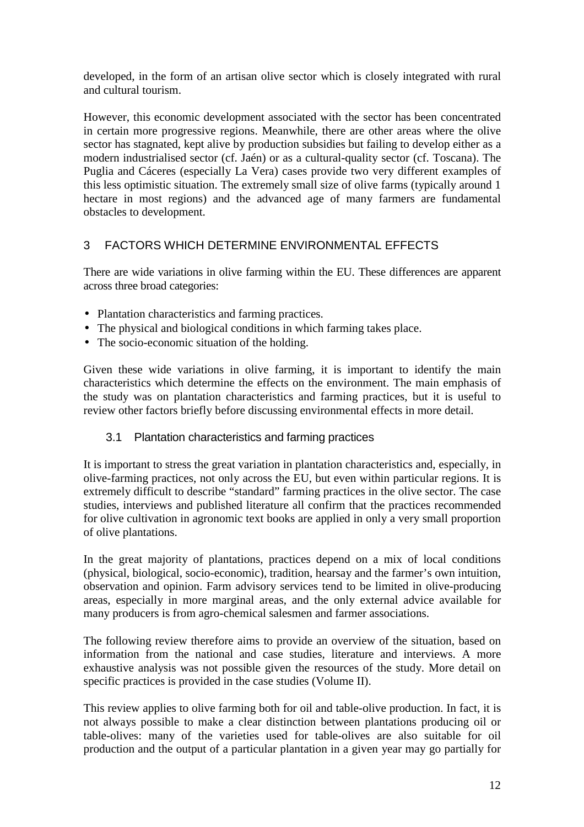developed, in the form of an artisan olive sector which is closely integrated with rural and cultural tourism.

However, this economic development associated with the sector has been concentrated in certain more progressive regions. Meanwhile, there are other areas where the olive sector has stagnated, kept alive by production subsidies but failing to develop either as a modern industrialised sector (cf. Jaén) or as a cultural-quality sector (cf. Toscana). The Puglia and Cáceres (especially La Vera) cases provide two very different examples of this less optimistic situation. The extremely small size of olive farms (typically around 1 hectare in most regions) and the advanced age of many farmers are fundamental obstacles to development.

# 3 FACTORS WHICH DETERMINE ENVIRONMENTAL EFFECTS

There are wide variations in olive farming within the EU. These differences are apparent across three broad categories:

- Plantation characteristics and farming practices.
- The physical and biological conditions in which farming takes place.
- The socio-economic situation of the holding.

Given these wide variations in olive farming, it is important to identify the main characteristics which determine the effects on the environment. The main emphasis of the study was on plantation characteristics and farming practices, but it is useful to review other factors briefly before discussing environmental effects in more detail.

#### 3.1 Plantation characteristics and farming practices

It is important to stress the great variation in plantation characteristics and, especially, in olive-farming practices, not only across the EU, but even within particular regions. It is extremely difficult to describe "standard" farming practices in the olive sector. The case studies, interviews and published literature all confirm that the practices recommended for olive cultivation in agronomic text books are applied in only a very small proportion of olive plantations.

In the great majority of plantations, practices depend on a mix of local conditions (physical, biological, socio-economic), tradition, hearsay and the farmer's own intuition, observation and opinion. Farm advisory services tend to be limited in olive-producing areas, especially in more marginal areas, and the only external advice available for many producers is from agro-chemical salesmen and farmer associations.

The following review therefore aims to provide an overview of the situation, based on information from the national and case studies, literature and interviews. A more exhaustive analysis was not possible given the resources of the study. More detail on specific practices is provided in the case studies (Volume II).

This review applies to olive farming both for oil and table-olive production. In fact, it is not always possible to make a clear distinction between plantations producing oil or table-olives: many of the varieties used for table-olives are also suitable for oil production and the output of a particular plantation in a given year may go partially for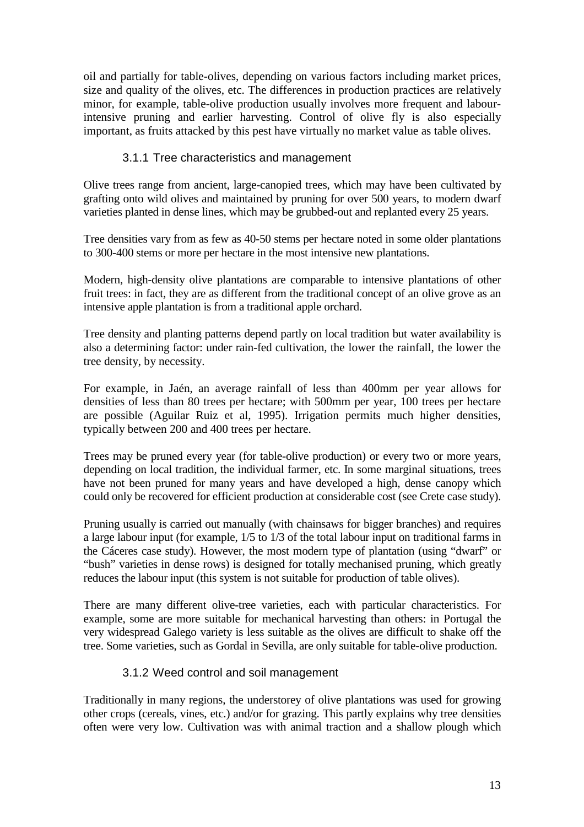oil and partially for table-olives, depending on various factors including market prices, size and quality of the olives, etc. The differences in production practices are relatively minor, for example, table-olive production usually involves more frequent and labourintensive pruning and earlier harvesting. Control of olive fly is also especially important, as fruits attacked by this pest have virtually no market value as table olives.

# 3.1.1 Tree characteristics and management

Olive trees range from ancient, large-canopied trees, which may have been cultivated by grafting onto wild olives and maintained by pruning for over 500 years, to modern dwarf varieties planted in dense lines, which may be grubbed-out and replanted every 25 years.

Tree densities vary from as few as 40-50 stems per hectare noted in some older plantations to 300-400 stems or more per hectare in the most intensive new plantations.

Modern, high-density olive plantations are comparable to intensive plantations of other fruit trees: in fact, they are as different from the traditional concept of an olive grove as an intensive apple plantation is from a traditional apple orchard.

Tree density and planting patterns depend partly on local tradition but water availability is also a determining factor: under rain-fed cultivation, the lower the rainfall, the lower the tree density, by necessity.

For example, in Jaén, an average rainfall of less than 400mm per year allows for densities of less than 80 trees per hectare; with 500mm per year, 100 trees per hectare are possible (Aguilar Ruiz et al, 1995). Irrigation permits much higher densities, typically between 200 and 400 trees per hectare.

Trees may be pruned every year (for table-olive production) or every two or more years, depending on local tradition, the individual farmer, etc. In some marginal situations, trees have not been pruned for many years and have developed a high, dense canopy which could only be recovered for efficient production at considerable cost (see Crete case study).

Pruning usually is carried out manually (with chainsaws for bigger branches) and requires a large labour input (for example, 1/5 to 1/3 of the total labour input on traditional farms in the Cáceres case study). However, the most modern type of plantation (using "dwarf" or "bush" varieties in dense rows) is designed for totally mechanised pruning, which greatly reduces the labour input (this system is not suitable for production of table olives).

There are many different olive-tree varieties, each with particular characteristics. For example, some are more suitable for mechanical harvesting than others: in Portugal the very widespread Galego variety is less suitable as the olives are difficult to shake off the tree. Some varieties, such as Gordal in Sevilla, are only suitable for table-olive production.

#### 3.1.2 Weed control and soil management

Traditionally in many regions, the understorey of olive plantations was used for growing other crops (cereals, vines, etc.) and/or for grazing. This partly explains why tree densities often were very low. Cultivation was with animal traction and a shallow plough which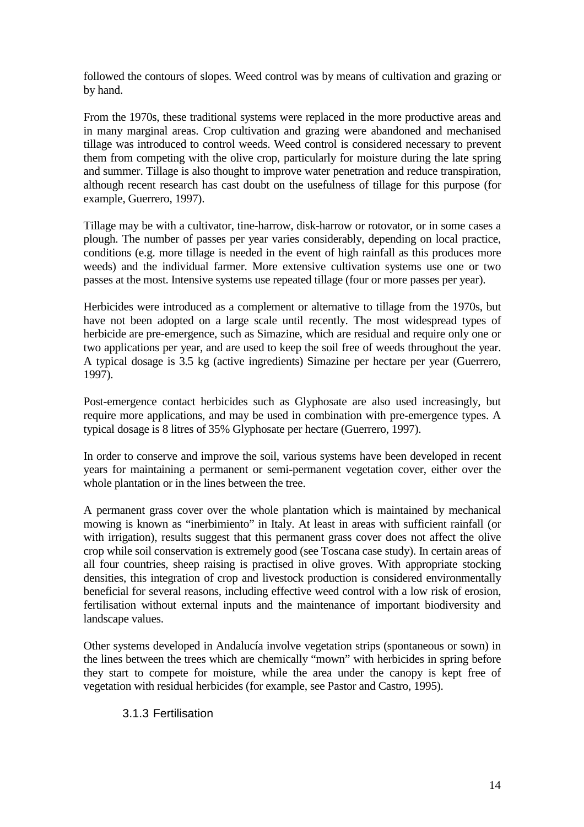followed the contours of slopes. Weed control was by means of cultivation and grazing or by hand.

From the 1970s, these traditional systems were replaced in the more productive areas and in many marginal areas. Crop cultivation and grazing were abandoned and mechanised tillage was introduced to control weeds. Weed control is considered necessary to prevent them from competing with the olive crop, particularly for moisture during the late spring and summer. Tillage is also thought to improve water penetration and reduce transpiration, although recent research has cast doubt on the usefulness of tillage for this purpose (for example, Guerrero, 1997).

Tillage may be with a cultivator, tine-harrow, disk-harrow or rotovator, or in some cases a plough. The number of passes per year varies considerably, depending on local practice, conditions (e.g. more tillage is needed in the event of high rainfall as this produces more weeds) and the individual farmer. More extensive cultivation systems use one or two passes at the most. Intensive systems use repeated tillage (four or more passes per year).

Herbicides were introduced as a complement or alternative to tillage from the 1970s, but have not been adopted on a large scale until recently. The most widespread types of herbicide are pre-emergence, such as Simazine, which are residual and require only one or two applications per year, and are used to keep the soil free of weeds throughout the year. A typical dosage is 3.5 kg (active ingredients) Simazine per hectare per year (Guerrero, 1997).

Post-emergence contact herbicides such as Glyphosate are also used increasingly, but require more applications, and may be used in combination with pre-emergence types. A typical dosage is 8 litres of 35% Glyphosate per hectare (Guerrero, 1997).

In order to conserve and improve the soil, various systems have been developed in recent years for maintaining a permanent or semi-permanent vegetation cover, either over the whole plantation or in the lines between the tree.

A permanent grass cover over the whole plantation which is maintained by mechanical mowing is known as "inerbimiento" in Italy. At least in areas with sufficient rainfall (or with irrigation), results suggest that this permanent grass cover does not affect the olive crop while soil conservation is extremely good (see Toscana case study). In certain areas of all four countries, sheep raising is practised in olive groves. With appropriate stocking densities, this integration of crop and livestock production is considered environmentally beneficial for several reasons, including effective weed control with a low risk of erosion, fertilisation without external inputs and the maintenance of important biodiversity and landscape values.

Other systems developed in Andalucía involve vegetation strips (spontaneous or sown) in the lines between the trees which are chemically "mown" with herbicides in spring before they start to compete for moisture, while the area under the canopy is kept free of vegetation with residual herbicides (for example, see Pastor and Castro, 1995).

3.1.3 Fertilisation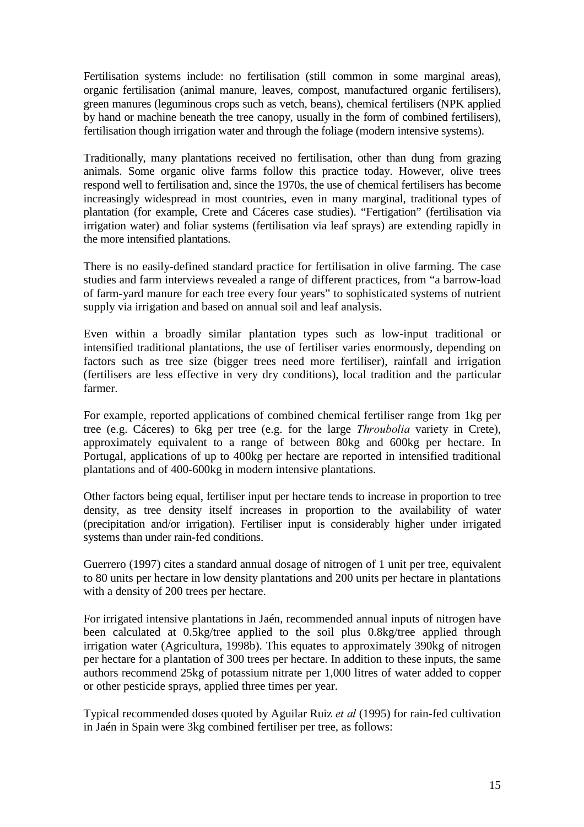Fertilisation systems include: no fertilisation (still common in some marginal areas), organic fertilisation (animal manure, leaves, compost, manufactured organic fertilisers), green manures (leguminous crops such as vetch, beans), chemical fertilisers (NPK applied by hand or machine beneath the tree canopy, usually in the form of combined fertilisers), fertilisation though irrigation water and through the foliage (modern intensive systems).

Traditionally, many plantations received no fertilisation, other than dung from grazing animals. Some organic olive farms follow this practice today. However, olive trees respond well to fertilisation and, since the 1970s, the use of chemical fertilisers has become increasingly widespread in most countries, even in many marginal, traditional types of plantation (for example, Crete and Cáceres case studies). "Fertigation" (fertilisation via irrigation water) and foliar systems (fertilisation via leaf sprays) are extending rapidly in the more intensified plantations.

There is no easily-defined standard practice for fertilisation in olive farming. The case studies and farm interviews revealed a range of different practices, from "a barrow-load of farm-yard manure for each tree every four years" to sophisticated systems of nutrient supply via irrigation and based on annual soil and leaf analysis.

Even within a broadly similar plantation types such as low-input traditional or intensified traditional plantations, the use of fertiliser varies enormously, depending on factors such as tree size (bigger trees need more fertiliser), rainfall and irrigation (fertilisers are less effective in very dry conditions), local tradition and the particular farmer.

For example, reported applications of combined chemical fertiliser range from 1kg per tree (e.g. Cáceres) to 6kg per tree (e.g. for the large *Throubolia* variety in Crete), approximately equivalent to a range of between 80kg and 600kg per hectare. In Portugal, applications of up to 400kg per hectare are reported in intensified traditional plantations and of 400-600kg in modern intensive plantations.

Other factors being equal, fertiliser input per hectare tends to increase in proportion to tree density, as tree density itself increases in proportion to the availability of water (precipitation and/or irrigation). Fertiliser input is considerably higher under irrigated systems than under rain-fed conditions.

Guerrero (1997) cites a standard annual dosage of nitrogen of 1 unit per tree, equivalent to 80 units per hectare in low density plantations and 200 units per hectare in plantations with a density of 200 trees per hectare.

For irrigated intensive plantations in Jaén, recommended annual inputs of nitrogen have been calculated at 0.5kg/tree applied to the soil plus 0.8kg/tree applied through irrigation water (Agricultura, 1998b). This equates to approximately 390kg of nitrogen per hectare for a plantation of 300 trees per hectare. In addition to these inputs, the same authors recommend 25kg of potassium nitrate per 1,000 litres of water added to copper or other pesticide sprays, applied three times per year.

Typical recommended doses quoted by Aguilar Ruiz *et al* (1995) for rain-fed cultivation in Jaén in Spain were 3kg combined fertiliser per tree, as follows: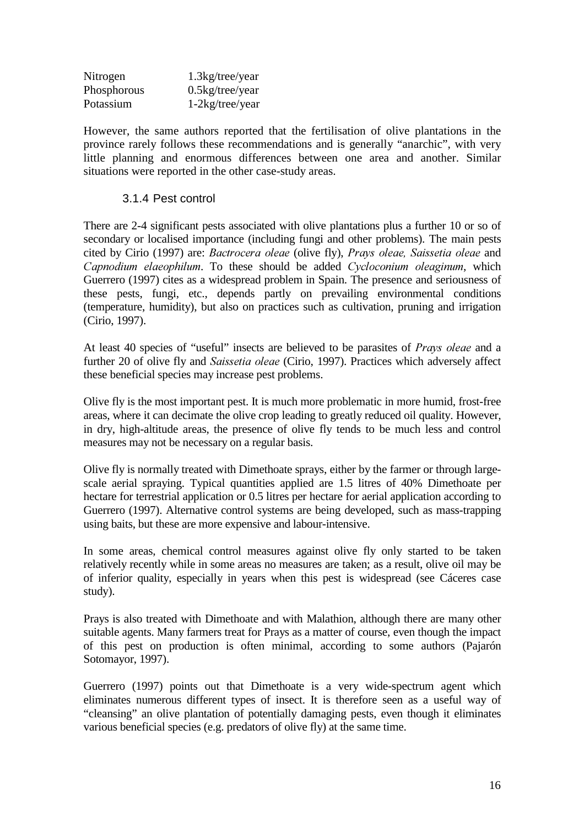| Nitrogen    | $1.3$ kg/tree/year                     |
|-------------|----------------------------------------|
| Phosphorous | $0.5\text{kg}/\text{tree}/\text{year}$ |
| Potassium   | $1-2kg$ /tree/year                     |

However, the same authors reported that the fertilisation of olive plantations in the province rarely follows these recommendations and is generally "anarchic", with very little planning and enormous differences between one area and another. Similar situations were reported in the other case-study areas.

#### 3.1.4 Pest control

There are 2-4 significant pests associated with olive plantations plus a further 10 or so of secondary or localised importance (including fungi and other problems). The main pests cited by Cirio (1997) are: *Bactrocera oleae* (olive fly), *Prays oleae*, *Saissetia oleae* and *Capnodium elaeophilum.* To these should be added *Cycloconium oleaginum*, which Guerrero (1997) cites as a widespread problem in Spain. The presence and seriousness of these pests, fungi, etc., depends partly on prevailing environmental conditions (temperature, humidity), but also on practices such as cultivation, pruning and irrigation (Cirio, 1997).

At least 40 species of "useful" insects are believed to be parasites of *Prays oleae* and a further 20 of olive fly and *Saissetia oleae* (Cirio, 1997). Practices which adversely affect these beneficial species may increase pest problems.

Olive fly is the most important pest. It is much more problematic in more humid, frost-free areas, where it can decimate the olive crop leading to greatly reduced oil quality. However, in dry, high-altitude areas, the presence of olive fly tends to be much less and control measures may not be necessary on a regular basis.

Olive fly is normally treated with Dimethoate sprays, either by the farmer or through largescale aerial spraying. Typical quantities applied are 1.5 litres of 40% Dimethoate per hectare for terrestrial application or 0.5 litres per hectare for aerial application according to Guerrero (1997). Alternative control systems are being developed, such as mass-trapping using baits, but these are more expensive and labour-intensive.

In some areas, chemical control measures against olive fly only started to be taken relatively recently while in some areas no measures are taken; as a result, olive oil may be of inferior quality, especially in years when this pest is widespread (see Cáceres case study).

Prays is also treated with Dimethoate and with Malathion, although there are many other suitable agents. Many farmers treat for Prays as a matter of course, even though the impact of this pest on production is often minimal, according to some authors (Pajarón Sotomayor, 1997).

Guerrero (1997) points out that Dimethoate is a very wide-spectrum agent which eliminates numerous different types of insect. It is therefore seen as a useful way of "cleansing" an olive plantation of potentially damaging pests, even though it eliminates various beneficial species (e.g. predators of olive fly) at the same time.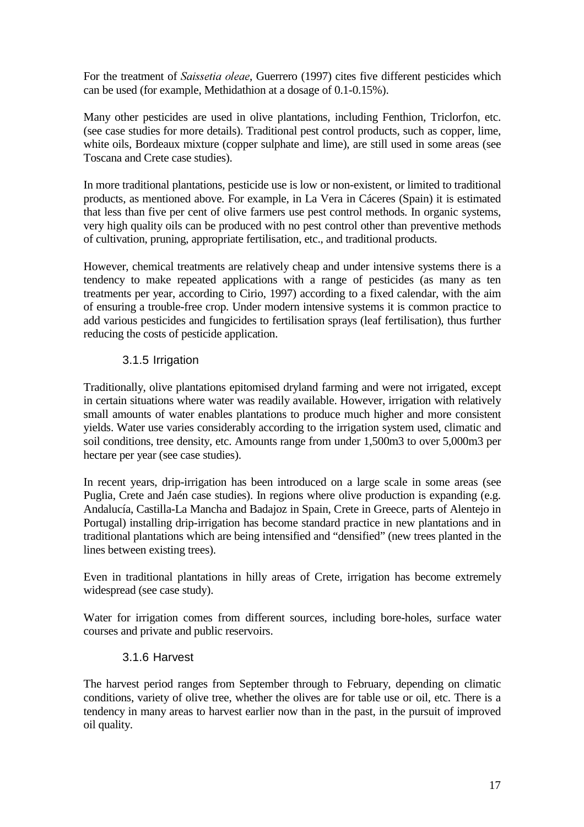For the treatment of *Saissetia oleae*, Guerrero (1997) cites five different pesticides which can be used (for example, Methidathion at a dosage of 0.1-0.15%).

Many other pesticides are used in olive plantations, including Fenthion, Triclorfon, etc. (see case studies for more details). Traditional pest control products, such as copper, lime, white oils, Bordeaux mixture (copper sulphate and lime), are still used in some areas (see Toscana and Crete case studies).

In more traditional plantations, pesticide use is low or non-existent, or limited to traditional products, as mentioned above. For example, in La Vera in Cáceres (Spain) it is estimated that less than five per cent of olive farmers use pest control methods. In organic systems, very high quality oils can be produced with no pest control other than preventive methods of cultivation, pruning, appropriate fertilisation, etc., and traditional products.

However, chemical treatments are relatively cheap and under intensive systems there is a tendency to make repeated applications with a range of pesticides (as many as ten treatments per year, according to Cirio, 1997) according to a fixed calendar, with the aim of ensuring a trouble-free crop. Under modern intensive systems it is common practice to add various pesticides and fungicides to fertilisation sprays (leaf fertilisation), thus further reducing the costs of pesticide application.

### 3.1.5 Irrigation

Traditionally, olive plantations epitomised dryland farming and were not irrigated, except in certain situations where water was readily available. However, irrigation with relatively small amounts of water enables plantations to produce much higher and more consistent yields. Water use varies considerably according to the irrigation system used, climatic and soil conditions, tree density, etc. Amounts range from under 1,500m3 to over 5,000m3 per hectare per year (see case studies).

In recent years, drip-irrigation has been introduced on a large scale in some areas (see Puglia, Crete and Jaén case studies). In regions where olive production is expanding (e.g. Andalucía, Castilla-La Mancha and Badajoz in Spain, Crete in Greece, parts of Alentejo in Portugal) installing drip-irrigation has become standard practice in new plantations and in traditional plantations which are being intensified and "densified" (new trees planted in the lines between existing trees).

Even in traditional plantations in hilly areas of Crete, irrigation has become extremely widespread (see case study).

Water for irrigation comes from different sources, including bore-holes, surface water courses and private and public reservoirs.

#### 3.1.6 Harvest

The harvest period ranges from September through to February, depending on climatic conditions, variety of olive tree, whether the olives are for table use or oil, etc. There is a tendency in many areas to harvest earlier now than in the past, in the pursuit of improved oil quality.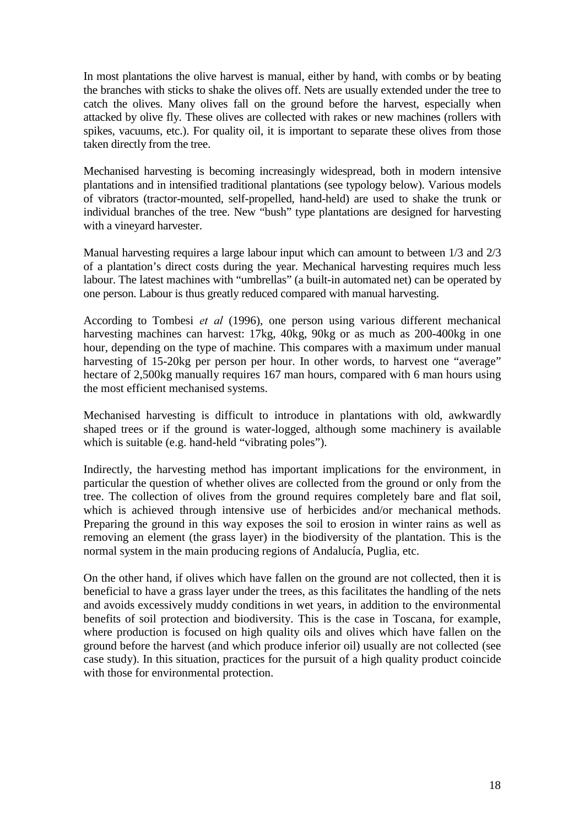In most plantations the olive harvest is manual, either by hand, with combs or by beating the branches with sticks to shake the olives off. Nets are usually extended under the tree to catch the olives. Many olives fall on the ground before the harvest, especially when attacked by olive fly. These olives are collected with rakes or new machines (rollers with spikes, vacuums, etc.). For quality oil, it is important to separate these olives from those taken directly from the tree.

Mechanised harvesting is becoming increasingly widespread, both in modern intensive plantations and in intensified traditional plantations (see typology below). Various models of vibrators (tractor-mounted, self-propelled, hand-held) are used to shake the trunk or individual branches of the tree. New "bush" type plantations are designed for harvesting with a vineyard harvester.

Manual harvesting requires a large labour input which can amount to between 1/3 and 2/3 of a plantation's direct costs during the year. Mechanical harvesting requires much less labour. The latest machines with "umbrellas" (a built-in automated net) can be operated by one person. Labour is thus greatly reduced compared with manual harvesting.

According to Tombesi et al (1996), one person using various different mechanical harvesting machines can harvest: 17kg, 40kg, 90kg or as much as 200-400kg in one hour, depending on the type of machine. This compares with a maximum under manual harvesting of 15-20kg per person per hour. In other words, to harvest one "average" hectare of 2,500kg manually requires 167 man hours, compared with 6 man hours using the most efficient mechanised systems.

Mechanised harvesting is difficult to introduce in plantations with old, awkwardly shaped trees or if the ground is water-logged, although some machinery is available which is suitable (e.g. hand-held "vibrating poles").

Indirectly, the harvesting method has important implications for the environment, in particular the question of whether olives are collected from the ground or only from the tree. The collection of olives from the ground requires completely bare and flat soil, which is achieved through intensive use of herbicides and/or mechanical methods. Preparing the ground in this way exposes the soil to erosion in winter rains as well as removing an element (the grass layer) in the biodiversity of the plantation. This is the normal system in the main producing regions of Andalucía, Puglia, etc.

On the other hand, if olives which have fallen on the ground are not collected, then it is beneficial to have a grass layer under the trees, as this facilitates the handling of the nets and avoids excessively muddy conditions in wet years, in addition to the environmental benefits of soil protection and biodiversity. This is the case in Toscana, for example, where production is focused on high quality oils and olives which have fallen on the ground before the harvest (and which produce inferior oil) usually are not collected (see case study). In this situation, practices for the pursuit of a high quality product coincide with those for environmental protection.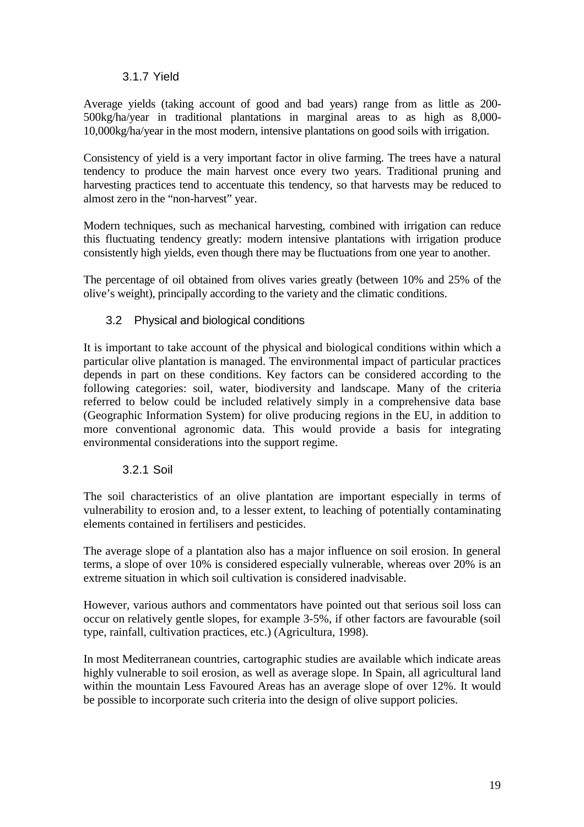#### 3.1.7 Yield

Average yields (taking account of good and bad years) range from as little as 200- 500kg/ha/year in traditional plantations in marginal areas to as high as 8,000- 10,000kg/ha/year in the most modern, intensive plantations on good soils with irrigation.

Consistency of yield is a very important factor in olive farming. The trees have a natural tendency to produce the main harvest once every two years. Traditional pruning and harvesting practices tend to accentuate this tendency, so that harvests may be reduced to almost zero in the "non-harvest" year.

Modern techniques, such as mechanical harvesting, combined with irrigation can reduce this fluctuating tendency greatly: modern intensive plantations with irrigation produce consistently high yields, even though there may be fluctuations from one year to another.

The percentage of oil obtained from olives varies greatly (between 10% and 25% of the olive's weight), principally according to the variety and the climatic conditions.

# 3.2 Physical and biological conditions

It is important to take account of the physical and biological conditions within which a particular olive plantation is managed. The environmental impact of particular practices depends in part on these conditions. Key factors can be considered according to the following categories: soil, water, biodiversity and landscape. Many of the criteria referred to below could be included relatively simply in a comprehensive data base (Geographic Information System) for olive producing regions in the EU, in addition to more conventional agronomic data. This would provide a basis for integrating environmental considerations into the support regime.

#### 3.2.1 Soil

The soil characteristics of an olive plantation are important especially in terms of vulnerability to erosion and, to a lesser extent, to leaching of potentially contaminating elements contained in fertilisers and pesticides.

The average slope of a plantation also has a major influence on soil erosion. In general terms, a slope of over 10% is considered especially vulnerable, whereas over 20% is an extreme situation in which soil cultivation is considered inadvisable.

However, various authors and commentators have pointed out that serious soil loss can occur on relatively gentle slopes, for example 3-5%, if other factors are favourable (soil type, rainfall, cultivation practices, etc.) (Agricultura, 1998).

In most Mediterranean countries, cartographic studies are available which indicate areas highly vulnerable to soil erosion, as well as average slope. In Spain, all agricultural land within the mountain Less Favoured Areas has an average slope of over 12%. It would be possible to incorporate such criteria into the design of olive support policies.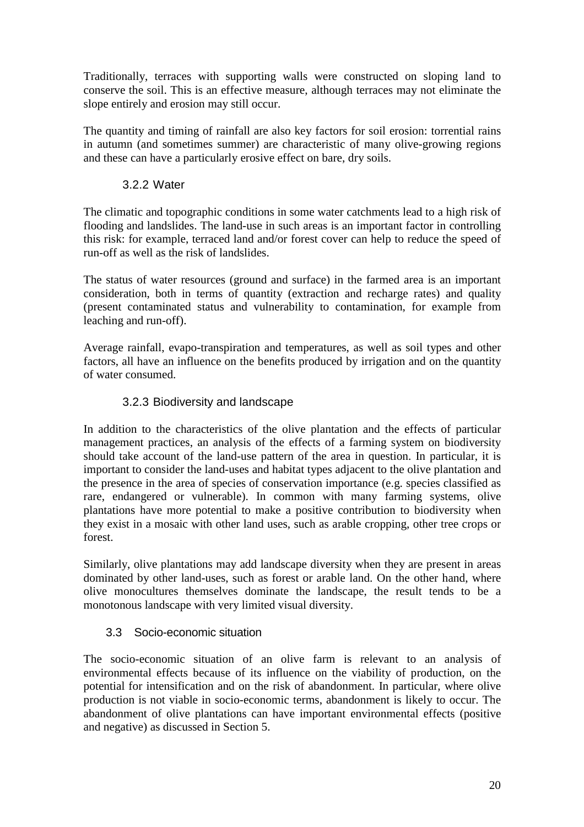Traditionally, terraces with supporting walls were constructed on sloping land to conserve the soil. This is an effective measure, although terraces may not eliminate the slope entirely and erosion may still occur.

The quantity and timing of rainfall are also key factors for soil erosion: torrential rains in autumn (and sometimes summer) are characteristic of many olive-growing regions and these can have a particularly erosive effect on bare, dry soils.

# 3.2.2 Water

The climatic and topographic conditions in some water catchments lead to a high risk of flooding and landslides. The land-use in such areas is an important factor in controlling this risk: for example, terraced land and/or forest cover can help to reduce the speed of run-off as well as the risk of landslides.

The status of water resources (ground and surface) in the farmed area is an important consideration, both in terms of quantity (extraction and recharge rates) and quality (present contaminated status and vulnerability to contamination, for example from leaching and run-off).

Average rainfall, evapo-transpiration and temperatures, as well as soil types and other factors, all have an influence on the benefits produced by irrigation and on the quantity of water consumed.

# 3.2.3 Biodiversity and landscape

In addition to the characteristics of the olive plantation and the effects of particular management practices, an analysis of the effects of a farming system on biodiversity should take account of the land-use pattern of the area in question. In particular, it is important to consider the land-uses and habitat types adjacent to the olive plantation and the presence in the area of species of conservation importance (e.g. species classified as rare, endangered or vulnerable). In common with many farming systems, olive plantations have more potential to make a positive contribution to biodiversity when they exist in a mosaic with other land uses, such as arable cropping, other tree crops or forest.

Similarly, olive plantations may add landscape diversity when they are present in areas dominated by other land-uses, such as forest or arable land. On the other hand, where olive monocultures themselves dominate the landscape, the result tends to be a monotonous landscape with very limited visual diversity.

# 3.3 Socio-economic situation

The socio-economic situation of an olive farm is relevant to an analysis of environmental effects because of its influence on the viability of production, on the potential for intensification and on the risk of abandonment. In particular, where olive production is not viable in socio-economic terms, abandonment is likely to occur. The abandonment of olive plantations can have important environmental effects (positive and negative) as discussed in Section 5.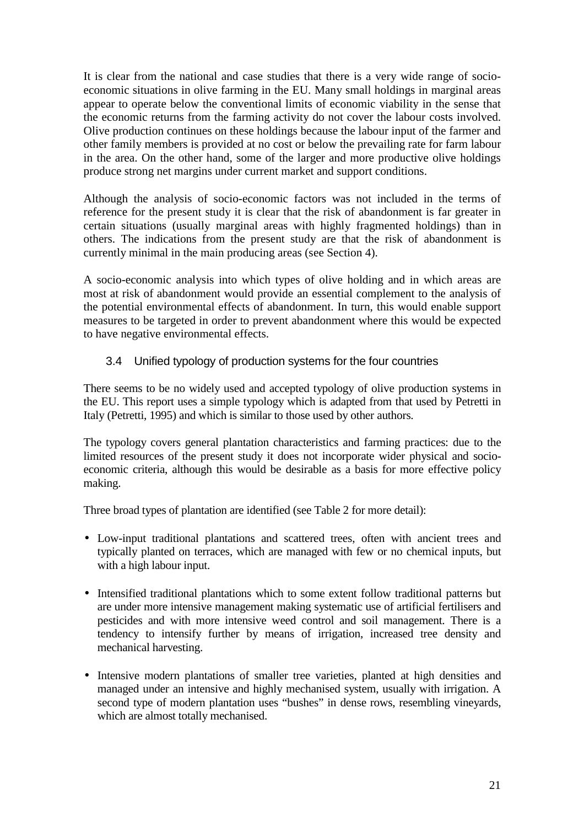It is clear from the national and case studies that there is a very wide range of socioeconomic situations in olive farming in the EU. Many small holdings in marginal areas appear to operate below the conventional limits of economic viability in the sense that the economic returns from the farming activity do not cover the labour costs involved. Olive production continues on these holdings because the labour input of the farmer and other family members is provided at no cost or below the prevailing rate for farm labour in the area. On the other hand, some of the larger and more productive olive holdings produce strong net margins under current market and support conditions.

Although the analysis of socio-economic factors was not included in the terms of reference for the present study it is clear that the risk of abandonment is far greater in certain situations (usually marginal areas with highly fragmented holdings) than in others. The indications from the present study are that the risk of abandonment is currently minimal in the main producing areas (see Section 4).

A socio-economic analysis into which types of olive holding and in which areas are most at risk of abandonment would provide an essential complement to the analysis of the potential environmental effects of abandonment. In turn, this would enable support measures to be targeted in order to prevent abandonment where this would be expected to have negative environmental effects.

### 3.4 Unified typology of production systems for the four countries

There seems to be no widely used and accepted typology of olive production systems in the EU. This report uses a simple typology which is adapted from that used by Petretti in Italy (Petretti, 1995) and which is similar to those used by other authors.

The typology covers general plantation characteristics and farming practices: due to the limited resources of the present study it does not incorporate wider physical and socioeconomic criteria, although this would be desirable as a basis for more effective policy making.

Three broad types of plantation are identified (see Table 2 for more detail):

- Low-input traditional plantations and scattered trees, often with ancient trees and typically planted on terraces, which are managed with few or no chemical inputs, but with a high labour input.
- Intensified traditional plantations which to some extent follow traditional patterns but are under more intensive management making systematic use of artificial fertilisers and pesticides and with more intensive weed control and soil management. There is a tendency to intensify further by means of irrigation, increased tree density and mechanical harvesting.
- Intensive modern plantations of smaller tree varieties, planted at high densities and managed under an intensive and highly mechanised system, usually with irrigation. A second type of modern plantation uses "bushes" in dense rows, resembling vineyards, which are almost totally mechanised.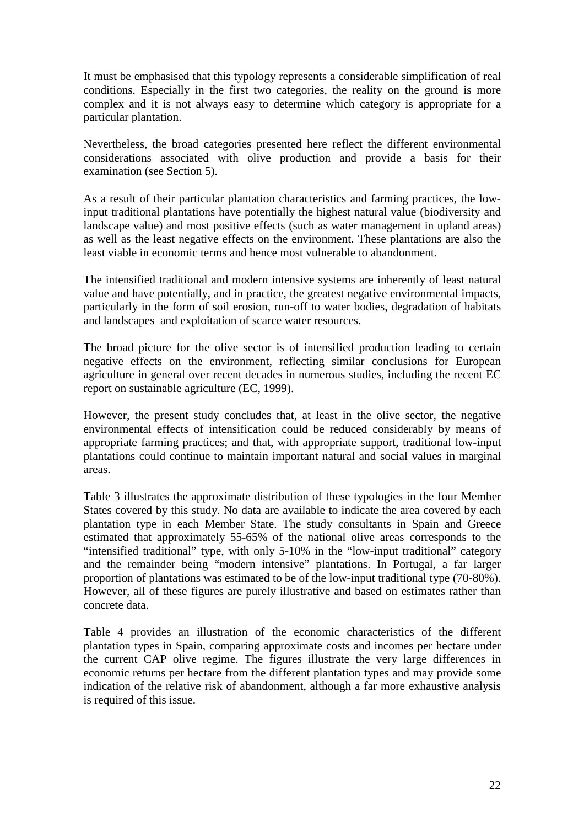It must be emphasised that this typology represents a considerable simplification of real conditions. Especially in the first two categories, the reality on the ground is more complex and it is not always easy to determine which category is appropriate for a particular plantation.

Nevertheless, the broad categories presented here reflect the different environmental considerations associated with olive production and provide a basis for their examination (see Section 5).

As a result of their particular plantation characteristics and farming practices, the lowinput traditional plantations have potentially the highest natural value (biodiversity and landscape value) and most positive effects (such as water management in upland areas) as well as the least negative effects on the environment. These plantations are also the least viable in economic terms and hence most vulnerable to abandonment.

The intensified traditional and modern intensive systems are inherently of least natural value and have potentially, and in practice, the greatest negative environmental impacts, particularly in the form of soil erosion, run-off to water bodies, degradation of habitats and landscapes and exploitation of scarce water resources.

The broad picture for the olive sector is of intensified production leading to certain negative effects on the environment, reflecting similar conclusions for European agriculture in general over recent decades in numerous studies, including the recent EC report on sustainable agriculture (EC, 1999).

However, the present study concludes that, at least in the olive sector, the negative environmental effects of intensification could be reduced considerably by means of appropriate farming practices; and that, with appropriate support, traditional low-input plantations could continue to maintain important natural and social values in marginal areas.

Table 3 illustrates the approximate distribution of these typologies in the four Member States covered by this study. No data are available to indicate the area covered by each plantation type in each Member State. The study consultants in Spain and Greece estimated that approximately 55-65% of the national olive areas corresponds to the "intensified traditional" type, with only 5-10% in the "low-input traditional" category and the remainder being "modern intensive" plantations. In Portugal, a far larger proportion of plantations was estimated to be of the low-input traditional type (70-80%). However, all of these figures are purely illustrative and based on estimates rather than concrete data.

Table 4 provides an illustration of the economic characteristics of the different plantation types in Spain, comparing approximate costs and incomes per hectare under the current CAP olive regime. The figures illustrate the very large differences in economic returns per hectare from the different plantation types and may provide some indication of the relative risk of abandonment, although a far more exhaustive analysis is required of this issue.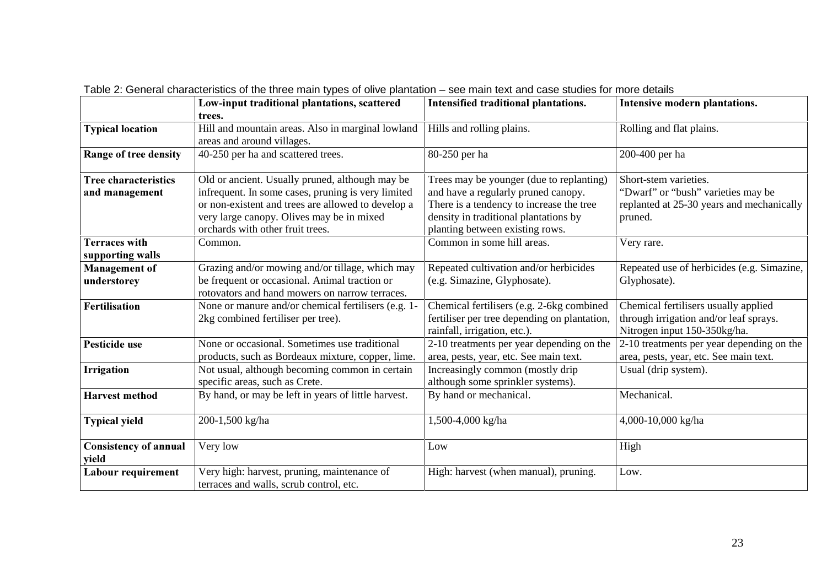|                                               | Low-input traditional plantations, scattered                                                                                                                                                                                                 | Intensified traditional plantations.                                                                                                                                                                    | Intensive modern plantations.                                                                                       |
|-----------------------------------------------|----------------------------------------------------------------------------------------------------------------------------------------------------------------------------------------------------------------------------------------------|---------------------------------------------------------------------------------------------------------------------------------------------------------------------------------------------------------|---------------------------------------------------------------------------------------------------------------------|
|                                               | trees.                                                                                                                                                                                                                                       |                                                                                                                                                                                                         |                                                                                                                     |
| <b>Typical location</b>                       | Hill and mountain areas. Also in marginal lowland<br>areas and around villages.                                                                                                                                                              | Hills and rolling plains.                                                                                                                                                                               | Rolling and flat plains.                                                                                            |
| Range of tree density                         | 40-250 per ha and scattered trees.                                                                                                                                                                                                           | 80-250 per ha                                                                                                                                                                                           | 200-400 per ha                                                                                                      |
| <b>Tree characteristics</b><br>and management | Old or ancient. Usually pruned, although may be<br>infrequent. In some cases, pruning is very limited<br>or non-existent and trees are allowed to develop a<br>very large canopy. Olives may be in mixed<br>orchards with other fruit trees. | Trees may be younger (due to replanting)<br>and have a regularly pruned canopy.<br>There is a tendency to increase the tree<br>density in traditional plantations by<br>planting between existing rows. | Short-stem varieties.<br>"Dwarf" or "bush" varieties may be<br>replanted at 25-30 years and mechanically<br>pruned. |
| <b>Terraces with</b><br>supporting walls      | Common.                                                                                                                                                                                                                                      | Common in some hill areas.                                                                                                                                                                              | Very rare.                                                                                                          |
| <b>Management</b> of<br>understorey           | Grazing and/or mowing and/or tillage, which may<br>be frequent or occasional. Animal traction or<br>rotovators and hand mowers on narrow terraces.                                                                                           | Repeated cultivation and/or herbicides<br>(e.g. Simazine, Glyphosate).                                                                                                                                  | Repeated use of herbicides (e.g. Simazine,<br>Glyphosate).                                                          |
| Fertilisation                                 | None or manure and/or chemical fertilisers (e.g. 1-<br>2kg combined fertiliser per tree).                                                                                                                                                    | Chemical fertilisers (e.g. 2-6kg combined<br>fertiliser per tree depending on plantation,<br>rainfall, irrigation, etc.).                                                                               | Chemical fertilisers usually applied<br>through irrigation and/or leaf sprays.<br>Nitrogen input 150-350kg/ha.      |
| Pesticide use                                 | None or occasional. Sometimes use traditional<br>products, such as Bordeaux mixture, copper, lime.                                                                                                                                           | 2-10 treatments per year depending on the<br>area, pests, year, etc. See main text.                                                                                                                     | 2-10 treatments per year depending on the<br>area, pests, year, etc. See main text.                                 |
| Irrigation                                    | Not usual, although becoming common in certain<br>specific areas, such as Crete.                                                                                                                                                             | Increasingly common (mostly drip<br>although some sprinkler systems).                                                                                                                                   | Usual (drip system).                                                                                                |
| <b>Harvest method</b>                         | By hand, or may be left in years of little harvest.                                                                                                                                                                                          | By hand or mechanical.                                                                                                                                                                                  | Mechanical.                                                                                                         |
| <b>Typical yield</b>                          | 200-1,500 kg/ha                                                                                                                                                                                                                              | 1,500-4,000 kg/ha                                                                                                                                                                                       | 4,000-10,000 kg/ha                                                                                                  |
| <b>Consistency of annual</b><br>yield         | Very low                                                                                                                                                                                                                                     | Low                                                                                                                                                                                                     | High                                                                                                                |
| Labour requirement                            | Very high: harvest, pruning, maintenance of<br>terraces and walls, scrub control, etc.                                                                                                                                                       | High: harvest (when manual), pruning.                                                                                                                                                                   | Low.                                                                                                                |

Table 2: General characteristics of the three main types of olive plantation – see main text and case studies for more details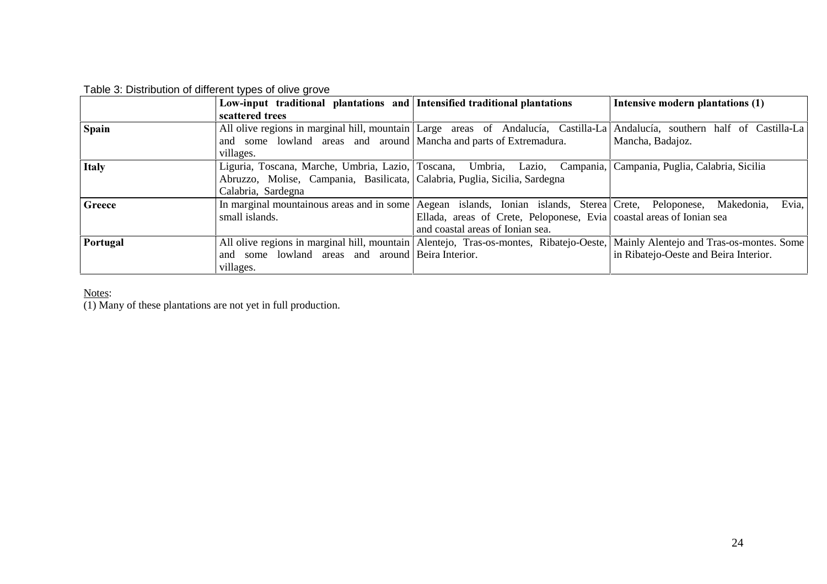|              | Low-input traditional plantations and Intensified traditional plantations  |                                                                                                                | Intensive modern plantations (1)                                                                                                |
|--------------|----------------------------------------------------------------------------|----------------------------------------------------------------------------------------------------------------|---------------------------------------------------------------------------------------------------------------------------------|
|              | scattered trees                                                            |                                                                                                                |                                                                                                                                 |
| Spain        |                                                                            |                                                                                                                | All olive regions in marginal hill, mountain Large areas of Andalucía, Castilla-La Andalucía, southern half of Castilla-La      |
|              | and some lowland areas and around   Mancha and parts of Extremadura.       |                                                                                                                | Mancha, Badajoz.                                                                                                                |
|              | villages.                                                                  |                                                                                                                |                                                                                                                                 |
| <b>Italy</b> |                                                                            | Liguria, Toscana, Marche, Umbria, Lazio, Toscana, Umbria, Lazio, Campania, Campania, Puglia, Calabria, Sicilia |                                                                                                                                 |
|              | Abruzzo, Molise, Campania, Basilicata, Calabria, Puglia, Sicilia, Sardegna |                                                                                                                |                                                                                                                                 |
|              | Calabria, Sardegna                                                         |                                                                                                                |                                                                                                                                 |
| Greece       |                                                                            | In marginal mountainous areas and in some Aegean islands, Ionian islands, Sterea Crete, Peloponese, Makedonia, | Evia,                                                                                                                           |
|              | small islands.                                                             | Ellada, areas of Crete, Peloponese, Evia coastal areas of Ionian sea                                           |                                                                                                                                 |
|              |                                                                            | and coastal areas of Ionian sea.                                                                               |                                                                                                                                 |
| Portugal     |                                                                            |                                                                                                                | All olive regions in marginal hill, mountain Alentejo, Tras-os-montes, Ribatejo-Oeste, Mainly Alentejo and Tras-os-montes. Some |
|              | and some lowland areas and around Beira Interior.                          |                                                                                                                | in Ribatejo-Oeste and Beira Interior.                                                                                           |
|              | villages.                                                                  |                                                                                                                |                                                                                                                                 |

Notes:<br>(1) Many of these plantations are not yet in full production.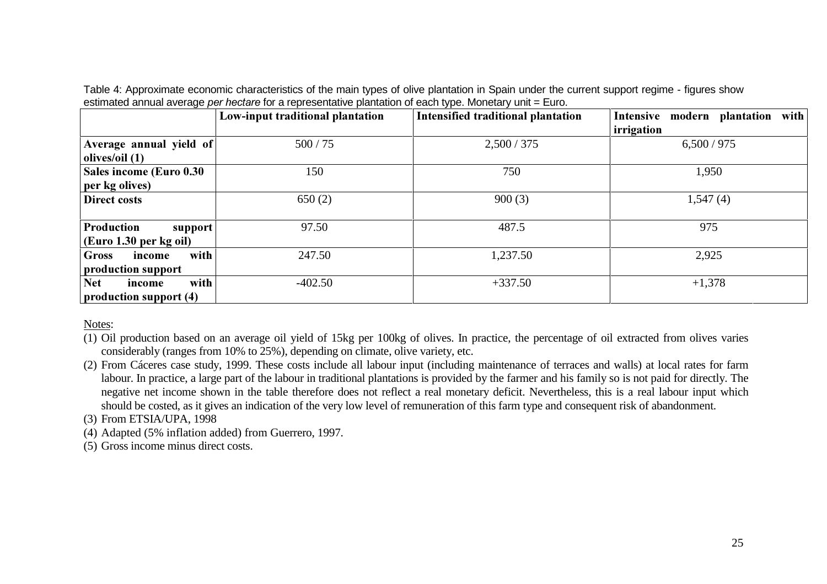|                              | Low-input traditional plantation | <b>Intensified traditional plantation</b> | Intensive modern plantation with |
|------------------------------|----------------------------------|-------------------------------------------|----------------------------------|
|                              |                                  |                                           | irrigation                       |
| Average annual yield of      | 500/75                           | 2,500/375                                 | 6,500/975                        |
| olives/oil $(1)$             |                                  |                                           |                                  |
| Sales income (Euro 0.30      | 150                              | 750                                       | 1,950                            |
| per kg olives)               |                                  |                                           |                                  |
| Direct costs                 | 650(2)                           | 900(3)                                    | 1,547(4)                         |
|                              |                                  |                                           |                                  |
| Production<br>support        | 97.50                            | 487.5                                     | 975                              |
| $(Cu$ ro 1.30 per kg oil)    |                                  |                                           |                                  |
| with<br>Gross<br>income      | 247.50                           | 1,237.50                                  | 2,925                            |
| production support           |                                  |                                           |                                  |
| with<br><b>Net</b><br>income | $-402.50$                        | $+337.50$                                 | $+1,378$                         |
| production support (4)       |                                  |                                           |                                  |

Table 4: Approximate economic characteristics of the main types of olive plantation in Spain under the current support regime - figures show estimated annual average *SHUKHFWDUH* for a representative plantation of each type. Monetary unit = Euro.

Notes:

(1) Oil production based on an average oil yield of 15kg per 100kg of olives. In practice, the percentage of oil extracted from olives varies considerably (ranges from 10% to 25%), depending on climate, olive variety, etc.

(2) From Cáceres case study, 1999. These costs include all labour input (including maintenance of terraces and walls) at local rates for farm labour. In practice, a large part of the labour in traditional plantations is provided by the farmer and his family so is not paid for directly. The negative net income shown in the table therefore does not reflect a real monetary deficit. Nevertheless, this is a real labour input which should be costed, as it gives an indication of the very low level of remuneration of this farm type and consequent risk of abandonment.

(3) From ETSIA/UPA, 1998

(4) Adapted (5% inflation added) from Guerrero, 1997.

(5) Gross income minus direct costs.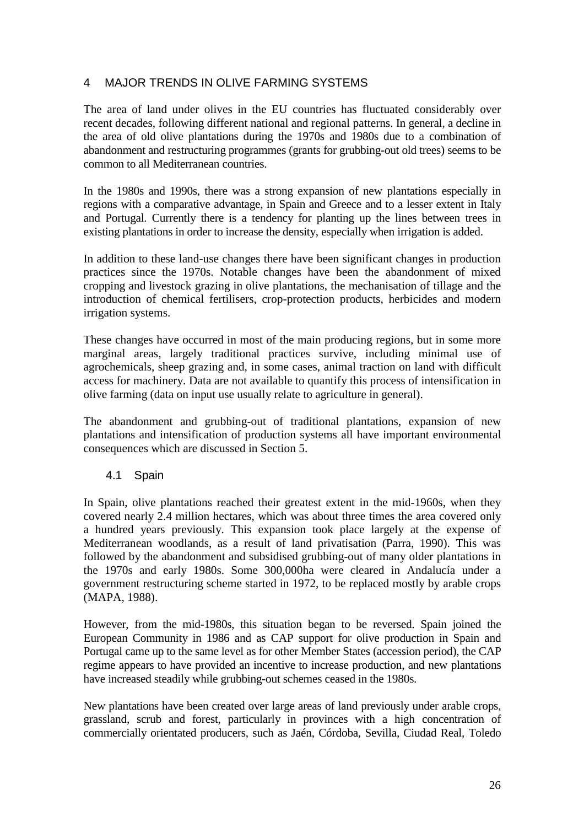# 4 MAJOR TRENDS IN OLIVE FARMING SYSTEMS

The area of land under olives in the EU countries has fluctuated considerably over recent decades, following different national and regional patterns. In general, a decline in the area of old olive plantations during the 1970s and 1980s due to a combination of abandonment and restructuring programmes (grants for grubbing-out old trees) seems to be common to all Mediterranean countries.

In the 1980s and 1990s, there was a strong expansion of new plantations especially in regions with a comparative advantage, in Spain and Greece and to a lesser extent in Italy and Portugal. Currently there is a tendency for planting up the lines between trees in existing plantations in order to increase the density, especially when irrigation is added.

In addition to these land-use changes there have been significant changes in production practices since the 1970s. Notable changes have been the abandonment of mixed cropping and livestock grazing in olive plantations, the mechanisation of tillage and the introduction of chemical fertilisers, crop-protection products, herbicides and modern irrigation systems.

These changes have occurred in most of the main producing regions, but in some more marginal areas, largely traditional practices survive, including minimal use of agrochemicals, sheep grazing and, in some cases, animal traction on land with difficult access for machinery. Data are not available to quantify this process of intensification in olive farming (data on input use usually relate to agriculture in general).

The abandonment and grubbing-out of traditional plantations, expansion of new plantations and intensification of production systems all have important environmental consequences which are discussed in Section 5.

#### 4.1 Spain

In Spain, olive plantations reached their greatest extent in the mid-1960s, when they covered nearly 2.4 million hectares, which was about three times the area covered only a hundred years previously. This expansion took place largely at the expense of Mediterranean woodlands, as a result of land privatisation (Parra, 1990). This was followed by the abandonment and subsidised grubbing-out of many older plantations in the 1970s and early 1980s. Some 300,000ha were cleared in Andalucía under a government restructuring scheme started in 1972, to be replaced mostly by arable crops (MAPA, 1988).

However, from the mid-1980s, this situation began to be reversed. Spain joined the European Community in 1986 and as CAP support for olive production in Spain and Portugal came up to the same level as for other Member States (accession period), the CAP regime appears to have provided an incentive to increase production, and new plantations have increased steadily while grubbing-out schemes ceased in the 1980s.

New plantations have been created over large areas of land previously under arable crops, grassland, scrub and forest, particularly in provinces with a high concentration of commercially orientated producers, such as Jaén, Córdoba, Sevilla, Ciudad Real, Toledo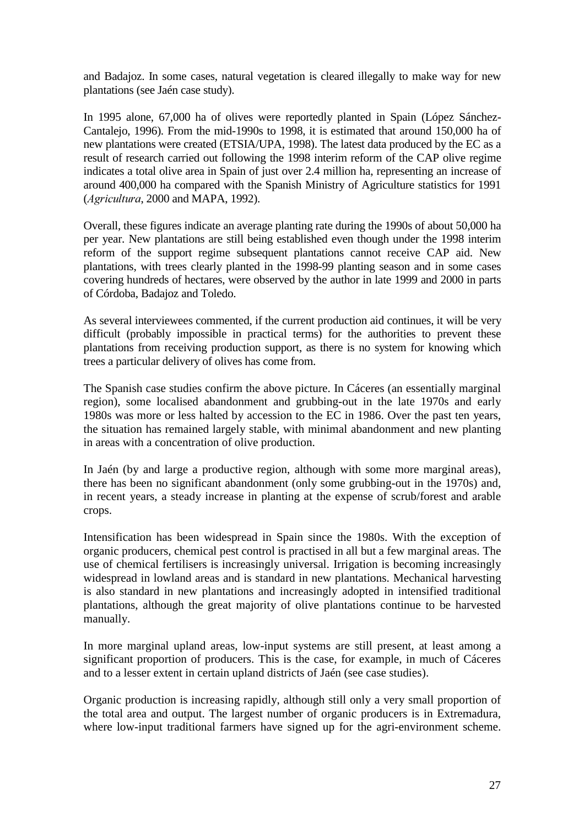and Badajoz. In some cases, natural vegetation is cleared illegally to make way for new plantations (see Jaén case study).

In 1995 alone, 67,000 ha of olives were reportedly planted in Spain (López Sánchez-Cantalejo, 1996). From the mid-1990s to 1998, it is estimated that around 150,000 ha of new plantations were created (ETSIA/UPA, 1998). The latest data produced by the EC as a result of research carried out following the 1998 interim reform of the CAP olive regime indicates a total olive area in Spain of just over 2.4 million ha, representing an increase of around 400,000 ha compared with the Spanish Ministry of Agriculture statistics for 1991 (*Agricultura*, 2000 and MAPA, 1992).

Overall, these figures indicate an average planting rate during the 1990s of about 50,000 ha per year. New plantations are still being established even though under the 1998 interim reform of the support regime subsequent plantations cannot receive CAP aid. New plantations, with trees clearly planted in the 1998-99 planting season and in some cases covering hundreds of hectares, were observed by the author in late 1999 and 2000 in parts of Córdoba, Badajoz and Toledo.

As several interviewees commented, if the current production aid continues, it will be very difficult (probably impossible in practical terms) for the authorities to prevent these plantations from receiving production support, as there is no system for knowing which trees a particular delivery of olives has come from.

The Spanish case studies confirm the above picture. In Cáceres (an essentially marginal region), some localised abandonment and grubbing-out in the late 1970s and early 1980s was more or less halted by accession to the EC in 1986. Over the past ten years, the situation has remained largely stable, with minimal abandonment and new planting in areas with a concentration of olive production.

In Jaén (by and large a productive region, although with some more marginal areas), there has been no significant abandonment (only some grubbing-out in the 1970s) and, in recent years, a steady increase in planting at the expense of scrub/forest and arable crops.

Intensification has been widespread in Spain since the 1980s. With the exception of organic producers, chemical pest control is practised in all but a few marginal areas. The use of chemical fertilisers is increasingly universal. Irrigation is becoming increasingly widespread in lowland areas and is standard in new plantations. Mechanical harvesting is also standard in new plantations and increasingly adopted in intensified traditional plantations, although the great majority of olive plantations continue to be harvested manually.

In more marginal upland areas, low-input systems are still present, at least among a significant proportion of producers. This is the case, for example, in much of Cáceres and to a lesser extent in certain upland districts of Jaén (see case studies).

Organic production is increasing rapidly, although still only a very small proportion of the total area and output. The largest number of organic producers is in Extremadura, where low-input traditional farmers have signed up for the agri-environment scheme.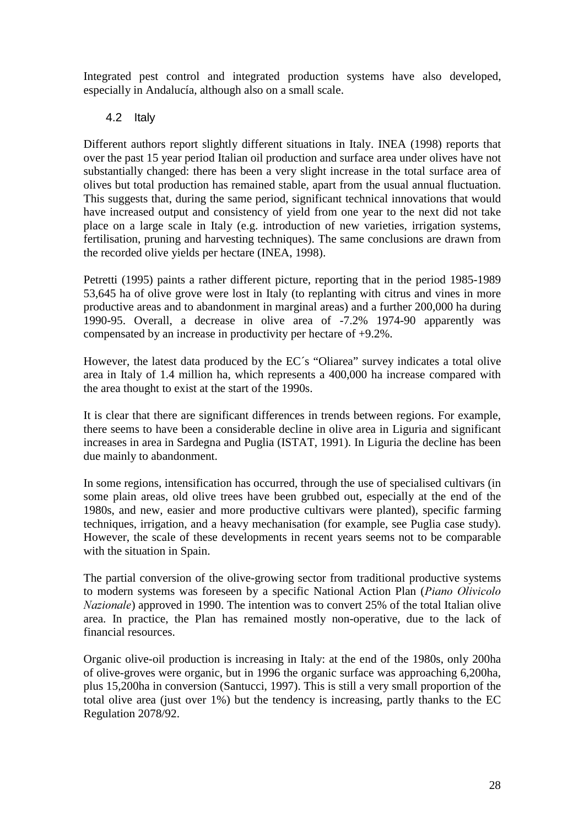Integrated pest control and integrated production systems have also developed, especially in Andalucía, although also on a small scale.

# 4.2 Italy

Different authors report slightly different situations in Italy. INEA (1998) reports that over the past 15 year period Italian oil production and surface area under olives have not substantially changed: there has been a very slight increase in the total surface area of olives but total production has remained stable, apart from the usual annual fluctuation. This suggests that, during the same period, significant technical innovations that would have increased output and consistency of yield from one year to the next did not take place on a large scale in Italy (e.g. introduction of new varieties, irrigation systems, fertilisation, pruning and harvesting techniques). The same conclusions are drawn from the recorded olive yields per hectare (INEA, 1998).

Petretti (1995) paints a rather different picture, reporting that in the period 1985-1989 53,645 ha of olive grove were lost in Italy (to replanting with citrus and vines in more productive areas and to abandonment in marginal areas) and a further 200,000 ha during 1990-95. Overall, a decrease in olive area of -7.2% 1974-90 apparently was compensated by an increase in productivity per hectare of +9.2%.

However, the latest data produced by the EC´s "Oliarea" survey indicates a total olive area in Italy of 1.4 million ha, which represents a 400,000 ha increase compared with the area thought to exist at the start of the 1990s.

It is clear that there are significant differences in trends between regions. For example, there seems to have been a considerable decline in olive area in Liguria and significant increases in area in Sardegna and Puglia (ISTAT, 1991). In Liguria the decline has been due mainly to abandonment.

In some regions, intensification has occurred, through the use of specialised cultivars (in some plain areas, old olive trees have been grubbed out, especially at the end of the 1980s, and new, easier and more productive cultivars were planted), specific farming techniques, irrigation, and a heavy mechanisation (for example, see Puglia case study). However, the scale of these developments in recent years seems not to be comparable with the situation in Spain.

The partial conversion of the olive-growing sector from traditional productive systems to modern systems was foreseen by a specific National Action Plan (*Piano Olivicolo Nazionale*) approved in 1990. The intention was to convert 25% of the total Italian olive area. In practice, the Plan has remained mostly non-operative, due to the lack of financial resources.

Organic olive-oil production is increasing in Italy: at the end of the 1980s, only 200ha of olive-groves were organic, but in 1996 the organic surface was approaching 6,200ha, plus 15,200ha in conversion (Santucci, 1997). This is still a very small proportion of the total olive area (just over 1%) but the tendency is increasing, partly thanks to the EC Regulation 2078/92.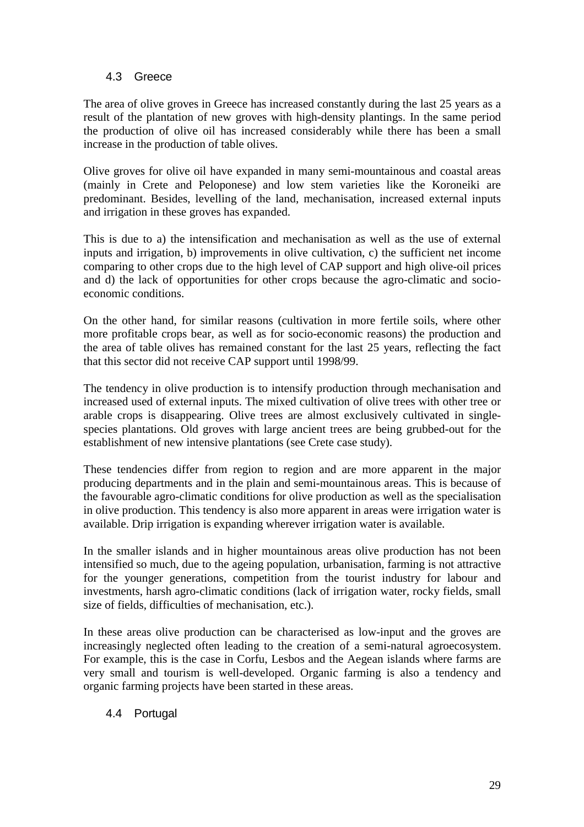# 4.3 Greece

The area of olive groves in Greece has increased constantly during the last 25 years as a result of the plantation of new groves with high-density plantings. In the same period the production of olive oil has increased considerably while there has been a small increase in the production of table olives.

Olive groves for olive oil have expanded in many semi-mountainous and coastal areas (mainly in Crete and Peloponese) and low stem varieties like the Koroneiki are predominant. Besides, levelling of the land, mechanisation, increased external inputs and irrigation in these groves has expanded.

This is due to a) the intensification and mechanisation as well as the use of external inputs and irrigation, b) improvements in olive cultivation, c) the sufficient net income comparing to other crops due to the high level of CAP support and high olive-oil prices and d) the lack of opportunities for other crops because the agro-climatic and socioeconomic conditions.

On the other hand, for similar reasons (cultivation in more fertile soils, where other more profitable crops bear, as well as for socio-economic reasons) the production and the area of table olives has remained constant for the last 25 years, reflecting the fact that this sector did not receive CAP support until 1998/99.

The tendency in olive production is to intensify production through mechanisation and increased used of external inputs. The mixed cultivation of olive trees with other tree or arable crops is disappearing. Olive trees are almost exclusively cultivated in singlespecies plantations. Old groves with large ancient trees are being grubbed-out for the establishment of new intensive plantations (see Crete case study).

These tendencies differ from region to region and are more apparent in the major producing departments and in the plain and semi-mountainous areas. This is because of the favourable agro-climatic conditions for olive production as well as the specialisation in olive production. This tendency is also more apparent in areas were irrigation water is available. Drip irrigation is expanding wherever irrigation water is available.

In the smaller islands and in higher mountainous areas olive production has not been intensified so much, due to the ageing population, urbanisation, farming is not attractive for the younger generations, competition from the tourist industry for labour and investments, harsh agro-climatic conditions (lack of irrigation water, rocky fields, small size of fields, difficulties of mechanisation, etc.).

In these areas olive production can be characterised as low-input and the groves are increasingly neglected often leading to the creation of a semi-natural agroecosystem. For example, this is the case in Corfu, Lesbos and the Aegean islands where farms are very small and tourism is well-developed. Organic farming is also a tendency and organic farming projects have been started in these areas.

#### 4.4 Portugal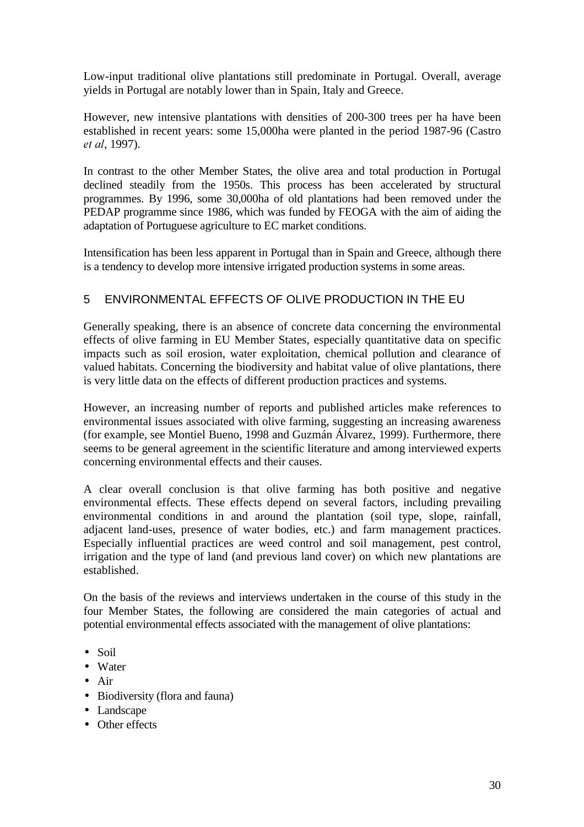Low-input traditional olive plantations still predominate in Portugal. Overall, average yields in Portugal are notably lower than in Spain, Italy and Greece.

However, new intensive plantations with densities of 200-300 trees per ha have been established in recent years: some 15,000ha were planted in the period 1987-96 (Castro *et al.* 1997).

In contrast to the other Member States, the olive area and total production in Portugal declined steadily from the 1950s. This process has been accelerated by structural programmes. By 1996, some 30,000ha of old plantations had been removed under the PEDAP programme since 1986, which was funded by FEOGA with the aim of aiding the adaptation of Portuguese agriculture to EC market conditions.

Intensification has been less apparent in Portugal than in Spain and Greece, although there is a tendency to develop more intensive irrigated production systems in some areas.

# 5 ENVIRONMENTAL EFFECTS OF OLIVE PRODUCTION IN THE EU

Generally speaking, there is an absence of concrete data concerning the environmental effects of olive farming in EU Member States, especially quantitative data on specific impacts such as soil erosion, water exploitation, chemical pollution and clearance of valued habitats. Concerning the biodiversity and habitat value of olive plantations, there is very little data on the effects of different production practices and systems.

However, an increasing number of reports and published articles make references to environmental issues associated with olive farming, suggesting an increasing awareness (for example, see Montiel Bueno, 1998 and Guzmán Álvarez, 1999). Furthermore, there seems to be general agreement in the scientific literature and among interviewed experts concerning environmental effects and their causes.

A clear overall conclusion is that olive farming has both positive and negative environmental effects. These effects depend on several factors, including prevailing environmental conditions in and around the plantation (soil type, slope, rainfall, adjacent land-uses, presence of water bodies, etc.) and farm management practices. Especially influential practices are weed control and soil management, pest control, irrigation and the type of land (and previous land cover) on which new plantations are established.

On the basis of the reviews and interviews undertaken in the course of this study in the four Member States, the following are considered the main categories of actual and potential environmental effects associated with the management of olive plantations:

- Soil
- Water
- Air
- Biodiversity (flora and fauna)
- Landscape
- Other effects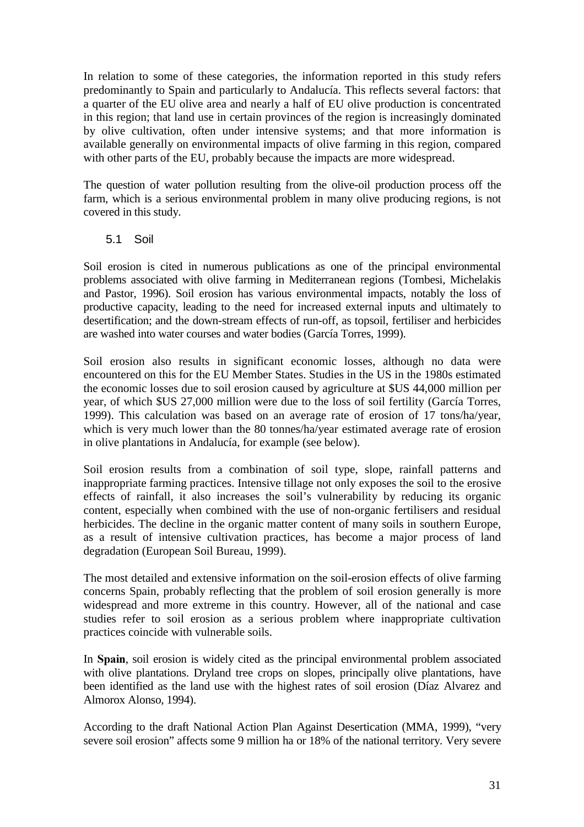In relation to some of these categories, the information reported in this study refers predominantly to Spain and particularly to Andalucía. This reflects several factors: that a quarter of the EU olive area and nearly a half of EU olive production is concentrated in this region; that land use in certain provinces of the region is increasingly dominated by olive cultivation, often under intensive systems; and that more information is available generally on environmental impacts of olive farming in this region, compared with other parts of the EU, probably because the impacts are more widespread.

The question of water pollution resulting from the olive-oil production process off the farm, which is a serious environmental problem in many olive producing regions, is not covered in this study.

#### 5.1 Soil

Soil erosion is cited in numerous publications as one of the principal environmental problems associated with olive farming in Mediterranean regions (Tombesi, Michelakis and Pastor, 1996). Soil erosion has various environmental impacts, notably the loss of productive capacity, leading to the need for increased external inputs and ultimately to desertification; and the down-stream effects of run-off, as topsoil, fertiliser and herbicides are washed into water courses and water bodies (García Torres, 1999).

Soil erosion also results in significant economic losses, although no data were encountered on this for the EU Member States. Studies in the US in the 1980s estimated the economic losses due to soil erosion caused by agriculture at \$US 44,000 million per year, of which \$US 27,000 million were due to the loss of soil fertility (García Torres, 1999). This calculation was based on an average rate of erosion of 17 tons/ha/year, which is very much lower than the 80 tonnes/ha/year estimated average rate of erosion in olive plantations in Andalucía, for example (see below).

Soil erosion results from a combination of soil type, slope, rainfall patterns and inappropriate farming practices. Intensive tillage not only exposes the soil to the erosive effects of rainfall, it also increases the soil's vulnerability by reducing its organic content, especially when combined with the use of non-organic fertilisers and residual herbicides. The decline in the organic matter content of many soils in southern Europe, as a result of intensive cultivation practices, has become a major process of land degradation (European Soil Bureau, 1999).

The most detailed and extensive information on the soil-erosion effects of olive farming concerns Spain, probably reflecting that the problem of soil erosion generally is more widespread and more extreme in this country. However, all of the national and case studies refer to soil erosion as a serious problem where inappropriate cultivation practices coincide with vulnerable soils.

In Spain, soil erosion is widely cited as the principal environmental problem associated with olive plantations. Dryland tree crops on slopes, principally olive plantations, have been identified as the land use with the highest rates of soil erosion (Díaz Alvarez and Almorox Alonso, 1994).

According to the draft National Action Plan Against Desertication (MMA, 1999), "very severe soil erosion" affects some 9 million ha or 18% of the national territory. Very severe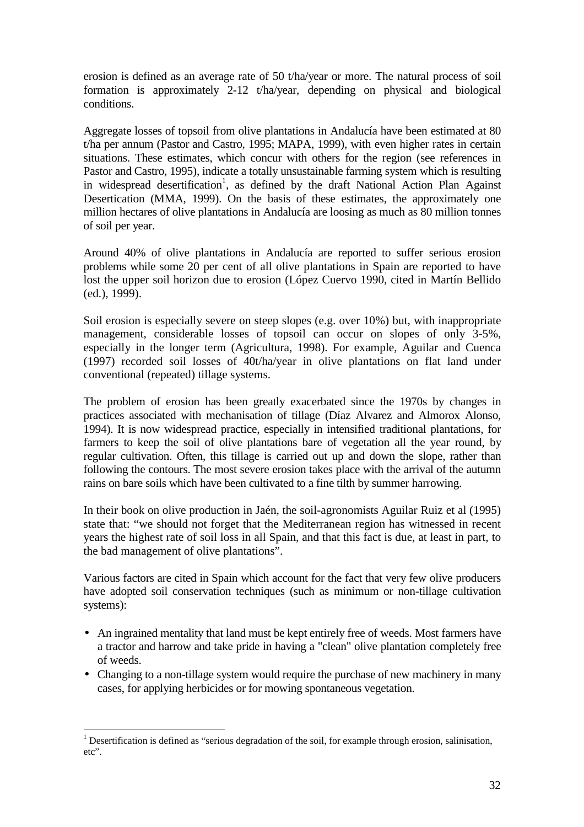erosion is defined as an average rate of 50 t/ha/year or more. The natural process of soil formation is approximately 2-12 t/ha/year, depending on physical and biological conditions.

Aggregate losses of topsoil from olive plantations in Andalucía have been estimated at 80 t/ha per annum (Pastor and Castro, 1995; MAPA, 1999), with even higher rates in certain situations. These estimates, which concur with others for the region (see references in Pastor and Castro, 1995), indicate a totally unsustainable farming system which is resulting in widespread desertification<sup>1</sup>, as defined by the draft National Action Plan Against Desertication (MMA, 1999). On the basis of these estimates, the approximately one million hectares of olive plantations in Andalucía are loosing as much as 80 million tonnes of soil per year.

Around 40% of olive plantations in Andalucía are reported to suffer serious erosion problems while some 20 per cent of all olive plantations in Spain are reported to have lost the upper soil horizon due to erosion (López Cuervo 1990, cited in Martín Bellido (ed.), 1999).

Soil erosion is especially severe on steep slopes (e.g. over 10%) but, with inappropriate management, considerable losses of topsoil can occur on slopes of only 3-5%, especially in the longer term (Agricultura, 1998). For example, Aguilar and Cuenca (1997) recorded soil losses of 40t/ha/year in olive plantations on flat land under conventional (repeated) tillage systems.

The problem of erosion has been greatly exacerbated since the 1970s by changes in practices associated with mechanisation of tillage (Díaz Alvarez and Almorox Alonso, 1994). It is now widespread practice, especially in intensified traditional plantations, for farmers to keep the soil of olive plantations bare of vegetation all the year round, by regular cultivation. Often, this tillage is carried out up and down the slope, rather than following the contours. The most severe erosion takes place with the arrival of the autumn rains on bare soils which have been cultivated to a fine tilth by summer harrowing.

In their book on olive production in Jaén, the soil-agronomists Aguilar Ruiz et al (1995) state that: "we should not forget that the Mediterranean region has witnessed in recent years the highest rate of soil loss in all Spain, and that this fact is due, at least in part, to the bad management of olive plantations".

Various factors are cited in Spain which account for the fact that very few olive producers have adopted soil conservation techniques (such as minimum or non-tillage cultivation systems):

- An ingrained mentality that land must be kept entirely free of weeds. Most farmers have a tractor and harrow and take pride in having a "clean" olive plantation completely free of weeds.
- Changing to a non-tillage system would require the purchase of new machinery in many cases, for applying herbicides or for mowing spontaneous vegetation.

 $\overline{a}$ <sup>1</sup> Desertification is defined as "serious degradation of the soil, for example through erosion, salinisation, etc".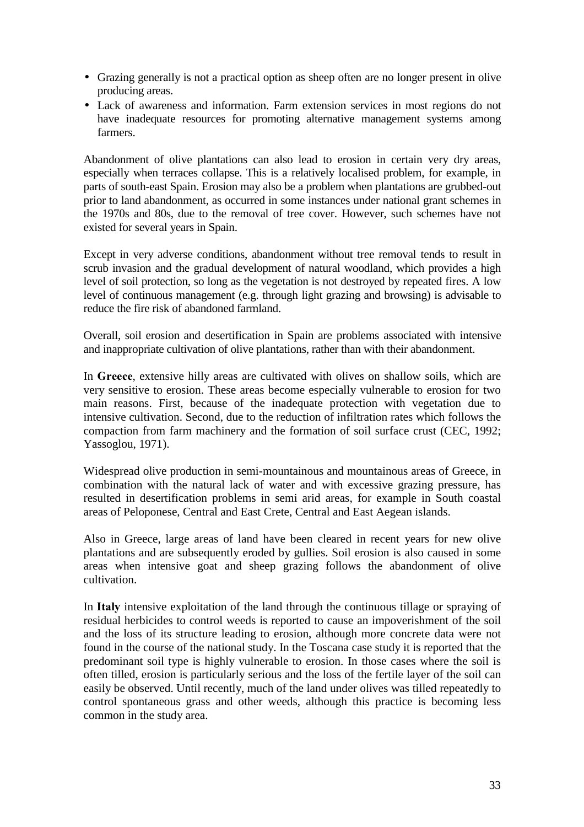- Grazing generally is not a practical option as sheep often are no longer present in olive producing areas.
- Lack of awareness and information. Farm extension services in most regions do not have inadequate resources for promoting alternative management systems among farmers.

Abandonment of olive plantations can also lead to erosion in certain very dry areas, especially when terraces collapse. This is a relatively localised problem, for example, in parts of south-east Spain. Erosion may also be a problem when plantations are grubbed-out prior to land abandonment, as occurred in some instances under national grant schemes in the 1970s and 80s, due to the removal of tree cover. However, such schemes have not existed for several years in Spain.

Except in very adverse conditions, abandonment without tree removal tends to result in scrub invasion and the gradual development of natural woodland, which provides a high level of soil protection, so long as the vegetation is not destroyed by repeated fires. A low level of continuous management (e.g. through light grazing and browsing) is advisable to reduce the fire risk of abandoned farmland.

Overall, soil erosion and desertification in Spain are problems associated with intensive and inappropriate cultivation of olive plantations, rather than with their abandonment.

In Greece, extensive hilly areas are cultivated with olives on shallow soils, which are very sensitive to erosion. These areas become especially vulnerable to erosion for two main reasons. First, because of the inadequate protection with vegetation due to intensive cultivation. Second, due to the reduction of infiltration rates which follows the compaction from farm machinery and the formation of soil surface crust (CEC, 1992; Yassoglou, 1971).

Widespread olive production in semi-mountainous and mountainous areas of Greece, in combination with the natural lack of water and with excessive grazing pressure, has resulted in desertification problems in semi arid areas, for example in South coastal areas of Peloponese, Central and East Crete, Central and East Aegean islands.

Also in Greece, large areas of land have been cleared in recent years for new olive plantations and are subsequently eroded by gullies. Soil erosion is also caused in some areas when intensive goat and sheep grazing follows the abandonment of olive cultivation.

In Italy intensive exploitation of the land through the continuous tillage or spraying of residual herbicides to control weeds is reported to cause an impoverishment of the soil and the loss of its structure leading to erosion, although more concrete data were not found in the course of the national study. In the Toscana case study it is reported that the predominant soil type is highly vulnerable to erosion. In those cases where the soil is often tilled, erosion is particularly serious and the loss of the fertile layer of the soil can easily be observed. Until recently, much of the land under olives was tilled repeatedly to control spontaneous grass and other weeds, although this practice is becoming less common in the study area.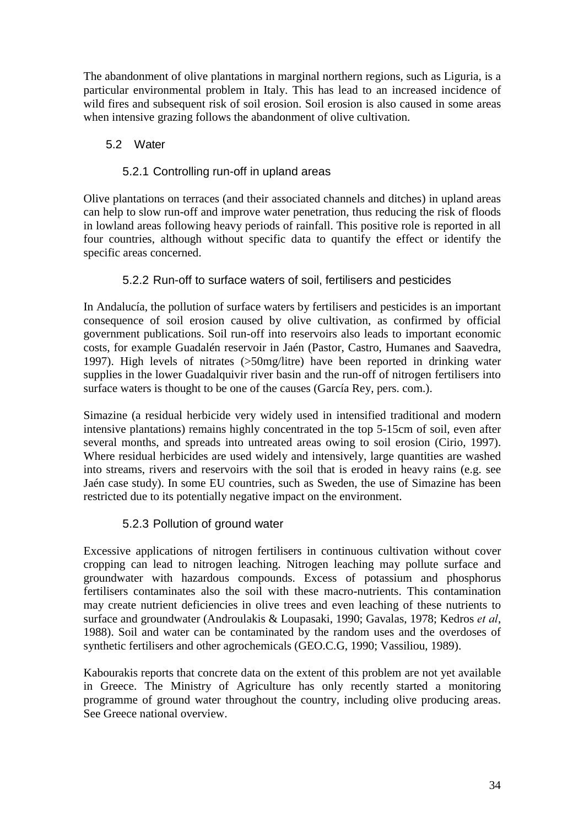The abandonment of olive plantations in marginal northern regions, such as Liguria, is a particular environmental problem in Italy. This has lead to an increased incidence of wild fires and subsequent risk of soil erosion. Soil erosion is also caused in some areas when intensive grazing follows the abandonment of olive cultivation.

# 5.2 Water

# 5.2.1 Controlling run-off in upland areas

Olive plantations on terraces (and their associated channels and ditches) in upland areas can help to slow run-off and improve water penetration, thus reducing the risk of floods in lowland areas following heavy periods of rainfall. This positive role is reported in all four countries, although without specific data to quantify the effect or identify the specific areas concerned.

# 5.2.2 Run-off to surface waters of soil, fertilisers and pesticides

In Andalucía, the pollution of surface waters by fertilisers and pesticides is an important consequence of soil erosion caused by olive cultivation, as confirmed by official government publications. Soil run-off into reservoirs also leads to important economic costs, for example Guadalén reservoir in Jaén (Pastor, Castro, Humanes and Saavedra, 1997). High levels of nitrates (>50mg/litre) have been reported in drinking water supplies in the lower Guadalquivir river basin and the run-off of nitrogen fertilisers into surface waters is thought to be one of the causes (García Rey, pers. com.).

Simazine (a residual herbicide very widely used in intensified traditional and modern intensive plantations) remains highly concentrated in the top 5-15cm of soil, even after several months, and spreads into untreated areas owing to soil erosion (Cirio, 1997). Where residual herbicides are used widely and intensively, large quantities are washed into streams, rivers and reservoirs with the soil that is eroded in heavy rains (e.g. see Jaén case study). In some EU countries, such as Sweden, the use of Simazine has been restricted due to its potentially negative impact on the environment.

# 5.2.3 Pollution of ground water

Excessive applications of nitrogen fertilisers in continuous cultivation without cover cropping can lead to nitrogen leaching. Nitrogen leaching may pollute surface and groundwater with hazardous compounds. Excess of potassium and phosphorus fertilisers contaminates also the soil with these macro-nutrients. This contamination may create nutrient deficiencies in olive trees and even leaching of these nutrients to surface and groundwater (Androulakis & Loupasaki, 1990; Gavalas, 1978; Kedros *et al*, 1988). Soil and water can be contaminated by the random uses and the overdoses of synthetic fertilisers and other agrochemicals (GEO.C.G, 1990; Vassiliou, 1989).

Kabourakis reports that concrete data on the extent of this problem are not yet available in Greece. The Ministry of Agriculture has only recently started a monitoring programme of ground water throughout the country, including olive producing areas. See Greece national overview.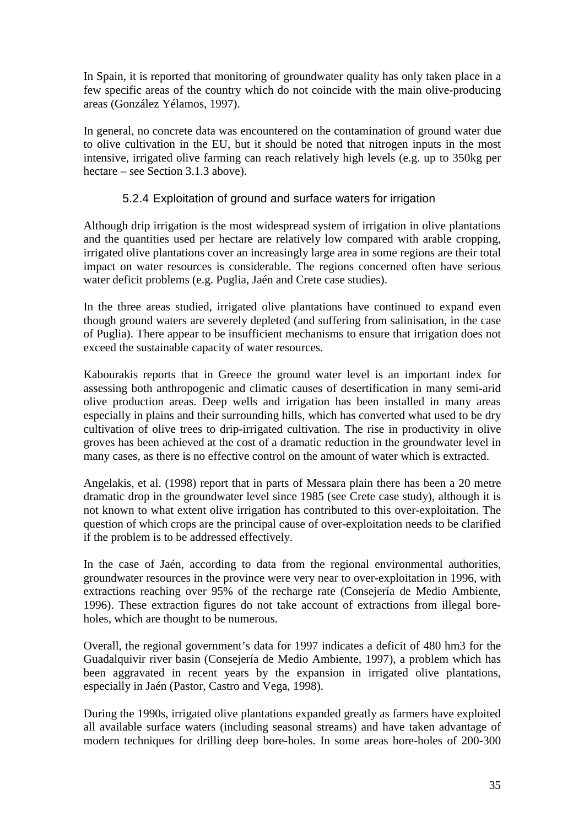In Spain, it is reported that monitoring of groundwater quality has only taken place in a few specific areas of the country which do not coincide with the main olive-producing areas (González Yélamos, 1997).

In general, no concrete data was encountered on the contamination of ground water due to olive cultivation in the EU, but it should be noted that nitrogen inputs in the most intensive, irrigated olive farming can reach relatively high levels (e.g. up to 350kg per hectare – see Section 3.1.3 above).

### 5.2.4 Exploitation of ground and surface waters for irrigation

Although drip irrigation is the most widespread system of irrigation in olive plantations and the quantities used per hectare are relatively low compared with arable cropping, irrigated olive plantations cover an increasingly large area in some regions are their total impact on water resources is considerable. The regions concerned often have serious water deficit problems (e.g. Puglia, Jaén and Crete case studies).

In the three areas studied, irrigated olive plantations have continued to expand even though ground waters are severely depleted (and suffering from salinisation, in the case of Puglia). There appear to be insufficient mechanisms to ensure that irrigation does not exceed the sustainable capacity of water resources.

Kabourakis reports that in Greece the ground water level is an important index for assessing both anthropogenic and climatic causes of desertification in many semi-arid olive production areas. Deep wells and irrigation has been installed in many areas especially in plains and their surrounding hills, which has converted what used to be dry cultivation of olive trees to drip-irrigated cultivation. The rise in productivity in olive groves has been achieved at the cost of a dramatic reduction in the groundwater level in many cases, as there is no effective control on the amount of water which is extracted.

Angelakis, et al. (1998) report that in parts of Messara plain there has been a 20 metre dramatic drop in the groundwater level since 1985 (see Crete case study), although it is not known to what extent olive irrigation has contributed to this over-exploitation. The question of which crops are the principal cause of over-exploitation needs to be clarified if the problem is to be addressed effectively.

In the case of Jaén, according to data from the regional environmental authorities, groundwater resources in the province were very near to over-exploitation in 1996, with extractions reaching over 95% of the recharge rate (Consejería de Medio Ambiente, 1996). These extraction figures do not take account of extractions from illegal boreholes, which are thought to be numerous.

Overall, the regional government's data for 1997 indicates a deficit of 480 hm3 for the Guadalquivir river basin (Consejería de Medio Ambiente, 1997), a problem which has been aggravated in recent years by the expansion in irrigated olive plantations, especially in Jaén (Pastor, Castro and Vega, 1998).

During the 1990s, irrigated olive plantations expanded greatly as farmers have exploited all available surface waters (including seasonal streams) and have taken advantage of modern techniques for drilling deep bore-holes. In some areas bore-holes of 200-300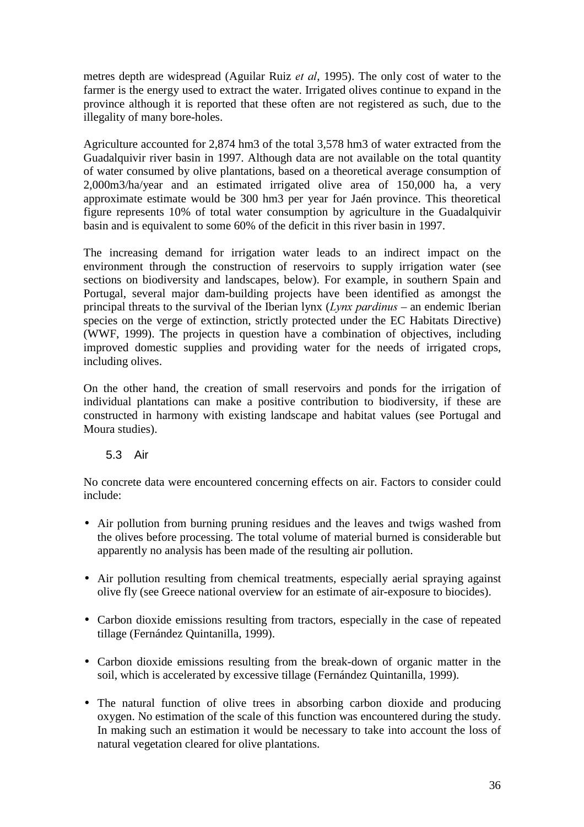metres depth are widespread (Aguilar Ruiz *et al*, 1995). The only cost of water to the farmer is the energy used to extract the water. Irrigated olives continue to expand in the province although it is reported that these often are not registered as such, due to the illegality of many bore-holes.

Agriculture accounted for 2,874 hm3 of the total 3,578 hm3 of water extracted from the Guadalquivir river basin in 1997. Although data are not available on the total quantity of water consumed by olive plantations, based on a theoretical average consumption of 2,000m3/ha/year and an estimated irrigated olive area of 150,000 ha, a very approximate estimate would be 300 hm3 per year for Jaén province. This theoretical figure represents 10% of total water consumption by agriculture in the Guadalquivir basin and is equivalent to some 60% of the deficit in this river basin in 1997.

The increasing demand for irrigation water leads to an indirect impact on the environment through the construction of reservoirs to supply irrigation water (see sections on biodiversity and landscapes, below). For example, in southern Spain and Portugal, several major dam-building projects have been identified as amongst the principal threats to the survival of the Iberian lynx  $(Lvnx\,partial x)$  – an endemic Iberian species on the verge of extinction, strictly protected under the EC Habitats Directive) (WWF, 1999). The projects in question have a combination of objectives, including improved domestic supplies and providing water for the needs of irrigated crops, including olives.

On the other hand, the creation of small reservoirs and ponds for the irrigation of individual plantations can make a positive contribution to biodiversity, if these are constructed in harmony with existing landscape and habitat values (see Portugal and Moura studies).

# 5.3 Air

No concrete data were encountered concerning effects on air. Factors to consider could include:

- Air pollution from burning pruning residues and the leaves and twigs washed from the olives before processing. The total volume of material burned is considerable but apparently no analysis has been made of the resulting air pollution.
- Air pollution resulting from chemical treatments, especially aerial spraying against olive fly (see Greece national overview for an estimate of air-exposure to biocides).
- Carbon dioxide emissions resulting from tractors, especially in the case of repeated tillage (Fernández Quintanilla, 1999).
- Carbon dioxide emissions resulting from the break-down of organic matter in the soil, which is accelerated by excessive tillage (Fernández Quintanilla, 1999).
- The natural function of olive trees in absorbing carbon dioxide and producing oxygen. No estimation of the scale of this function was encountered during the study. In making such an estimation it would be necessary to take into account the loss of natural vegetation cleared for olive plantations.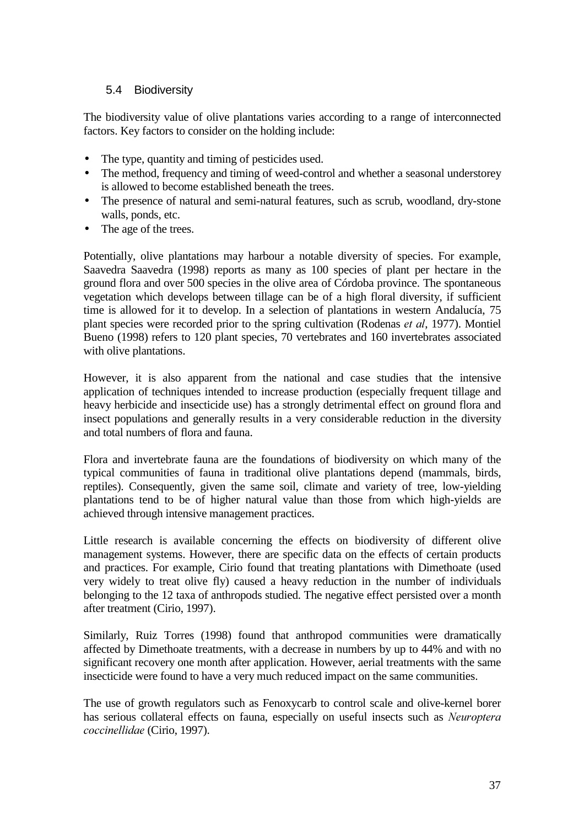### 5.4 Biodiversity

The biodiversity value of olive plantations varies according to a range of interconnected factors. Key factors to consider on the holding include:

- The type, quantity and timing of pesticides used.
- The method, frequency and timing of weed-control and whether a seasonal understorey is allowed to become established beneath the trees.
- The presence of natural and semi-natural features, such as scrub, woodland, dry-stone walls, ponds, etc.
- The age of the trees.

Potentially, olive plantations may harbour a notable diversity of species. For example, Saavedra Saavedra (1998) reports as many as 100 species of plant per hectare in the ground flora and over 500 species in the olive area of Córdoba province. The spontaneous vegetation which develops between tillage can be of a high floral diversity, if sufficient time is allowed for it to develop. In a selection of plantations in western Andalucía, 75 plant species were recorded prior to the spring cultivation (Rodenas *et al*, 1977). Montiel Bueno (1998) refers to 120 plant species, 70 vertebrates and 160 invertebrates associated with olive plantations.

However, it is also apparent from the national and case studies that the intensive application of techniques intended to increase production (especially frequent tillage and heavy herbicide and insecticide use) has a strongly detrimental effect on ground flora and insect populations and generally results in a very considerable reduction in the diversity and total numbers of flora and fauna.

Flora and invertebrate fauna are the foundations of biodiversity on which many of the typical communities of fauna in traditional olive plantations depend (mammals, birds, reptiles). Consequently, given the same soil, climate and variety of tree, low-yielding plantations tend to be of higher natural value than those from which high-yields are achieved through intensive management practices.

Little research is available concerning the effects on biodiversity of different olive management systems. However, there are specific data on the effects of certain products and practices. For example, Cirio found that treating plantations with Dimethoate (used very widely to treat olive fly) caused a heavy reduction in the number of individuals belonging to the 12 taxa of anthropods studied. The negative effect persisted over a month after treatment (Cirio, 1997).

Similarly, Ruiz Torres (1998) found that anthropod communities were dramatically affected by Dimethoate treatments, with a decrease in numbers by up to 44% and with no significant recovery one month after application. However, aerial treatments with the same insecticide were found to have a very much reduced impact on the same communities.

The use of growth regulators such as Fenoxycarb to control scale and olive-kernel borer has serious collateral effects on fauna, especially on useful insects such as *Neuroptera FRFFLQHOOLGDH* (Cirio, 1997).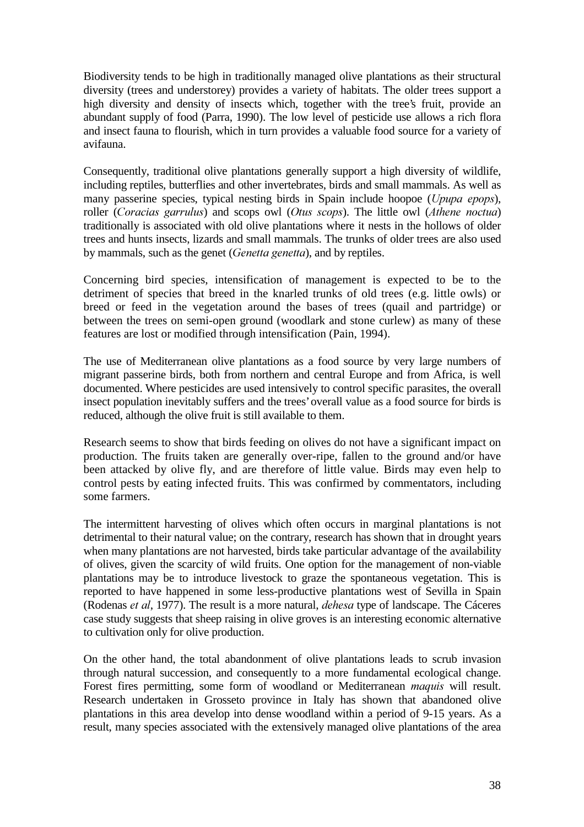Biodiversity tends to be high in traditionally managed olive plantations as their structural diversity (trees and understorey) provides a variety of habitats. The older trees support a high diversity and density of insects which, together with the tree's fruit, provide an abundant supply of food (Parra, 1990). The low level of pesticide use allows a rich flora and insect fauna to flourish, which in turn provides a valuable food source for a variety of avifauna.

Consequently, traditional olive plantations generally support a high diversity of wildlife, including reptiles, butterflies and other invertebrates, birds and small mammals. As well as many passerine species, typical nesting birds in Spain include hoopoe (*Upupa epops*), roller *(Coracias garrulus)* and scops owl *(Otus scops)*. The little owl *(Athene noctua)* traditionally is associated with old olive plantations where it nests in the hollows of older trees and hunts insects, lizards and small mammals. The trunks of older trees are also used by mammals, such as the genet (*Genetta genetta*), and by reptiles.

Concerning bird species, intensification of management is expected to be to the detriment of species that breed in the knarled trunks of old trees (e.g. little owls) or breed or feed in the vegetation around the bases of trees (quail and partridge) or between the trees on semi-open ground (woodlark and stone curlew) as many of these features are lost or modified through intensification (Pain, 1994).

The use of Mediterranean olive plantations as a food source by very large numbers of migrant passerine birds, both from northern and central Europe and from Africa, is well documented. Where pesticides are used intensively to control specific parasites, the overall insect population inevitably suffers and the trees' overall value as a food source for birds is reduced, although the olive fruit is still available to them.

Research seems to show that birds feeding on olives do not have a significant impact on production. The fruits taken are generally over-ripe, fallen to the ground and/or have been attacked by olive fly, and are therefore of little value. Birds may even help to control pests by eating infected fruits. This was confirmed by commentators, including some farmers.

The intermittent harvesting of olives which often occurs in marginal plantations is not detrimental to their natural value; on the contrary, research has shown that in drought years when many plantations are not harvested, birds take particular advantage of the availability of olives, given the scarcity of wild fruits. One option for the management of non-viable plantations may be to introduce livestock to graze the spontaneous vegetation. This is reported to have happened in some less-productive plantations west of Sevilla in Spain (Rodenas *et al*, 1977). The result is a more natural, *dehesa* type of landscape. The Cáceres case study suggests that sheep raising in olive groves is an interesting economic alternative to cultivation only for olive production.

On the other hand, the total abandonment of olive plantations leads to scrub invasion through natural succession, and consequently to a more fundamental ecological change. Forest fires permitting, some form of woodland or Mediterranean *maquis* will result. Research undertaken in Grosseto province in Italy has shown that abandoned olive plantations in this area develop into dense woodland within a period of 9-15 years. As a result, many species associated with the extensively managed olive plantations of the area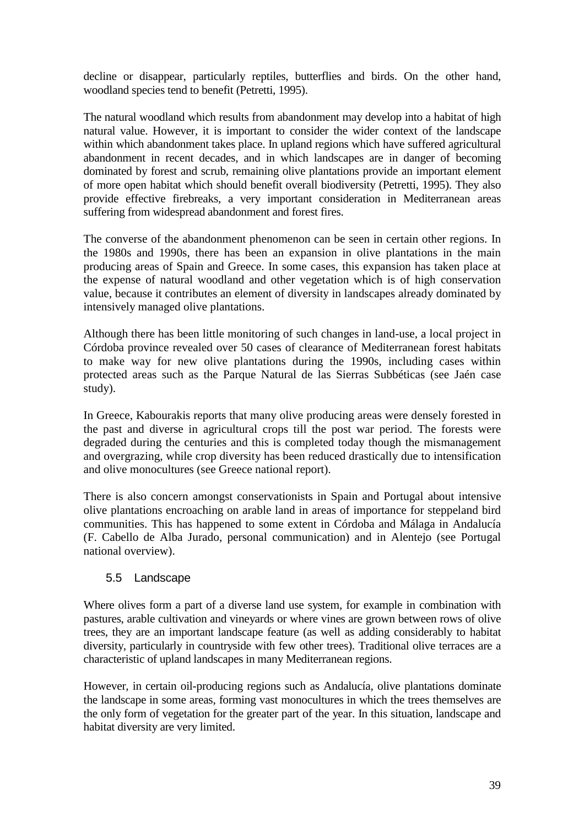decline or disappear, particularly reptiles, butterflies and birds. On the other hand, woodland species tend to benefit (Petretti, 1995).

The natural woodland which results from abandonment may develop into a habitat of high natural value. However, it is important to consider the wider context of the landscape within which abandonment takes place. In upland regions which have suffered agricultural abandonment in recent decades, and in which landscapes are in danger of becoming dominated by forest and scrub, remaining olive plantations provide an important element of more open habitat which should benefit overall biodiversity (Petretti, 1995). They also provide effective firebreaks, a very important consideration in Mediterranean areas suffering from widespread abandonment and forest fires.

The converse of the abandonment phenomenon can be seen in certain other regions. In the 1980s and 1990s, there has been an expansion in olive plantations in the main producing areas of Spain and Greece. In some cases, this expansion has taken place at the expense of natural woodland and other vegetation which is of high conservation value, because it contributes an element of diversity in landscapes already dominated by intensively managed olive plantations.

Although there has been little monitoring of such changes in land-use, a local project in Córdoba province revealed over 50 cases of clearance of Mediterranean forest habitats to make way for new olive plantations during the 1990s, including cases within protected areas such as the Parque Natural de las Sierras Subbéticas (see Jaén case study).

In Greece, Kabourakis reports that many olive producing areas were densely forested in the past and diverse in agricultural crops till the post war period. The forests were degraded during the centuries and this is completed today though the mismanagement and overgrazing, while crop diversity has been reduced drastically due to intensification and olive monocultures (see Greece national report).

There is also concern amongst conservationists in Spain and Portugal about intensive olive plantations encroaching on arable land in areas of importance for steppeland bird communities. This has happened to some extent in Córdoba and Málaga in Andalucía (F. Cabello de Alba Jurado, personal communication) and in Alentejo (see Portugal national overview).

# 5.5 Landscape

Where olives form a part of a diverse land use system, for example in combination with pastures, arable cultivation and vineyards or where vines are grown between rows of olive trees, they are an important landscape feature (as well as adding considerably to habitat diversity, particularly in countryside with few other trees). Traditional olive terraces are a characteristic of upland landscapes in many Mediterranean regions.

However, in certain oil-producing regions such as Andalucía, olive plantations dominate the landscape in some areas, forming vast monocultures in which the trees themselves are the only form of vegetation for the greater part of the year. In this situation, landscape and habitat diversity are very limited.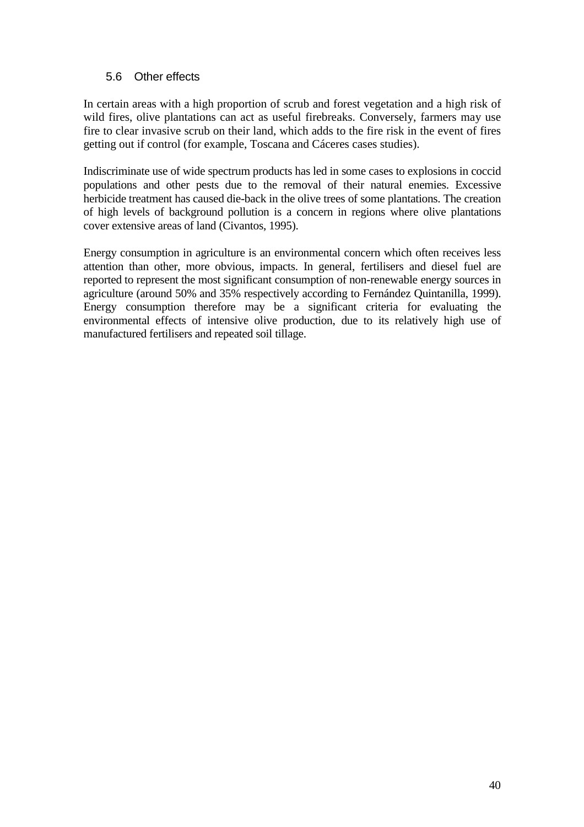### 5.6 Other effects

In certain areas with a high proportion of scrub and forest vegetation and a high risk of wild fires, olive plantations can act as useful firebreaks. Conversely, farmers may use fire to clear invasive scrub on their land, which adds to the fire risk in the event of fires getting out if control (for example, Toscana and Cáceres cases studies).

Indiscriminate use of wide spectrum products has led in some cases to explosions in coccid populations and other pests due to the removal of their natural enemies. Excessive herbicide treatment has caused die-back in the olive trees of some plantations. The creation of high levels of background pollution is a concern in regions where olive plantations cover extensive areas of land (Civantos, 1995).

Energy consumption in agriculture is an environmental concern which often receives less attention than other, more obvious, impacts. In general, fertilisers and diesel fuel are reported to represent the most significant consumption of non-renewable energy sources in agriculture (around 50% and 35% respectively according to Fernández Quintanilla, 1999). Energy consumption therefore may be a significant criteria for evaluating the environmental effects of intensive olive production, due to its relatively high use of manufactured fertilisers and repeated soil tillage.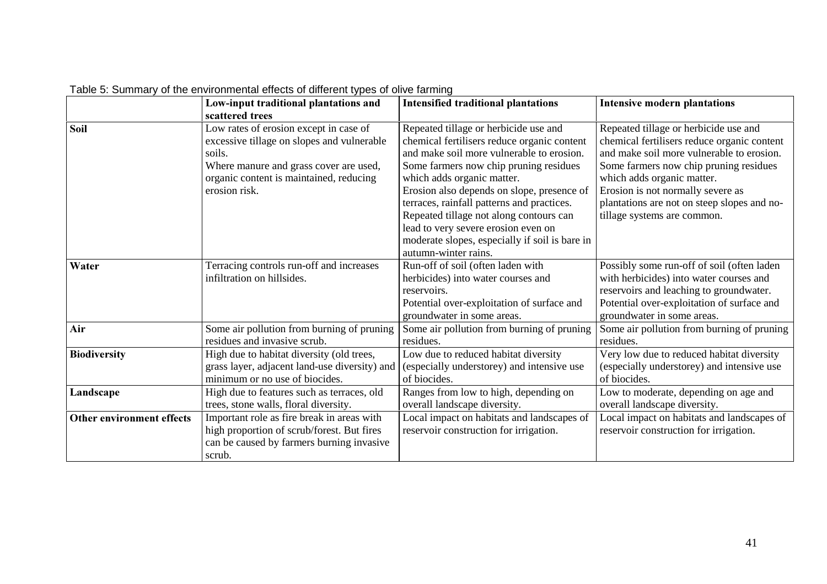|                                  | Low-input traditional plantations and                                                                                                                                                                | <b>Intensified traditional plantations</b>                                                                                                                                                                                                                                                                                                                                                                                                                        | <b>Intensive modern plantations</b>                                                                                                                                                                                                                                                                                          |
|----------------------------------|------------------------------------------------------------------------------------------------------------------------------------------------------------------------------------------------------|-------------------------------------------------------------------------------------------------------------------------------------------------------------------------------------------------------------------------------------------------------------------------------------------------------------------------------------------------------------------------------------------------------------------------------------------------------------------|------------------------------------------------------------------------------------------------------------------------------------------------------------------------------------------------------------------------------------------------------------------------------------------------------------------------------|
|                                  | scattered trees                                                                                                                                                                                      |                                                                                                                                                                                                                                                                                                                                                                                                                                                                   |                                                                                                                                                                                                                                                                                                                              |
| <b>Soil</b>                      | Low rates of erosion except in case of<br>excessive tillage on slopes and vulnerable<br>soils.<br>Where manure and grass cover are used,<br>organic content is maintained, reducing<br>erosion risk. | Repeated tillage or herbicide use and<br>chemical fertilisers reduce organic content<br>and make soil more vulnerable to erosion.<br>Some farmers now chip pruning residues<br>which adds organic matter.<br>Erosion also depends on slope, presence of<br>terraces, rainfall patterns and practices.<br>Repeated tillage not along contours can<br>lead to very severe erosion even on<br>moderate slopes, especially if soil is bare in<br>autumn-winter rains. | Repeated tillage or herbicide use and<br>chemical fertilisers reduce organic content<br>and make soil more vulnerable to erosion.<br>Some farmers now chip pruning residues<br>which adds organic matter.<br>Erosion is not normally severe as<br>plantations are not on steep slopes and no-<br>tillage systems are common. |
| Water                            | Terracing controls run-off and increases<br>infiltration on hillsides.                                                                                                                               | Run-off of soil (often laden with<br>herbicides) into water courses and<br>reservoirs.<br>Potential over-exploitation of surface and<br>groundwater in some areas.                                                                                                                                                                                                                                                                                                | Possibly some run-off of soil (often laden<br>with herbicides) into water courses and<br>reservoirs and leaching to groundwater.<br>Potential over-exploitation of surface and<br>groundwater in some areas.                                                                                                                 |
| Air                              | Some air pollution from burning of pruning<br>residues and invasive scrub.                                                                                                                           | Some air pollution from burning of pruning<br>residues.                                                                                                                                                                                                                                                                                                                                                                                                           | Some air pollution from burning of pruning<br>residues.                                                                                                                                                                                                                                                                      |
| <b>Biodiversity</b>              | High due to habitat diversity (old trees,<br>grass layer, adjacent land-use diversity) and<br>minimum or no use of biocides.                                                                         | Low due to reduced habitat diversity<br>(especially understorey) and intensive use<br>of biocides.                                                                                                                                                                                                                                                                                                                                                                | Very low due to reduced habitat diversity<br>(especially understorey) and intensive use<br>of biocides.                                                                                                                                                                                                                      |
| Landscape                        | High due to features such as terraces, old<br>trees, stone walls, floral diversity.                                                                                                                  | Ranges from low to high, depending on<br>overall landscape diversity.                                                                                                                                                                                                                                                                                                                                                                                             | Low to moderate, depending on age and<br>overall landscape diversity.                                                                                                                                                                                                                                                        |
| <b>Other environment effects</b> | Important role as fire break in areas with<br>high proportion of scrub/forest. But fires<br>can be caused by farmers burning invasive<br>scrub.                                                      | Local impact on habitats and landscapes of<br>reservoir construction for irrigation.                                                                                                                                                                                                                                                                                                                                                                              | Local impact on habitats and landscapes of<br>reservoir construction for irrigation.                                                                                                                                                                                                                                         |

Table 5: Summary of the environmental effects of different types of olive farming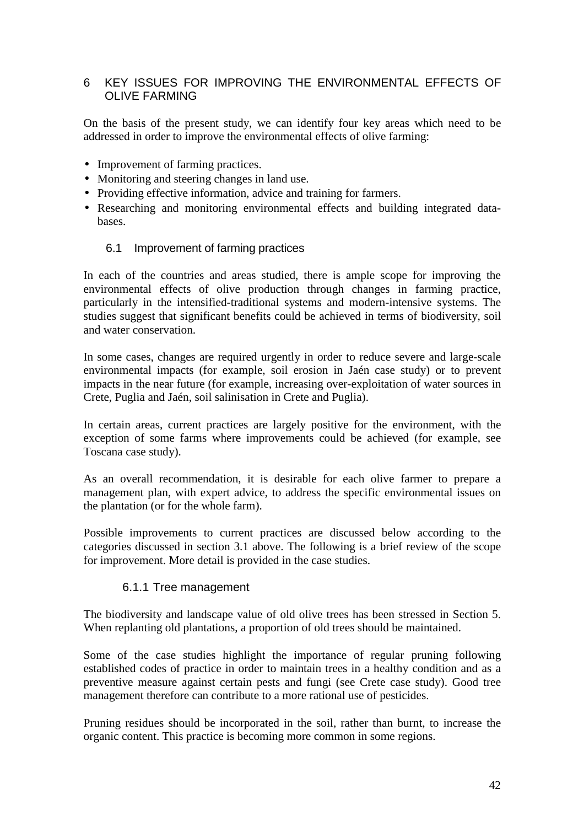### 6 KEY ISSUES FOR IMPROVING THE ENVIRONMENTAL EFFECTS OF OLIVE FARMING

On the basis of the present study, we can identify four key areas which need to be addressed in order to improve the environmental effects of olive farming:

- Improvement of farming practices.
- Monitoring and steering changes in land use.
- Providing effective information, advice and training for farmers.
- Researching and monitoring environmental effects and building integrated databases.

#### 6.1 Improvement of farming practices

In each of the countries and areas studied, there is ample scope for improving the environmental effects of olive production through changes in farming practice, particularly in the intensified-traditional systems and modern-intensive systems. The studies suggest that significant benefits could be achieved in terms of biodiversity, soil and water conservation.

In some cases, changes are required urgently in order to reduce severe and large-scale environmental impacts (for example, soil erosion in Jaén case study) or to prevent impacts in the near future (for example, increasing over-exploitation of water sources in Crete, Puglia and Jaén, soil salinisation in Crete and Puglia).

In certain areas, current practices are largely positive for the environment, with the exception of some farms where improvements could be achieved (for example, see Toscana case study).

As an overall recommendation, it is desirable for each olive farmer to prepare a management plan, with expert advice, to address the specific environmental issues on the plantation (or for the whole farm).

Possible improvements to current practices are discussed below according to the categories discussed in section 3.1 above. The following is a brief review of the scope for improvement. More detail is provided in the case studies.

#### 6.1.1 Tree management

The biodiversity and landscape value of old olive trees has been stressed in Section 5. When replanting old plantations, a proportion of old trees should be maintained.

Some of the case studies highlight the importance of regular pruning following established codes of practice in order to maintain trees in a healthy condition and as a preventive measure against certain pests and fungi (see Crete case study). Good tree management therefore can contribute to a more rational use of pesticides.

Pruning residues should be incorporated in the soil, rather than burnt, to increase the organic content. This practice is becoming more common in some regions.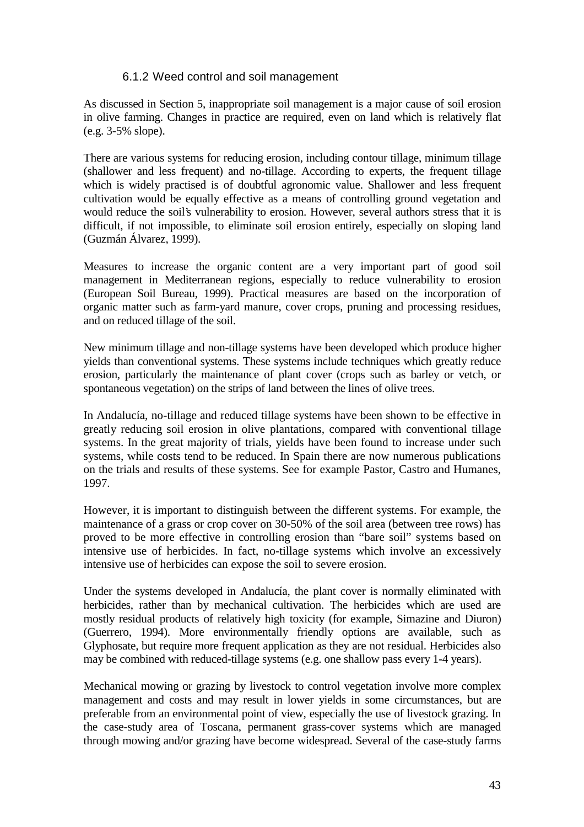#### 6.1.2 Weed control and soil management

As discussed in Section 5, inappropriate soil management is a major cause of soil erosion in olive farming. Changes in practice are required, even on land which is relatively flat (e.g. 3-5% slope).

There are various systems for reducing erosion, including contour tillage, minimum tillage (shallower and less frequent) and no-tillage. According to experts, the frequent tillage which is widely practised is of doubtful agronomic value. Shallower and less frequent cultivation would be equally effective as a means of controlling ground vegetation and would reduce the soil's vulnerability to erosion. However, several authors stress that it is difficult, if not impossible, to eliminate soil erosion entirely, especially on sloping land (Guzmán Álvarez, 1999).

Measures to increase the organic content are a very important part of good soil management in Mediterranean regions, especially to reduce vulnerability to erosion (European Soil Bureau, 1999). Practical measures are based on the incorporation of organic matter such as farm-yard manure, cover crops, pruning and processing residues, and on reduced tillage of the soil.

New minimum tillage and non-tillage systems have been developed which produce higher yields than conventional systems. These systems include techniques which greatly reduce erosion, particularly the maintenance of plant cover (crops such as barley or vetch, or spontaneous vegetation) on the strips of land between the lines of olive trees.

In Andalucía, no-tillage and reduced tillage systems have been shown to be effective in greatly reducing soil erosion in olive plantations, compared with conventional tillage systems. In the great majority of trials, yields have been found to increase under such systems, while costs tend to be reduced. In Spain there are now numerous publications on the trials and results of these systems. See for example Pastor, Castro and Humanes, 1997.

However, it is important to distinguish between the different systems. For example, the maintenance of a grass or crop cover on 30-50% of the soil area (between tree rows) has proved to be more effective in controlling erosion than "bare soil" systems based on intensive use of herbicides. In fact, no-tillage systems which involve an excessively intensive use of herbicides can expose the soil to severe erosion.

Under the systems developed in Andalucía, the plant cover is normally eliminated with herbicides, rather than by mechanical cultivation. The herbicides which are used are mostly residual products of relatively high toxicity (for example, Simazine and Diuron) (Guerrero, 1994). More environmentally friendly options are available, such as Glyphosate, but require more frequent application as they are not residual. Herbicides also may be combined with reduced-tillage systems (e.g. one shallow pass every 1-4 years).

Mechanical mowing or grazing by livestock to control vegetation involve more complex management and costs and may result in lower yields in some circumstances, but are preferable from an environmental point of view, especially the use of livestock grazing. In the case-study area of Toscana, permanent grass-cover systems which are managed through mowing and/or grazing have become widespread. Several of the case-study farms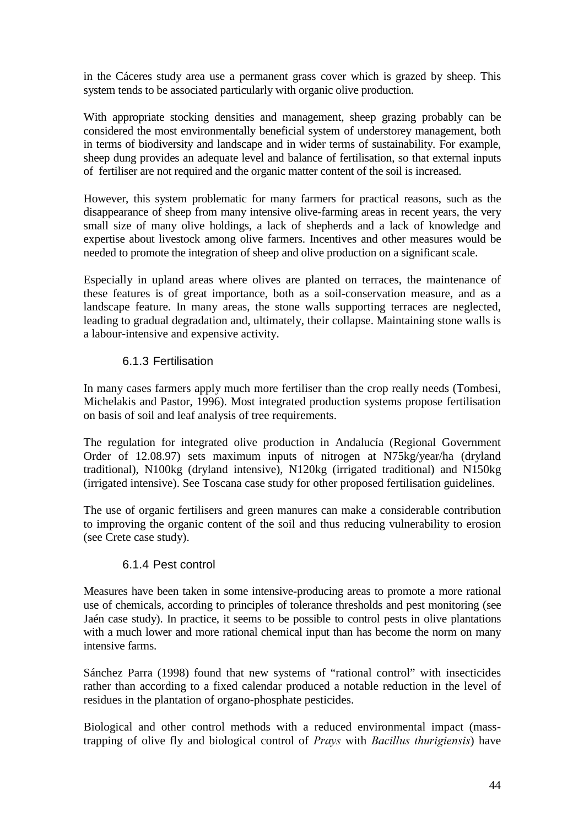in the Cáceres study area use a permanent grass cover which is grazed by sheep. This system tends to be associated particularly with organic olive production.

With appropriate stocking densities and management, sheep grazing probably can be considered the most environmentally beneficial system of understorey management, both in terms of biodiversity and landscape and in wider terms of sustainability. For example, sheep dung provides an adequate level and balance of fertilisation, so that external inputs of fertiliser are not required and the organic matter content of the soil is increased.

However, this system problematic for many farmers for practical reasons, such as the disappearance of sheep from many intensive olive-farming areas in recent years, the very small size of many olive holdings, a lack of shepherds and a lack of knowledge and expertise about livestock among olive farmers. Incentives and other measures would be needed to promote the integration of sheep and olive production on a significant scale.

Especially in upland areas where olives are planted on terraces, the maintenance of these features is of great importance, both as a soil-conservation measure, and as a landscape feature. In many areas, the stone walls supporting terraces are neglected, leading to gradual degradation and, ultimately, their collapse. Maintaining stone walls is a labour-intensive and expensive activity.

### 6.1.3 Fertilisation

In many cases farmers apply much more fertiliser than the crop really needs (Tombesi, Michelakis and Pastor, 1996). Most integrated production systems propose fertilisation on basis of soil and leaf analysis of tree requirements.

The regulation for integrated olive production in Andalucía (Regional Government Order of 12.08.97) sets maximum inputs of nitrogen at N75kg/year/ha (dryland traditional), N100kg (dryland intensive), N120kg (irrigated traditional) and N150kg (irrigated intensive). See Toscana case study for other proposed fertilisation guidelines.

The use of organic fertilisers and green manures can make a considerable contribution to improving the organic content of the soil and thus reducing vulnerability to erosion (see Crete case study).

### 6.1.4 Pest control

Measures have been taken in some intensive-producing areas to promote a more rational use of chemicals, according to principles of tolerance thresholds and pest monitoring (see Jaén case study). In practice, it seems to be possible to control pests in olive plantations with a much lower and more rational chemical input than has become the norm on many intensive farms.

Sánchez Parra (1998) found that new systems of "rational control" with insecticides rather than according to a fixed calendar produced a notable reduction in the level of residues in the plantation of organo-phosphate pesticides.

Biological and other control methods with a reduced environmental impact (masstrapping of olive fly and biological control of *Prays* with *Bacillus thurigiensis*) have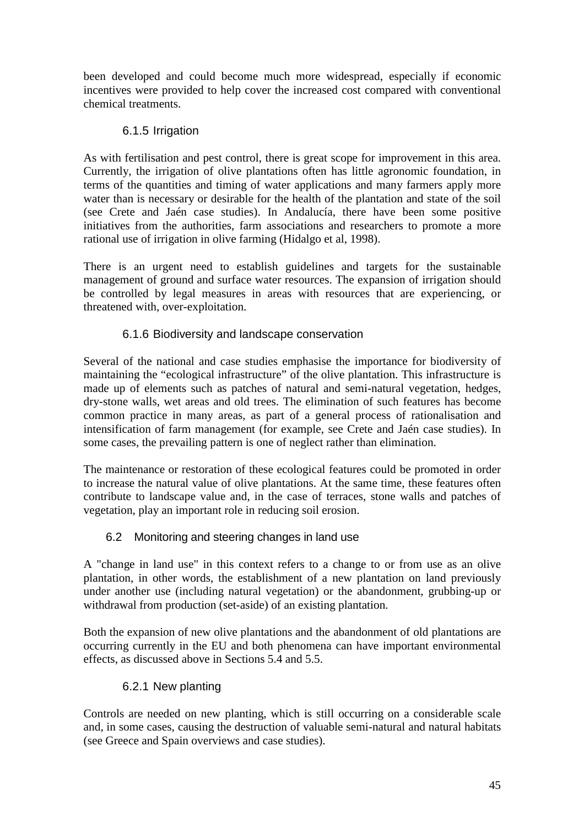been developed and could become much more widespread, especially if economic incentives were provided to help cover the increased cost compared with conventional chemical treatments.

# 6.1.5 Irrigation

As with fertilisation and pest control, there is great scope for improvement in this area. Currently, the irrigation of olive plantations often has little agronomic foundation, in terms of the quantities and timing of water applications and many farmers apply more water than is necessary or desirable for the health of the plantation and state of the soil (see Crete and Jaén case studies). In Andalucía, there have been some positive initiatives from the authorities, farm associations and researchers to promote a more rational use of irrigation in olive farming (Hidalgo et al, 1998).

There is an urgent need to establish guidelines and targets for the sustainable management of ground and surface water resources. The expansion of irrigation should be controlled by legal measures in areas with resources that are experiencing, or threatened with, over-exploitation.

# 6.1.6 Biodiversity and landscape conservation

Several of the national and case studies emphasise the importance for biodiversity of maintaining the "ecological infrastructure" of the olive plantation. This infrastructure is made up of elements such as patches of natural and semi-natural vegetation, hedges, dry-stone walls, wet areas and old trees. The elimination of such features has become common practice in many areas, as part of a general process of rationalisation and intensification of farm management (for example, see Crete and Jaén case studies). In some cases, the prevailing pattern is one of neglect rather than elimination.

The maintenance or restoration of these ecological features could be promoted in order to increase the natural value of olive plantations. At the same time, these features often contribute to landscape value and, in the case of terraces, stone walls and patches of vegetation, play an important role in reducing soil erosion.

# 6.2 Monitoring and steering changes in land use

A "change in land use" in this context refers to a change to or from use as an olive plantation, in other words, the establishment of a new plantation on land previously under another use (including natural vegetation) or the abandonment, grubbing-up or withdrawal from production (set-aside) of an existing plantation.

Both the expansion of new olive plantations and the abandonment of old plantations are occurring currently in the EU and both phenomena can have important environmental effects, as discussed above in Sections 5.4 and 5.5.

# 6.2.1 New planting

Controls are needed on new planting, which is still occurring on a considerable scale and, in some cases, causing the destruction of valuable semi-natural and natural habitats (see Greece and Spain overviews and case studies).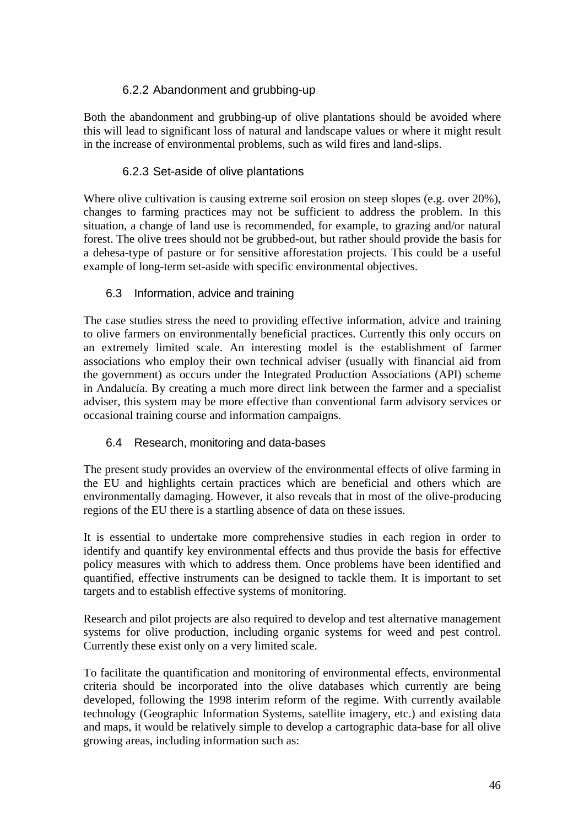# 6.2.2 Abandonment and grubbing-up

Both the abandonment and grubbing-up of olive plantations should be avoided where this will lead to significant loss of natural and landscape values or where it might result in the increase of environmental problems, such as wild fires and land-slips.

### 6.2.3 Set-aside of olive plantations

Where olive cultivation is causing extreme soil erosion on steep slopes (e.g. over 20%), changes to farming practices may not be sufficient to address the problem. In this situation, a change of land use is recommended, for example, to grazing and/or natural forest. The olive trees should not be grubbed-out, but rather should provide the basis for a dehesa-type of pasture or for sensitive afforestation projects. This could be a useful example of long-term set-aside with specific environmental objectives.

### 6.3 Information, advice and training

The case studies stress the need to providing effective information, advice and training to olive farmers on environmentally beneficial practices. Currently this only occurs on an extremely limited scale. An interesting model is the establishment of farmer associations who employ their own technical adviser (usually with financial aid from the government) as occurs under the Integrated Production Associations (API) scheme in Andalucía. By creating a much more direct link between the farmer and a specialist adviser, this system may be more effective than conventional farm advisory services or occasional training course and information campaigns.

# 6.4 Research, monitoring and data-bases

The present study provides an overview of the environmental effects of olive farming in the EU and highlights certain practices which are beneficial and others which are environmentally damaging. However, it also reveals that in most of the olive-producing regions of the EU there is a startling absence of data on these issues.

It is essential to undertake more comprehensive studies in each region in order to identify and quantify key environmental effects and thus provide the basis for effective policy measures with which to address them. Once problems have been identified and quantified, effective instruments can be designed to tackle them. It is important to set targets and to establish effective systems of monitoring.

Research and pilot projects are also required to develop and test alternative management systems for olive production, including organic systems for weed and pest control. Currently these exist only on a very limited scale.

To facilitate the quantification and monitoring of environmental effects, environmental criteria should be incorporated into the olive databases which currently are being developed, following the 1998 interim reform of the regime. With currently available technology (Geographic Information Systems, satellite imagery, etc.) and existing data and maps, it would be relatively simple to develop a cartographic data-base for all olive growing areas, including information such as: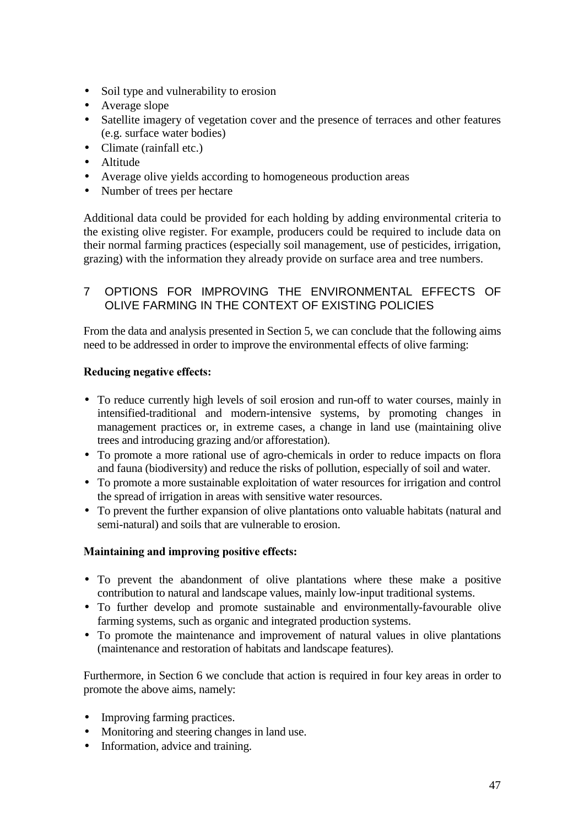- Soil type and vulnerability to erosion
- Average slope
- Satellite imagery of vegetation cover and the presence of terraces and other features (e.g. surface water bodies)
- Climate (rainfall etc.)
- Altitude
- Average olive yields according to homogeneous production areas
- Number of trees per hectare

Additional data could be provided for each holding by adding environmental criteria to the existing olive register. For example, producers could be required to include data on their normal farming practices (especially soil management, use of pesticides, irrigation, grazing) with the information they already provide on surface area and tree numbers.

### 7 OPTIONS FOR IMPROVING THE ENVIRONMENTAL EFFECTS OF OLIVE FARMING IN THE CONTEXT OF EXISTING POLICIES

From the data and analysis presented in Section 5, we can conclude that the following aims need to be addressed in order to improve the environmental effects of olive farming:

#### Reducing negative effects:

- To reduce currently high levels of soil erosion and run-off to water courses, mainly in intensified-traditional and modern-intensive systems, by promoting changes in management practices or, in extreme cases, a change in land use (maintaining olive trees and introducing grazing and/or afforestation).
- To promote a more rational use of agro-chemicals in order to reduce impacts on flora and fauna (biodiversity) and reduce the risks of pollution, especially of soil and water.
- To promote a more sustainable exploitation of water resources for irrigation and control the spread of irrigation in areas with sensitive water resources.
- To prevent the further expansion of olive plantations onto valuable habitats (natural and semi-natural) and soils that are vulnerable to erosion.

### Maintaining and improving positive effects:

- To prevent the abandonment of olive plantations where these make a positive contribution to natural and landscape values, mainly low-input traditional systems.
- To further develop and promote sustainable and environmentally-favourable olive farming systems, such as organic and integrated production systems.
- To promote the maintenance and improvement of natural values in olive plantations (maintenance and restoration of habitats and landscape features).

Furthermore, in Section 6 we conclude that action is required in four key areas in order to promote the above aims, namely:

- Improving farming practices.
- Monitoring and steering changes in land use.
- Information, advice and training.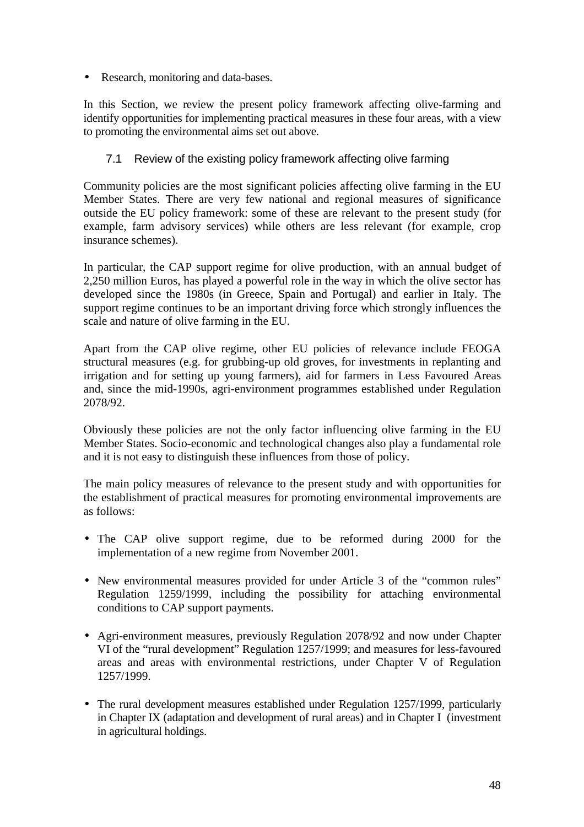• Research, monitoring and data-bases.

In this Section, we review the present policy framework affecting olive-farming and identify opportunities for implementing practical measures in these four areas, with a view to promoting the environmental aims set out above.

### 7.1 Review of the existing policy framework affecting olive farming

Community policies are the most significant policies affecting olive farming in the EU Member States. There are very few national and regional measures of significance outside the EU policy framework: some of these are relevant to the present study (for example, farm advisory services) while others are less relevant (for example, crop insurance schemes).

In particular, the CAP support regime for olive production, with an annual budget of 2,250 million Euros, has played a powerful role in the way in which the olive sector has developed since the 1980s (in Greece, Spain and Portugal) and earlier in Italy. The support regime continues to be an important driving force which strongly influences the scale and nature of olive farming in the EU.

Apart from the CAP olive regime, other EU policies of relevance include FEOGA structural measures (e.g. for grubbing-up old groves, for investments in replanting and irrigation and for setting up young farmers), aid for farmers in Less Favoured Areas and, since the mid-1990s, agri-environment programmes established under Regulation 2078/92.

Obviously these policies are not the only factor influencing olive farming in the EU Member States. Socio-economic and technological changes also play a fundamental role and it is not easy to distinguish these influences from those of policy.

The main policy measures of relevance to the present study and with opportunities for the establishment of practical measures for promoting environmental improvements are as follows:

- The CAP olive support regime, due to be reformed during 2000 for the implementation of a new regime from November 2001.
- New environmental measures provided for under Article 3 of the "common rules" Regulation 1259/1999, including the possibility for attaching environmental conditions to CAP support payments.
- Agri-environment measures, previously Regulation 2078/92 and now under Chapter VI of the "rural development" Regulation 1257/1999; and measures for less-favoured areas and areas with environmental restrictions, under Chapter V of Regulation 1257/1999.
- The rural development measures established under Regulation 1257/1999, particularly in Chapter IX (adaptation and development of rural areas) and in Chapter I (investment in agricultural holdings.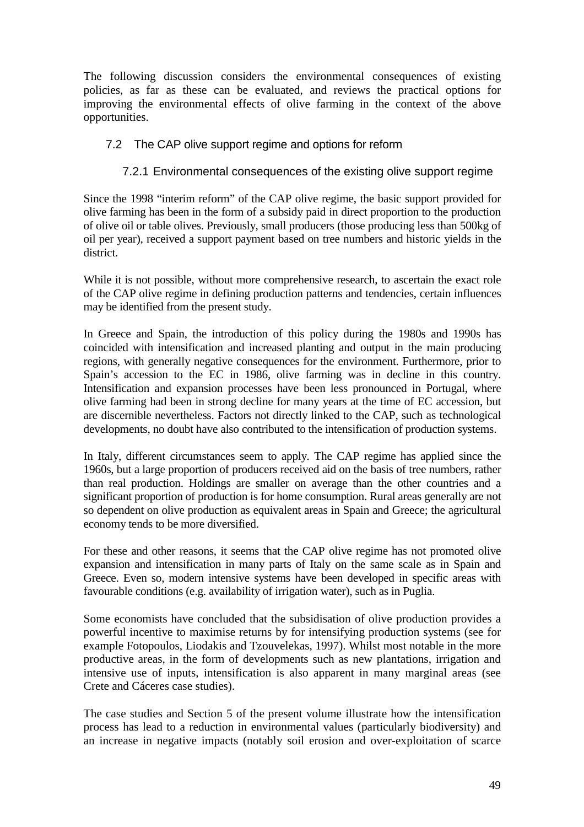The following discussion considers the environmental consequences of existing policies, as far as these can be evaluated, and reviews the practical options for improving the environmental effects of olive farming in the context of the above opportunities.

### 7.2 The CAP olive support regime and options for reform

### 7.2.1 Environmental consequences of the existing olive support regime

Since the 1998 "interim reform" of the CAP olive regime, the basic support provided for olive farming has been in the form of a subsidy paid in direct proportion to the production of olive oil or table olives. Previously, small producers (those producing less than 500kg of oil per year), received a support payment based on tree numbers and historic yields in the district.

While it is not possible, without more comprehensive research, to ascertain the exact role of the CAP olive regime in defining production patterns and tendencies, certain influences may be identified from the present study.

In Greece and Spain, the introduction of this policy during the 1980s and 1990s has coincided with intensification and increased planting and output in the main producing regions, with generally negative consequences for the environment. Furthermore, prior to Spain's accession to the EC in 1986, olive farming was in decline in this country. Intensification and expansion processes have been less pronounced in Portugal, where olive farming had been in strong decline for many years at the time of EC accession, but are discernible nevertheless. Factors not directly linked to the CAP, such as technological developments, no doubt have also contributed to the intensification of production systems.

In Italy, different circumstances seem to apply. The CAP regime has applied since the 1960s, but a large proportion of producers received aid on the basis of tree numbers, rather than real production. Holdings are smaller on average than the other countries and a significant proportion of production is for home consumption. Rural areas generally are not so dependent on olive production as equivalent areas in Spain and Greece; the agricultural economy tends to be more diversified.

For these and other reasons, it seems that the CAP olive regime has not promoted olive expansion and intensification in many parts of Italy on the same scale as in Spain and Greece. Even so, modern intensive systems have been developed in specific areas with favourable conditions (e.g. availability of irrigation water), such as in Puglia.

Some economists have concluded that the subsidisation of olive production provides a powerful incentive to maximise returns by for intensifying production systems (see for example Fotopoulos, Liodakis and Tzouvelekas, 1997). Whilst most notable in the more productive areas, in the form of developments such as new plantations, irrigation and intensive use of inputs, intensification is also apparent in many marginal areas (see Crete and Cáceres case studies).

The case studies and Section 5 of the present volume illustrate how the intensification process has lead to a reduction in environmental values (particularly biodiversity) and an increase in negative impacts (notably soil erosion and over-exploitation of scarce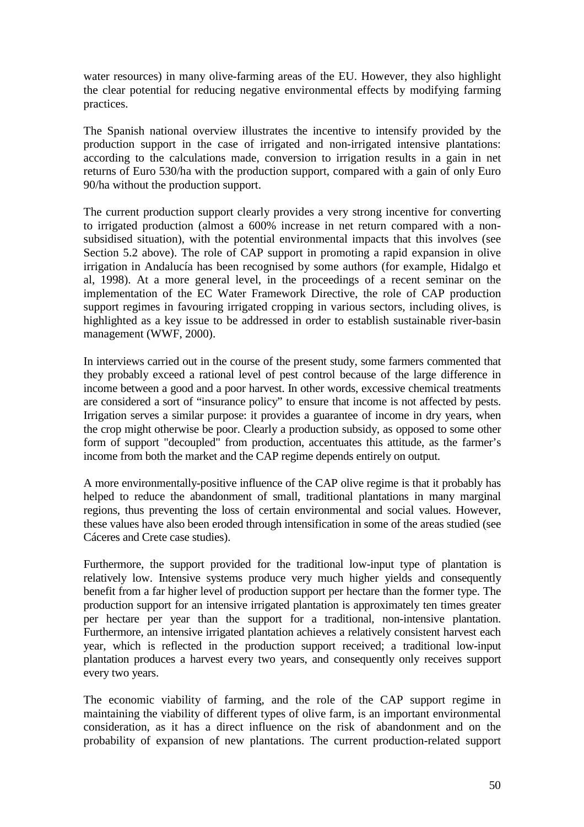water resources) in many olive-farming areas of the EU. However, they also highlight the clear potential for reducing negative environmental effects by modifying farming practices.

The Spanish national overview illustrates the incentive to intensify provided by the production support in the case of irrigated and non-irrigated intensive plantations: according to the calculations made, conversion to irrigation results in a gain in net returns of Euro 530/ha with the production support, compared with a gain of only Euro 90/ha without the production support.

The current production support clearly provides a very strong incentive for converting to irrigated production (almost a 600% increase in net return compared with a nonsubsidised situation), with the potential environmental impacts that this involves (see Section 5.2 above). The role of CAP support in promoting a rapid expansion in olive irrigation in Andalucía has been recognised by some authors (for example, Hidalgo et al, 1998). At a more general level, in the proceedings of a recent seminar on the implementation of the EC Water Framework Directive, the role of CAP production support regimes in favouring irrigated cropping in various sectors, including olives, is highlighted as a key issue to be addressed in order to establish sustainable river-basin management (WWF, 2000).

In interviews carried out in the course of the present study, some farmers commented that they probably exceed a rational level of pest control because of the large difference in income between a good and a poor harvest. In other words, excessive chemical treatments are considered a sort of "insurance policy" to ensure that income is not affected by pests. Irrigation serves a similar purpose: it provides a guarantee of income in dry years, when the crop might otherwise be poor. Clearly a production subsidy, as opposed to some other form of support "decoupled" from production, accentuates this attitude, as the farmer's income from both the market and the CAP regime depends entirely on output.

A more environmentally-positive influence of the CAP olive regime is that it probably has helped to reduce the abandonment of small, traditional plantations in many marginal regions, thus preventing the loss of certain environmental and social values. However, these values have also been eroded through intensification in some of the areas studied (see Cáceres and Crete case studies).

Furthermore, the support provided for the traditional low-input type of plantation is relatively low. Intensive systems produce very much higher yields and consequently benefit from a far higher level of production support per hectare than the former type. The production support for an intensive irrigated plantation is approximately ten times greater per hectare per year than the support for a traditional, non-intensive plantation. Furthermore, an intensive irrigated plantation achieves a relatively consistent harvest each year, which is reflected in the production support received; a traditional low-input plantation produces a harvest every two years, and consequently only receives support every two years.

The economic viability of farming, and the role of the CAP support regime in maintaining the viability of different types of olive farm, is an important environmental consideration, as it has a direct influence on the risk of abandonment and on the probability of expansion of new plantations. The current production-related support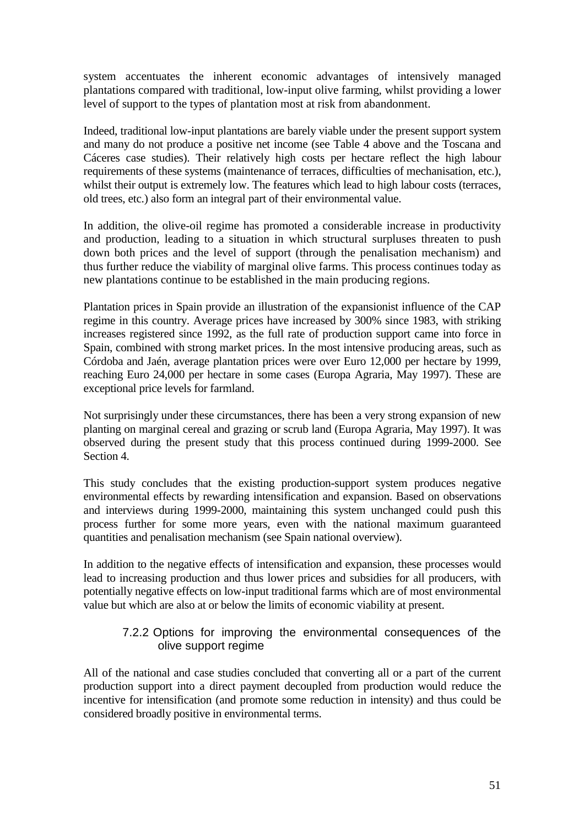system accentuates the inherent economic advantages of intensively managed plantations compared with traditional, low-input olive farming, whilst providing a lower level of support to the types of plantation most at risk from abandonment.

Indeed, traditional low-input plantations are barely viable under the present support system and many do not produce a positive net income (see Table 4 above and the Toscana and Cáceres case studies). Their relatively high costs per hectare reflect the high labour requirements of these systems (maintenance of terraces, difficulties of mechanisation, etc.), whilst their output is extremely low. The features which lead to high labour costs (terraces, old trees, etc.) also form an integral part of their environmental value.

In addition, the olive-oil regime has promoted a considerable increase in productivity and production, leading to a situation in which structural surpluses threaten to push down both prices and the level of support (through the penalisation mechanism) and thus further reduce the viability of marginal olive farms. This process continues today as new plantations continue to be established in the main producing regions.

Plantation prices in Spain provide an illustration of the expansionist influence of the CAP regime in this country. Average prices have increased by 300% since 1983, with striking increases registered since 1992, as the full rate of production support came into force in Spain, combined with strong market prices. In the most intensive producing areas, such as Córdoba and Jaén, average plantation prices were over Euro 12,000 per hectare by 1999, reaching Euro 24,000 per hectare in some cases (Europa Agraria, May 1997). These are exceptional price levels for farmland.

Not surprisingly under these circumstances, there has been a very strong expansion of new planting on marginal cereal and grazing or scrub land (Europa Agraria, May 1997). It was observed during the present study that this process continued during 1999-2000. See Section 4.

This study concludes that the existing production-support system produces negative environmental effects by rewarding intensification and expansion. Based on observations and interviews during 1999-2000, maintaining this system unchanged could push this process further for some more years, even with the national maximum guaranteed quantities and penalisation mechanism (see Spain national overview).

In addition to the negative effects of intensification and expansion, these processes would lead to increasing production and thus lower prices and subsidies for all producers, with potentially negative effects on low-input traditional farms which are of most environmental value but which are also at or below the limits of economic viability at present.

### 7.2.2 Options for improving the environmental consequences of the olive support regime

All of the national and case studies concluded that converting all or a part of the current production support into a direct payment decoupled from production would reduce the incentive for intensification (and promote some reduction in intensity) and thus could be considered broadly positive in environmental terms.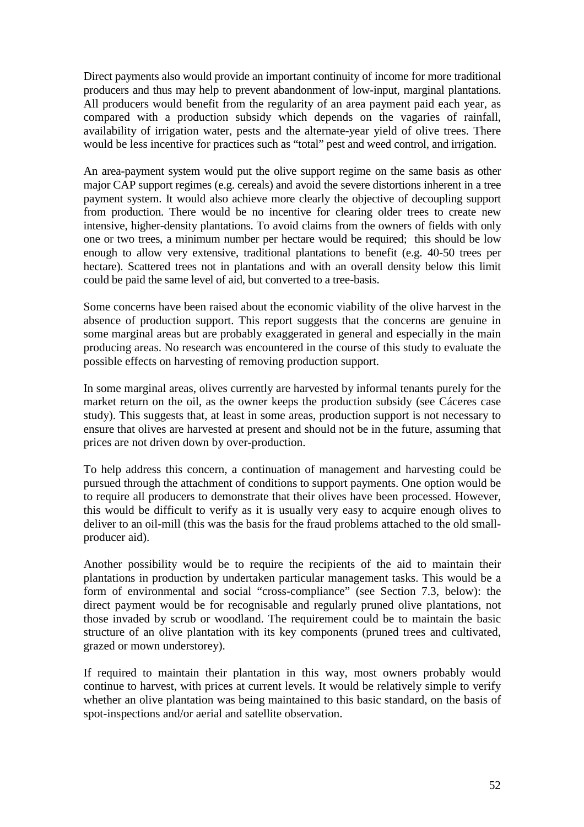Direct payments also would provide an important continuity of income for more traditional producers and thus may help to prevent abandonment of low-input, marginal plantations. All producers would benefit from the regularity of an area payment paid each year, as compared with a production subsidy which depends on the vagaries of rainfall, availability of irrigation water, pests and the alternate-year yield of olive trees. There would be less incentive for practices such as "total" pest and weed control, and irrigation.

An area-payment system would put the olive support regime on the same basis as other major CAP support regimes (e.g. cereals) and avoid the severe distortions inherent in a tree payment system. It would also achieve more clearly the objective of decoupling support from production. There would be no incentive for clearing older trees to create new intensive, higher-density plantations. To avoid claims from the owners of fields with only one or two trees, a minimum number per hectare would be required; this should be low enough to allow very extensive, traditional plantations to benefit (e.g. 40-50 trees per hectare). Scattered trees not in plantations and with an overall density below this limit could be paid the same level of aid, but converted to a tree-basis.

Some concerns have been raised about the economic viability of the olive harvest in the absence of production support. This report suggests that the concerns are genuine in some marginal areas but are probably exaggerated in general and especially in the main producing areas. No research was encountered in the course of this study to evaluate the possible effects on harvesting of removing production support.

In some marginal areas, olives currently are harvested by informal tenants purely for the market return on the oil, as the owner keeps the production subsidy (see Cáceres case study). This suggests that, at least in some areas, production support is not necessary to ensure that olives are harvested at present and should not be in the future, assuming that prices are not driven down by over-production.

To help address this concern, a continuation of management and harvesting could be pursued through the attachment of conditions to support payments. One option would be to require all producers to demonstrate that their olives have been processed. However, this would be difficult to verify as it is usually very easy to acquire enough olives to deliver to an oil-mill (this was the basis for the fraud problems attached to the old smallproducer aid).

Another possibility would be to require the recipients of the aid to maintain their plantations in production by undertaken particular management tasks. This would be a form of environmental and social "cross-compliance" (see Section 7.3, below): the direct payment would be for recognisable and regularly pruned olive plantations, not those invaded by scrub or woodland. The requirement could be to maintain the basic structure of an olive plantation with its key components (pruned trees and cultivated, grazed or mown understorey).

If required to maintain their plantation in this way, most owners probably would continue to harvest, with prices at current levels. It would be relatively simple to verify whether an olive plantation was being maintained to this basic standard, on the basis of spot-inspections and/or aerial and satellite observation.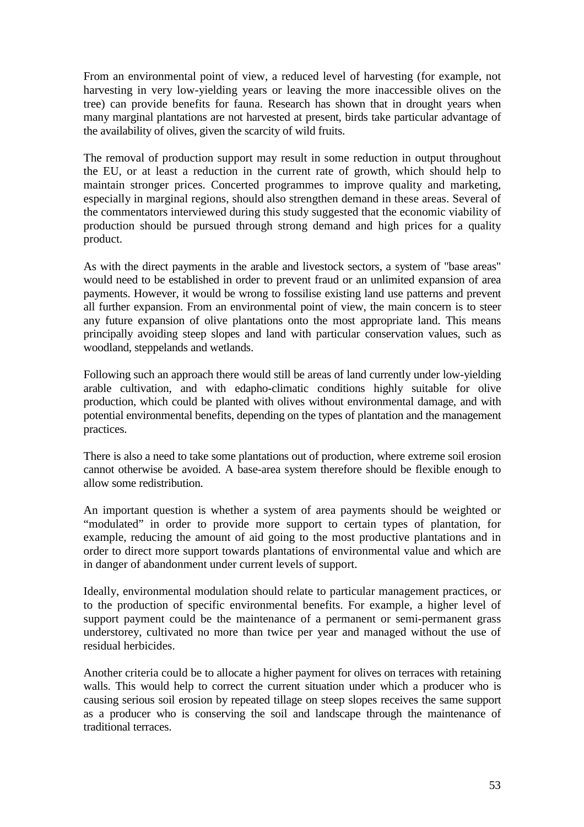From an environmental point of view, a reduced level of harvesting (for example, not harvesting in very low-yielding years or leaving the more inaccessible olives on the tree) can provide benefits for fauna. Research has shown that in drought years when many marginal plantations are not harvested at present, birds take particular advantage of the availability of olives, given the scarcity of wild fruits.

The removal of production support may result in some reduction in output throughout the EU, or at least a reduction in the current rate of growth, which should help to maintain stronger prices. Concerted programmes to improve quality and marketing, especially in marginal regions, should also strengthen demand in these areas. Several of the commentators interviewed during this study suggested that the economic viability of production should be pursued through strong demand and high prices for a quality product.

As with the direct payments in the arable and livestock sectors, a system of "base areas" would need to be established in order to prevent fraud or an unlimited expansion of area payments. However, it would be wrong to fossilise existing land use patterns and prevent all further expansion. From an environmental point of view, the main concern is to steer any future expansion of olive plantations onto the most appropriate land. This means principally avoiding steep slopes and land with particular conservation values, such as woodland, steppelands and wetlands.

Following such an approach there would still be areas of land currently under low-yielding arable cultivation, and with edapho-climatic conditions highly suitable for olive production, which could be planted with olives without environmental damage, and with potential environmental benefits, depending on the types of plantation and the management practices.

There is also a need to take some plantations out of production, where extreme soil erosion cannot otherwise be avoided. A base-area system therefore should be flexible enough to allow some redistribution.

An important question is whether a system of area payments should be weighted or "modulated" in order to provide more support to certain types of plantation, for example, reducing the amount of aid going to the most productive plantations and in order to direct more support towards plantations of environmental value and which are in danger of abandonment under current levels of support.

Ideally, environmental modulation should relate to particular management practices, or to the production of specific environmental benefits. For example, a higher level of support payment could be the maintenance of a permanent or semi-permanent grass understorey, cultivated no more than twice per year and managed without the use of residual herbicides.

Another criteria could be to allocate a higher payment for olives on terraces with retaining walls. This would help to correct the current situation under which a producer who is causing serious soil erosion by repeated tillage on steep slopes receives the same support as a producer who is conserving the soil and landscape through the maintenance of traditional terraces.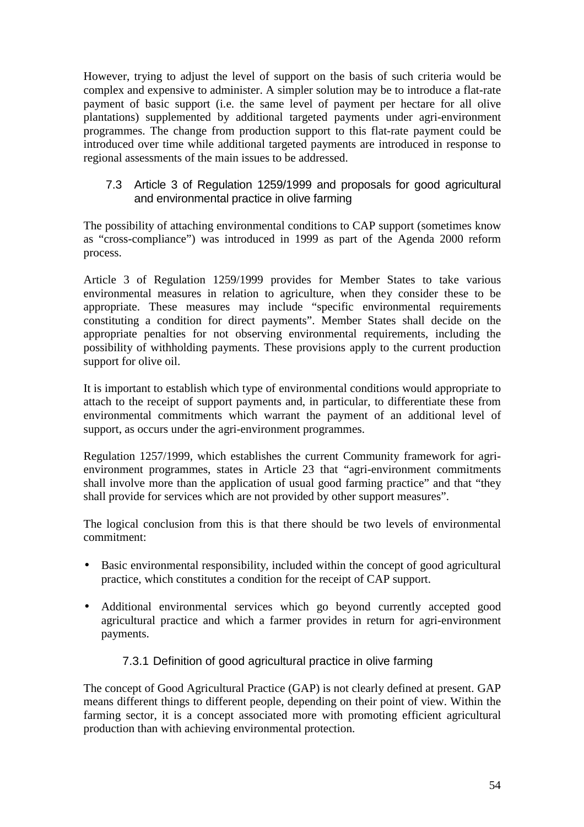However, trying to adjust the level of support on the basis of such criteria would be complex and expensive to administer. A simpler solution may be to introduce a flat-rate payment of basic support (i.e. the same level of payment per hectare for all olive plantations) supplemented by additional targeted payments under agri-environment programmes. The change from production support to this flat-rate payment could be introduced over time while additional targeted payments are introduced in response to regional assessments of the main issues to be addressed.

### 7.3 Article 3 of Regulation 1259/1999 and proposals for good agricultural and environmental practice in olive farming

The possibility of attaching environmental conditions to CAP support (sometimes know as "cross-compliance") was introduced in 1999 as part of the Agenda 2000 reform process.

Article 3 of Regulation 1259/1999 provides for Member States to take various environmental measures in relation to agriculture, when they consider these to be appropriate. These measures may include "specific environmental requirements constituting a condition for direct payments". Member States shall decide on the appropriate penalties for not observing environmental requirements, including the possibility of withholding payments. These provisions apply to the current production support for olive oil.

It is important to establish which type of environmental conditions would appropriate to attach to the receipt of support payments and, in particular, to differentiate these from environmental commitments which warrant the payment of an additional level of support, as occurs under the agri-environment programmes.

Regulation 1257/1999, which establishes the current Community framework for agrienvironment programmes, states in Article 23 that "agri-environment commitments shall involve more than the application of usual good farming practice" and that "they shall provide for services which are not provided by other support measures".

The logical conclusion from this is that there should be two levels of environmental commitment:

- Basic environmental responsibility, included within the concept of good agricultural practice, which constitutes a condition for the receipt of CAP support.
- Additional environmental services which go beyond currently accepted good agricultural practice and which a farmer provides in return for agri-environment payments.

# 7.3.1 Definition of good agricultural practice in olive farming

The concept of Good Agricultural Practice (GAP) is not clearly defined at present. GAP means different things to different people, depending on their point of view. Within the farming sector, it is a concept associated more with promoting efficient agricultural production than with achieving environmental protection.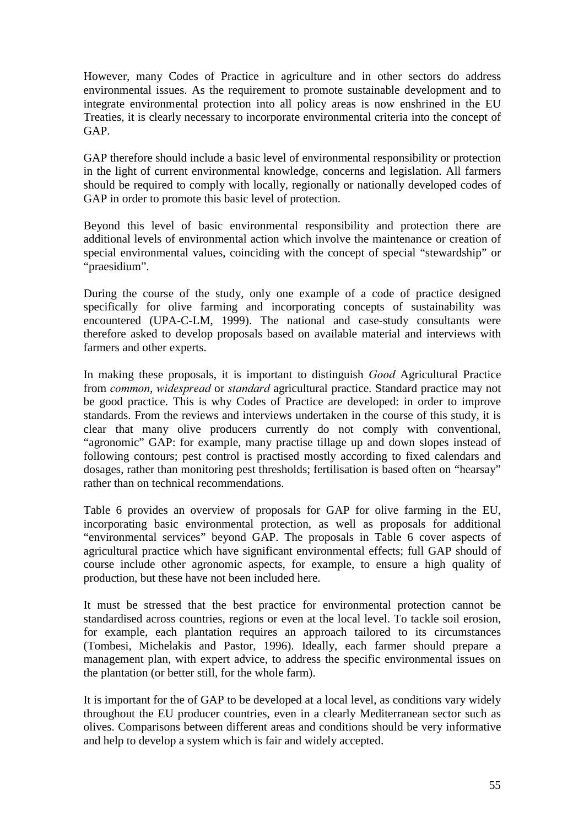However, many Codes of Practice in agriculture and in other sectors do address environmental issues. As the requirement to promote sustainable development and to integrate environmental protection into all policy areas is now enshrined in the EU Treaties, it is clearly necessary to incorporate environmental criteria into the concept of GAP.

GAP therefore should include a basic level of environmental responsibility or protection in the light of current environmental knowledge, concerns and legislation. All farmers should be required to comply with locally, regionally or nationally developed codes of GAP in order to promote this basic level of protection.

Beyond this level of basic environmental responsibility and protection there are additional levels of environmental action which involve the maintenance or creation of special environmental values, coinciding with the concept of special "stewardship" or "praesidium".

During the course of the study, only one example of a code of practice designed specifically for olive farming and incorporating concepts of sustainability was encountered (UPA-C-LM, 1999). The national and case-study consultants were therefore asked to develop proposals based on available material and interviews with farmers and other experts.

In making these proposals, it is important to distinguish *Good* Agricultural Practice from *common*, *widespread* or *standard* agricultural practice. Standard practice may not be good practice. This is why Codes of Practice are developed: in order to improve standards. From the reviews and interviews undertaken in the course of this study, it is clear that many olive producers currently do not comply with conventional, "agronomic" GAP: for example, many practise tillage up and down slopes instead of following contours; pest control is practised mostly according to fixed calendars and dosages, rather than monitoring pest thresholds; fertilisation is based often on "hearsay" rather than on technical recommendations.

Table 6 provides an overview of proposals for GAP for olive farming in the EU, incorporating basic environmental protection, as well as proposals for additional "environmental services" beyond GAP. The proposals in Table 6 cover aspects of agricultural practice which have significant environmental effects; full GAP should of course include other agronomic aspects, for example, to ensure a high quality of production, but these have not been included here.

It must be stressed that the best practice for environmental protection cannot be standardised across countries, regions or even at the local level. To tackle soil erosion, for example, each plantation requires an approach tailored to its circumstances (Tombesi, Michelakis and Pastor, 1996). Ideally, each farmer should prepare a management plan, with expert advice, to address the specific environmental issues on the plantation (or better still, for the whole farm).

It is important for the of GAP to be developed at a local level, as conditions vary widely throughout the EU producer countries, even in a clearly Mediterranean sector such as olives. Comparisons between different areas and conditions should be very informative and help to develop a system which is fair and widely accepted.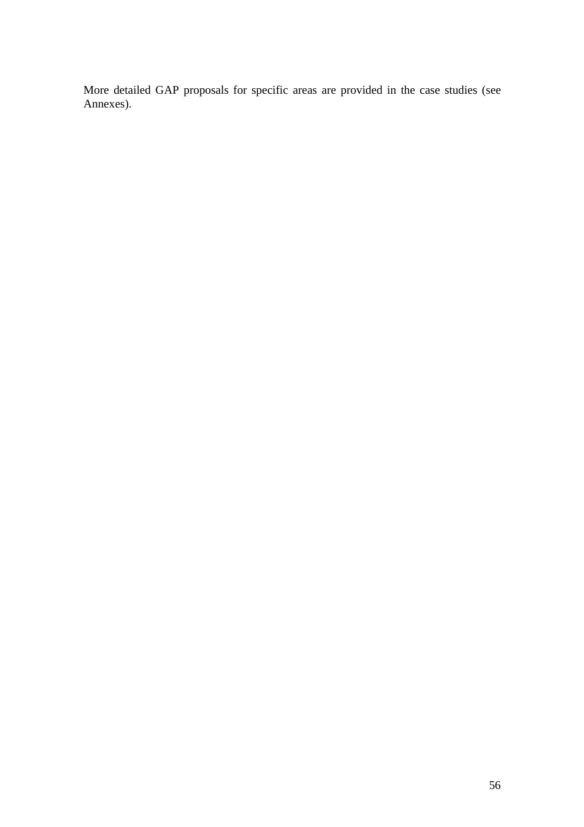More detailed GAP proposals for specific areas are provided in the case studies (see Annexes).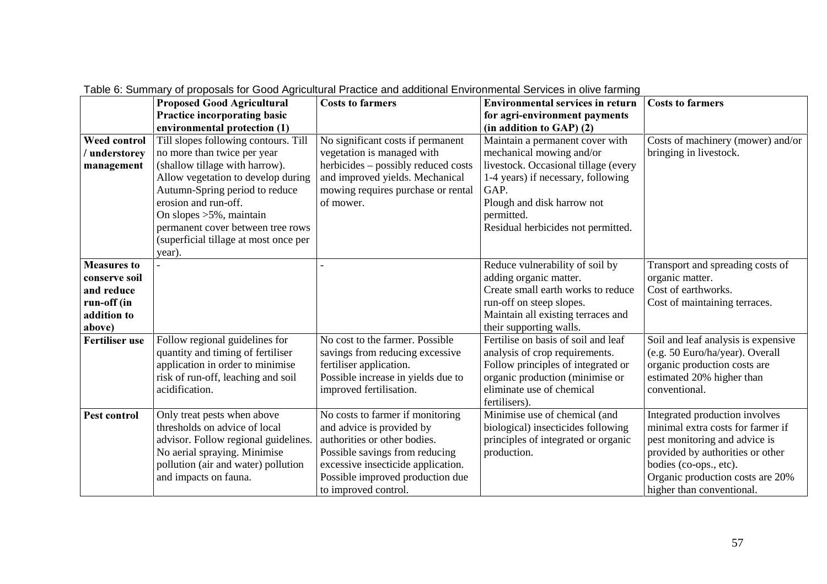|                                 | rabic 0. Odminiary or proposals for Oood Agnoditation ractice and additional Environmental Ocrvices in oirve rammig<br><b>Proposed Good Agricultural</b> | <b>Costs to farmers</b>             | <b>Environmental services in return</b>                        | <b>Costs to farmers</b>             |
|---------------------------------|----------------------------------------------------------------------------------------------------------------------------------------------------------|-------------------------------------|----------------------------------------------------------------|-------------------------------------|
|                                 | Practice incorporating basic                                                                                                                             |                                     | for agri-environment payments                                  |                                     |
|                                 | environmental protection (1)                                                                                                                             |                                     | $(in addition to GAP)$ (2)                                     |                                     |
| Weed control                    | Till slopes following contours. Till                                                                                                                     | No significant costs if permanent   | Maintain a permanent cover with                                | Costs of machinery (mower) and/or   |
| / understorey                   | no more than twice per year                                                                                                                              | vegetation is managed with          | mechanical mowing and/or                                       | bringing in livestock.              |
| management                      | (shallow tillage with harrow).                                                                                                                           | herbicides - possibly reduced costs | livestock. Occasional tillage (every                           |                                     |
|                                 | Allow vegetation to develop during                                                                                                                       | and improved yields. Mechanical     | 1-4 years) if necessary, following                             |                                     |
|                                 | Autumn-Spring period to reduce                                                                                                                           | mowing requires purchase or rental  | GAP.                                                           |                                     |
|                                 | erosion and run-off.                                                                                                                                     | of mower.                           | Plough and disk harrow not                                     |                                     |
|                                 | On slopes $>5\%$ , maintain                                                                                                                              |                                     | permitted.                                                     |                                     |
|                                 | permanent cover between tree rows                                                                                                                        |                                     | Residual herbicides not permitted.                             |                                     |
|                                 | (superficial tillage at most once per                                                                                                                    |                                     |                                                                |                                     |
|                                 | year).                                                                                                                                                   |                                     |                                                                |                                     |
| <b>Measures to</b>              |                                                                                                                                                          |                                     | Reduce vulnerability of soil by                                | Transport and spreading costs of    |
| conserve soil                   |                                                                                                                                                          |                                     | adding organic matter.                                         | organic matter.                     |
| and reduce                      |                                                                                                                                                          |                                     | Create small earth works to reduce                             | Cost of earthworks.                 |
| run-off (in                     |                                                                                                                                                          |                                     | run-off on steep slopes.                                       | Cost of maintaining terraces.       |
| addition to                     |                                                                                                                                                          |                                     | Maintain all existing terraces and                             |                                     |
| above)<br><b>Fertiliser use</b> | Follow regional guidelines for                                                                                                                           | No cost to the farmer. Possible     | their supporting walls.<br>Fertilise on basis of soil and leaf | Soil and leaf analysis is expensive |
|                                 | quantity and timing of fertiliser                                                                                                                        | savings from reducing excessive     | analysis of crop requirements.                                 | (e.g. 50 Euro/ha/year). Overall     |
|                                 | application in order to minimise                                                                                                                         | fertiliser application.             | Follow principles of integrated or                             | organic production costs are        |
|                                 | risk of run-off, leaching and soil                                                                                                                       | Possible increase in yields due to  | organic production (minimise or                                | estimated 20% higher than           |
|                                 | acidification.                                                                                                                                           | improved fertilisation.             | eliminate use of chemical                                      | conventional.                       |
|                                 |                                                                                                                                                          |                                     | fertilisers).                                                  |                                     |
| Pest control                    | Only treat pests when above                                                                                                                              | No costs to farmer if monitoring    | Minimise use of chemical (and                                  | Integrated production involves      |
|                                 | thresholds on advice of local                                                                                                                            | and advice is provided by           | biological) insecticides following                             | minimal extra costs for farmer if   |
|                                 | advisor. Follow regional guidelines.                                                                                                                     | authorities or other bodies.        | principles of integrated or organic                            | pest monitoring and advice is       |
|                                 | No aerial spraying. Minimise                                                                                                                             | Possible savings from reducing      | production.                                                    | provided by authorities or other    |
|                                 | pollution (air and water) pollution                                                                                                                      | excessive insecticide application.  |                                                                | bodies (co-ops., etc).              |
|                                 | and impacts on fauna.                                                                                                                                    | Possible improved production due    |                                                                | Organic production costs are 20%    |
|                                 |                                                                                                                                                          | to improved control.                |                                                                | higher than conventional.           |

Table 6: Summary of proposals for Good Agricultural Practice and additional Environmental Services in olive farming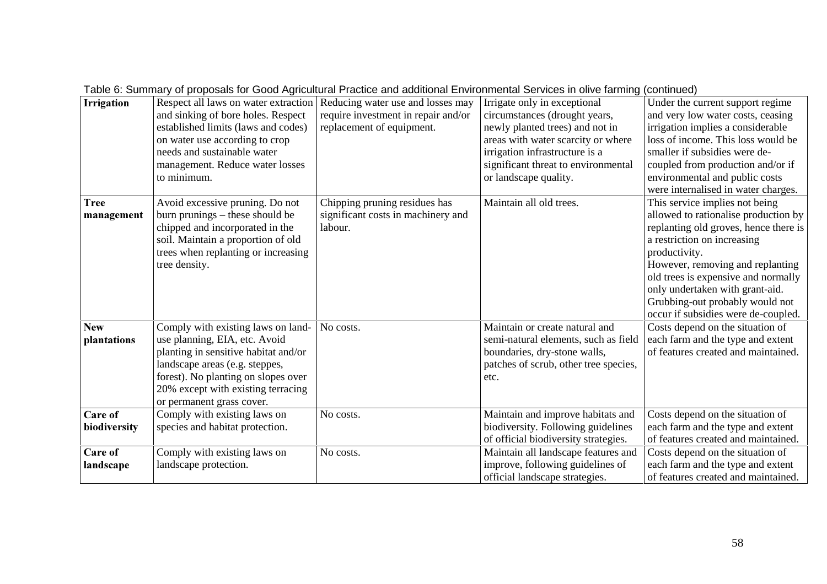|                           |                                                                                                                                                                                                                                                         |                                                                                                       | able c. Cammany or proposale for Cood Agricultural Fractice and additional Ermitorinomal Cornect in Olive ramming (commutacy)                                                                                                            |                                                                                                                                                                                                                                                                                                                                                         |
|---------------------------|---------------------------------------------------------------------------------------------------------------------------------------------------------------------------------------------------------------------------------------------------------|-------------------------------------------------------------------------------------------------------|------------------------------------------------------------------------------------------------------------------------------------------------------------------------------------------------------------------------------------------|---------------------------------------------------------------------------------------------------------------------------------------------------------------------------------------------------------------------------------------------------------------------------------------------------------------------------------------------------------|
| <b>Irrigation</b>         | Respect all laws on water extraction<br>and sinking of bore holes. Respect<br>established limits (laws and codes)<br>on water use according to crop<br>needs and sustainable water<br>management. Reduce water losses<br>to minimum.                    | Reducing water use and losses may<br>require investment in repair and/or<br>replacement of equipment. | Irrigate only in exceptional<br>circumstances (drought years,<br>newly planted trees) and not in<br>areas with water scarcity or where<br>irrigation infrastructure is a<br>significant threat to environmental<br>or landscape quality. | Under the current support regime<br>and very low water costs, ceasing<br>irrigation implies a considerable<br>loss of income. This loss would be<br>smaller if subsidies were de-<br>coupled from production and/or if<br>environmental and public costs<br>were internalised in water charges.                                                         |
| <b>Tree</b><br>management | Avoid excessive pruning. Do not<br>burn prunings – these should be<br>chipped and incorporated in the<br>soil. Maintain a proportion of old<br>trees when replanting or increasing<br>tree density.                                                     | Chipping pruning residues has<br>significant costs in machinery and<br>labour.                        | Maintain all old trees.                                                                                                                                                                                                                  | This service implies not being<br>allowed to rationalise production by<br>replanting old groves, hence there is<br>a restriction on increasing<br>productivity.<br>However, removing and replanting<br>old trees is expensive and normally<br>only undertaken with grant-aid.<br>Grubbing-out probably would not<br>occur if subsidies were de-coupled. |
| <b>New</b><br>plantations | Comply with existing laws on land-<br>use planning, EIA, etc. Avoid<br>planting in sensitive habitat and/or<br>landscape areas (e.g. steppes,<br>forest). No planting on slopes over<br>20% except with existing terracing<br>or permanent grass cover. | No costs.                                                                                             | Maintain or create natural and<br>semi-natural elements, such as field<br>boundaries, dry-stone walls,<br>patches of scrub, other tree species,<br>etc.                                                                                  | Costs depend on the situation of<br>each farm and the type and extent<br>of features created and maintained.                                                                                                                                                                                                                                            |
| Care of<br>biodiversity   | Comply with existing laws on<br>species and habitat protection.                                                                                                                                                                                         | No costs.                                                                                             | Maintain and improve habitats and<br>biodiversity. Following guidelines<br>of official biodiversity strategies.                                                                                                                          | Costs depend on the situation of<br>each farm and the type and extent<br>of features created and maintained.                                                                                                                                                                                                                                            |
| Care of<br>landscape      | Comply with existing laws on<br>landscape protection.                                                                                                                                                                                                   | No costs.                                                                                             | Maintain all landscape features and<br>improve, following guidelines of<br>official landscape strategies.                                                                                                                                | Costs depend on the situation of<br>each farm and the type and extent<br>of features created and maintained.                                                                                                                                                                                                                                            |

Table 6: Summary of proposals for Good Agricultural Practice and additional Environmental Services in olive farming (continued)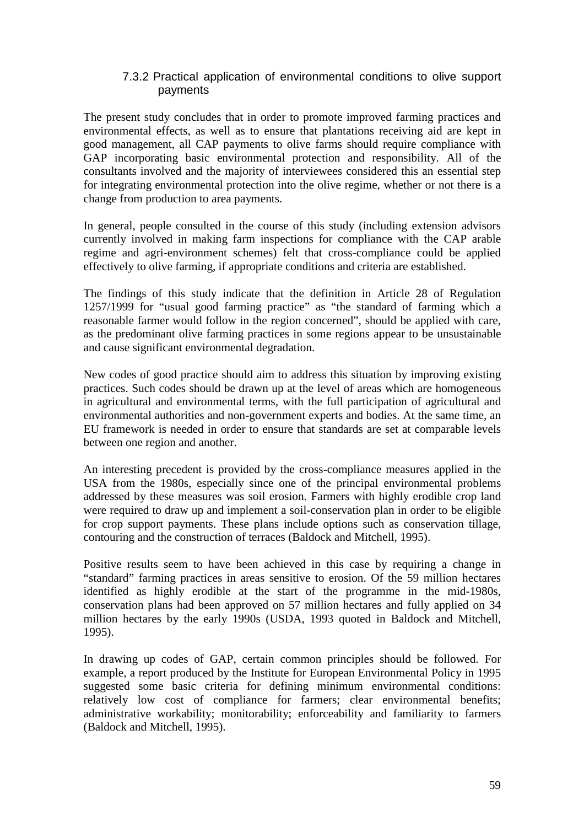#### 7.3.2 Practical application of environmental conditions to olive support payments

The present study concludes that in order to promote improved farming practices and environmental effects, as well as to ensure that plantations receiving aid are kept in good management, all CAP payments to olive farms should require compliance with GAP incorporating basic environmental protection and responsibility. All of the consultants involved and the majority of interviewees considered this an essential step for integrating environmental protection into the olive regime, whether or not there is a change from production to area payments.

In general, people consulted in the course of this study (including extension advisors currently involved in making farm inspections for compliance with the CAP arable regime and agri-environment schemes) felt that cross-compliance could be applied effectively to olive farming, if appropriate conditions and criteria are established.

The findings of this study indicate that the definition in Article 28 of Regulation 1257/1999 for "usual good farming practice" as "the standard of farming which a reasonable farmer would follow in the region concerned", should be applied with care, as the predominant olive farming practices in some regions appear to be unsustainable and cause significant environmental degradation.

New codes of good practice should aim to address this situation by improving existing practices. Such codes should be drawn up at the level of areas which are homogeneous in agricultural and environmental terms, with the full participation of agricultural and environmental authorities and non-government experts and bodies. At the same time, an EU framework is needed in order to ensure that standards are set at comparable levels between one region and another.

An interesting precedent is provided by the cross-compliance measures applied in the USA from the 1980s, especially since one of the principal environmental problems addressed by these measures was soil erosion. Farmers with highly erodible crop land were required to draw up and implement a soil-conservation plan in order to be eligible for crop support payments. These plans include options such as conservation tillage, contouring and the construction of terraces (Baldock and Mitchell, 1995).

Positive results seem to have been achieved in this case by requiring a change in "standard" farming practices in areas sensitive to erosion. Of the 59 million hectares identified as highly erodible at the start of the programme in the mid-1980s, conservation plans had been approved on 57 million hectares and fully applied on 34 million hectares by the early 1990s (USDA, 1993 quoted in Baldock and Mitchell, 1995).

In drawing up codes of GAP, certain common principles should be followed. For example, a report produced by the Institute for European Environmental Policy in 1995 suggested some basic criteria for defining minimum environmental conditions: relatively low cost of compliance for farmers; clear environmental benefits; administrative workability; monitorability; enforceability and familiarity to farmers (Baldock and Mitchell, 1995).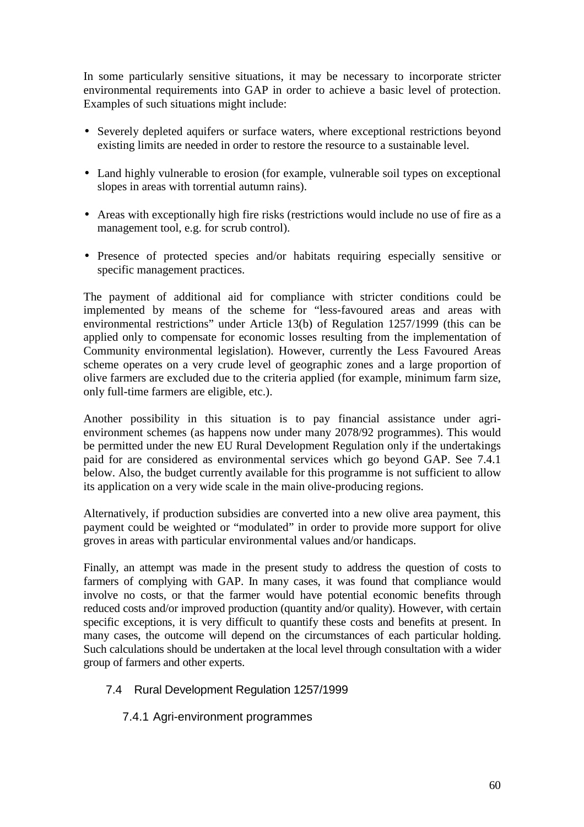In some particularly sensitive situations, it may be necessary to incorporate stricter environmental requirements into GAP in order to achieve a basic level of protection. Examples of such situations might include:

- Severely depleted aquifers or surface waters, where exceptional restrictions beyond existing limits are needed in order to restore the resource to a sustainable level.
- Land highly vulnerable to erosion (for example, vulnerable soil types on exceptional slopes in areas with torrential autumn rains).
- Areas with exceptionally high fire risks (restrictions would include no use of fire as a management tool, e.g. for scrub control).
- Presence of protected species and/or habitats requiring especially sensitive or specific management practices.

The payment of additional aid for compliance with stricter conditions could be implemented by means of the scheme for "less-favoured areas and areas with environmental restrictions" under Article 13(b) of Regulation 1257/1999 (this can be applied only to compensate for economic losses resulting from the implementation of Community environmental legislation). However, currently the Less Favoured Areas scheme operates on a very crude level of geographic zones and a large proportion of olive farmers are excluded due to the criteria applied (for example, minimum farm size, only full-time farmers are eligible, etc.).

Another possibility in this situation is to pay financial assistance under agrienvironment schemes (as happens now under many 2078/92 programmes). This would be permitted under the new EU Rural Development Regulation only if the undertakings paid for are considered as environmental services which go beyond GAP. See 7.4.1 below. Also, the budget currently available for this programme is not sufficient to allow its application on a very wide scale in the main olive-producing regions.

Alternatively, if production subsidies are converted into a new olive area payment, this payment could be weighted or "modulated" in order to provide more support for olive groves in areas with particular environmental values and/or handicaps.

Finally, an attempt was made in the present study to address the question of costs to farmers of complying with GAP. In many cases, it was found that compliance would involve no costs, or that the farmer would have potential economic benefits through reduced costs and/or improved production (quantity and/or quality). However, with certain specific exceptions, it is very difficult to quantify these costs and benefits at present. In many cases, the outcome will depend on the circumstances of each particular holding. Such calculations should be undertaken at the local level through consultation with a wider group of farmers and other experts.

- 7.4 Rural Development Regulation 1257/1999
	- 7.4.1 Agri-environment programmes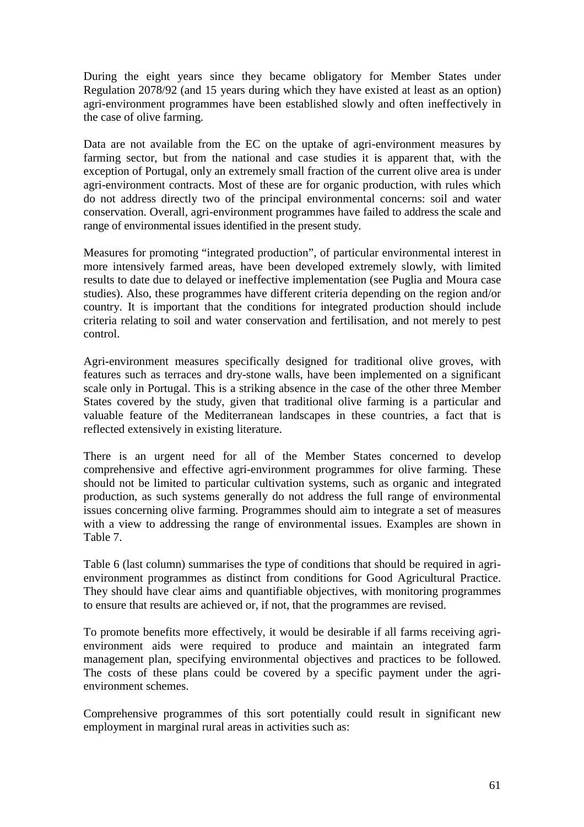During the eight years since they became obligatory for Member States under Regulation 2078/92 (and 15 years during which they have existed at least as an option) agri-environment programmes have been established slowly and often ineffectively in the case of olive farming.

Data are not available from the EC on the uptake of agri-environment measures by farming sector, but from the national and case studies it is apparent that, with the exception of Portugal, only an extremely small fraction of the current olive area is under agri-environment contracts. Most of these are for organic production, with rules which do not address directly two of the principal environmental concerns: soil and water conservation. Overall, agri-environment programmes have failed to address the scale and range of environmental issues identified in the present study.

Measures for promoting "integrated production", of particular environmental interest in more intensively farmed areas, have been developed extremely slowly, with limited results to date due to delayed or ineffective implementation (see Puglia and Moura case studies). Also, these programmes have different criteria depending on the region and/or country. It is important that the conditions for integrated production should include criteria relating to soil and water conservation and fertilisation, and not merely to pest control.

Agri-environment measures specifically designed for traditional olive groves, with features such as terraces and dry-stone walls, have been implemented on a significant scale only in Portugal. This is a striking absence in the case of the other three Member States covered by the study, given that traditional olive farming is a particular and valuable feature of the Mediterranean landscapes in these countries, a fact that is reflected extensively in existing literature.

There is an urgent need for all of the Member States concerned to develop comprehensive and effective agri-environment programmes for olive farming. These should not be limited to particular cultivation systems, such as organic and integrated production, as such systems generally do not address the full range of environmental issues concerning olive farming. Programmes should aim to integrate a set of measures with a view to addressing the range of environmental issues. Examples are shown in Table 7.

Table 6 (last column) summarises the type of conditions that should be required in agrienvironment programmes as distinct from conditions for Good Agricultural Practice. They should have clear aims and quantifiable objectives, with monitoring programmes to ensure that results are achieved or, if not, that the programmes are revised.

To promote benefits more effectively, it would be desirable if all farms receiving agrienvironment aids were required to produce and maintain an integrated farm management plan, specifying environmental objectives and practices to be followed. The costs of these plans could be covered by a specific payment under the agrienvironment schemes.

Comprehensive programmes of this sort potentially could result in significant new employment in marginal rural areas in activities such as: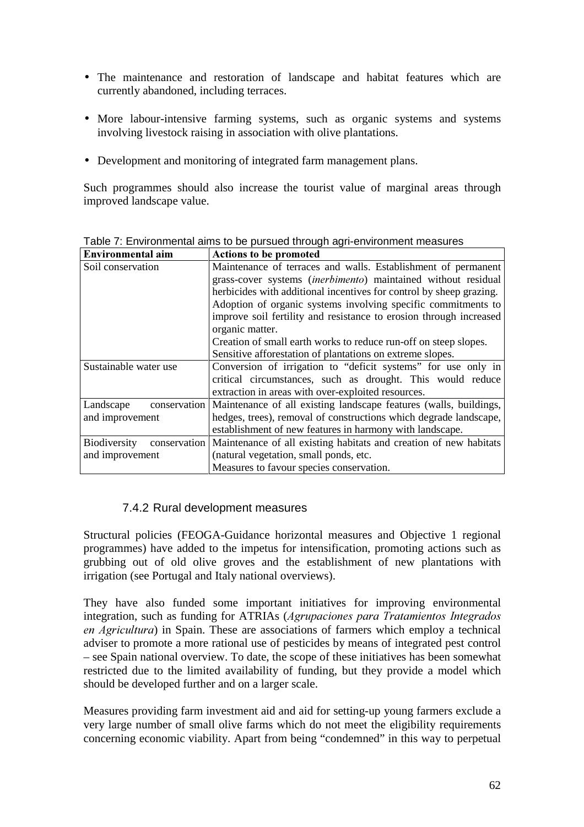- The maintenance and restoration of landscape and habitat features which are currently abandoned, including terraces.
- More labour-intensive farming systems, such as organic systems and systems involving livestock raising in association with olive plantations.
- Development and monitoring of integrated farm management plans.

Such programmes should also increase the tourist value of marginal areas through improved landscape value.

| Environmental aim                   | <b>Actions to be promoted</b>                                                  |
|-------------------------------------|--------------------------------------------------------------------------------|
| Soil conservation                   | Maintenance of terraces and walls. Establishment of permanent                  |
|                                     | grass-cover systems <i>(inerbimento)</i> maintained without residual           |
|                                     | herbicides with additional incentives for control by sheep grazing.            |
|                                     | Adoption of organic systems involving specific commitments to                  |
|                                     | improve soil fertility and resistance to erosion through increased             |
|                                     | organic matter.                                                                |
|                                     | Creation of small earth works to reduce run-off on steep slopes.               |
|                                     | Sensitive afforestation of plantations on extreme slopes.                      |
| Sustainable water use               | Conversion of irrigation to "deficit systems" for use only in                  |
|                                     | critical circumstances, such as drought. This would reduce                     |
|                                     | extraction in areas with over-exploited resources.                             |
| Landscape                           | conservation Maintenance of all existing landscape features (walls, buildings, |
| and improvement                     | hedges, trees), removal of constructions which degrade landscape,              |
|                                     | establishment of new features in harmony with landscape.                       |
| conservation<br><b>Biodiversity</b> | Maintenance of all existing habitats and creation of new habitats              |
| and improvement                     | (natural vegetation, small ponds, etc.                                         |
|                                     | Measures to favour species conservation.                                       |

Table 7: Environmental aims to be pursued through agri-environment measures

# 7.4.2 Rural development measures

Structural policies (FEOGA-Guidance horizontal measures and Objective 1 regional programmes) have added to the impetus for intensification, promoting actions such as grubbing out of old olive groves and the establishment of new plantations with irrigation (see Portugal and Italy national overviews).

They have also funded some important initiatives for improving environmental integration, such as funding for ATRIAs (*Agrupaciones para Tratamientos Integrados en Agricultura*) in Spain. These are associations of farmers which employ a technical adviser to promote a more rational use of pesticides by means of integrated pest control – see Spain national overview. To date, the scope of these initiatives has been somewhat restricted due to the limited availability of funding, but they provide a model which should be developed further and on a larger scale.

Measures providing farm investment aid and aid for setting-up young farmers exclude a very large number of small olive farms which do not meet the eligibility requirements concerning economic viability. Apart from being "condemned" in this way to perpetual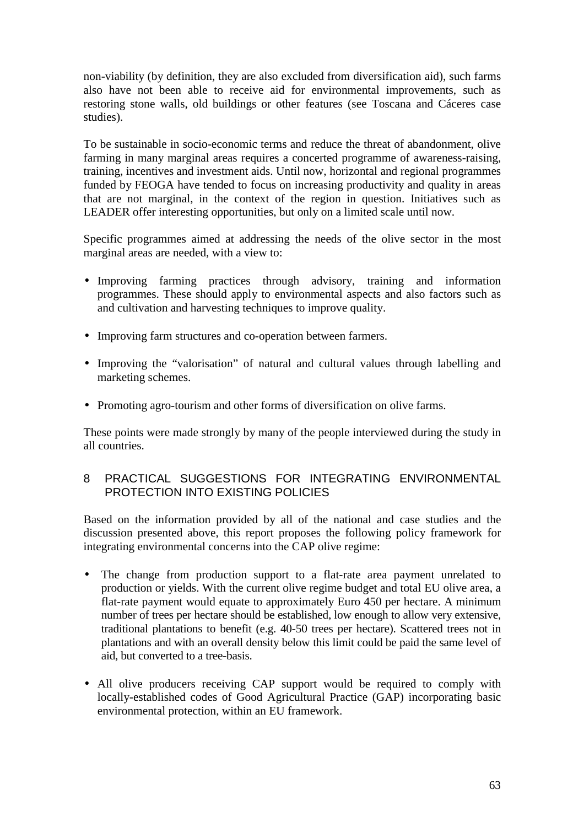non-viability (by definition, they are also excluded from diversification aid), such farms also have not been able to receive aid for environmental improvements, such as restoring stone walls, old buildings or other features (see Toscana and Cáceres case studies).

To be sustainable in socio-economic terms and reduce the threat of abandonment, olive farming in many marginal areas requires a concerted programme of awareness-raising, training, incentives and investment aids. Until now, horizontal and regional programmes funded by FEOGA have tended to focus on increasing productivity and quality in areas that are not marginal, in the context of the region in question. Initiatives such as LEADER offer interesting opportunities, but only on a limited scale until now.

Specific programmes aimed at addressing the needs of the olive sector in the most marginal areas are needed, with a view to:

- Improving farming practices through advisory, training and information programmes. These should apply to environmental aspects and also factors such as and cultivation and harvesting techniques to improve quality.
- Improving farm structures and co-operation between farmers.
- Improving the "valorisation" of natural and cultural values through labelling and marketing schemes.
- Promoting agro-tourism and other forms of diversification on olive farms.

These points were made strongly by many of the people interviewed during the study in all countries.

### 8 PRACTICAL SUGGESTIONS FOR INTEGRATING ENVIRONMENTAL PROTECTION INTO EXISTING POLICIES

Based on the information provided by all of the national and case studies and the discussion presented above, this report proposes the following policy framework for integrating environmental concerns into the CAP olive regime:

- The change from production support to a flat-rate area payment unrelated to production or yields. With the current olive regime budget and total EU olive area, a flat-rate payment would equate to approximately Euro 450 per hectare. A minimum number of trees per hectare should be established, low enough to allow very extensive, traditional plantations to benefit (e.g. 40-50 trees per hectare). Scattered trees not in plantations and with an overall density below this limit could be paid the same level of aid, but converted to a tree-basis.
- All olive producers receiving CAP support would be required to comply with locally-established codes of Good Agricultural Practice (GAP) incorporating basic environmental protection, within an EU framework.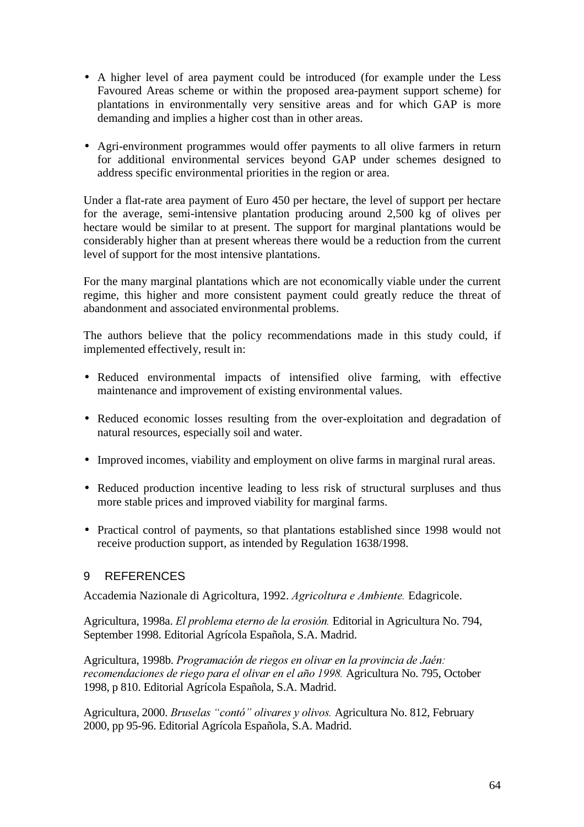- A higher level of area payment could be introduced (for example under the Less Favoured Areas scheme or within the proposed area-payment support scheme) for plantations in environmentally very sensitive areas and for which GAP is more demanding and implies a higher cost than in other areas.
- Agri-environment programmes would offer payments to all olive farmers in return for additional environmental services beyond GAP under schemes designed to address specific environmental priorities in the region or area.

Under a flat-rate area payment of Euro 450 per hectare, the level of support per hectare for the average, semi-intensive plantation producing around 2,500 kg of olives per hectare would be similar to at present. The support for marginal plantations would be considerably higher than at present whereas there would be a reduction from the current level of support for the most intensive plantations.

For the many marginal plantations which are not economically viable under the current regime, this higher and more consistent payment could greatly reduce the threat of abandonment and associated environmental problems.

The authors believe that the policy recommendations made in this study could, if implemented effectively, result in:

- Reduced environmental impacts of intensified olive farming, with effective maintenance and improvement of existing environmental values.
- Reduced economic losses resulting from the over-exploitation and degradation of natural resources, especially soil and water.
- Improved incomes, viability and employment on olive farms in marginal rural areas.
- Reduced production incentive leading to less risk of structural surpluses and thus more stable prices and improved viability for marginal farms.
- Practical control of payments, so that plantations established since 1998 would not receive production support, as intended by Regulation 1638/1998.

### 9 REFERENCES

Accademia Nazionale di Agricoltura, 1992. Agricoltura e Ambiente. Edagricole.

Agricultura, 1998a. *El problema eterno de la erosión*. Editorial in Agricultura No. 794, September 1998. Editorial Agrícola Española, S.A. Madrid.

Agricultura, 1998b. *Programación de riegos en olivar en la provincia de Jaén*: recomendaciones de riego para el olivar en el año 1998. Agricultura No. 795, October 1998, p 810. Editorial Agrícola Española, S.A. Madrid.

Agricultura, 2000. *Bruselas "contó" olivares y olivos*. Agricultura No. 812, February 2000, pp 95-96. Editorial Agrícola Española, S.A. Madrid.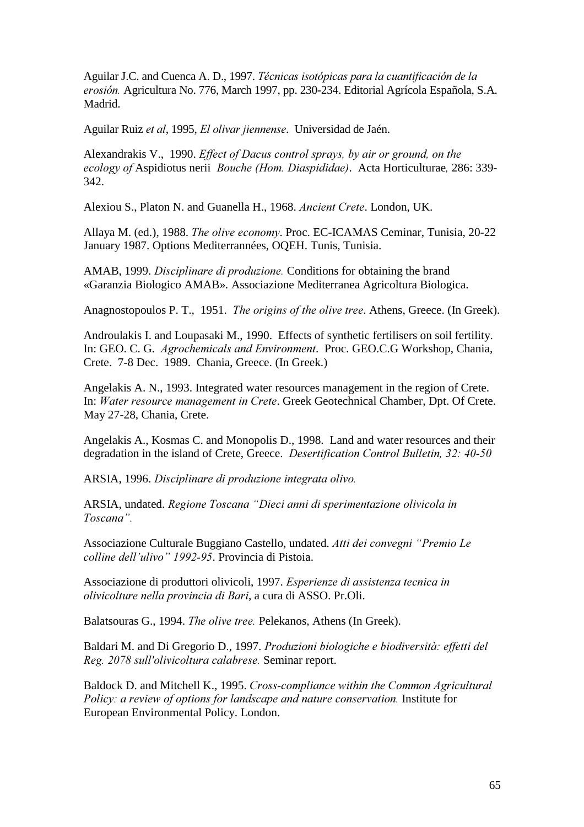Aguilar J.C. and Cuenca A. D., 1997. *Técnicas isotópicas para la cuantificación de la* erosión. Agricultura No. 776, March 1997, pp. 230-234. Editorial Agrícola Española, S.A. Madrid.

Aguilar Ruiz et al, 1995, *El olivar jiennense*. Universidad de Jaén.

Alexandrakis V., 1990. *Effect of Dacus control sprays, by air or ground, on the ecology of Aspidiotus nerii <i>Bouche (Hom. Diaspididae)*. Acta Horticulturae, 286: 339-342.

Alexiou S., Platon N. and Guanella H., 1968. *Ancient Crete*. London, UK.

Allaya M. (ed.), 1988. *The olive economy*. Proc. EC-ICAMAS Ceminar, Tunisia, 20-22 January 1987. Options Mediterrannées, OQEH. Tunis, Tunisia.

AMAB, 1999. *Disciplinare di produzione*. Conditions for obtaining the brand «Garanzia Biologico AMAB». Associazione Mediterranea Agricoltura Biologica.

Anagnostopoulos P. T., 1951. *The origins of the olive tree*. Athens, Greece. (In Greek).

Androulakis I. and Loupasaki M., 1990. Effects of synthetic fertilisers on soil fertility. In: GEO. C. G. *Agrochemicals and Environment*. Proc. GEO.C.G Workshop, Chania, Crete. 7-8 Dec. 1989. Chania, Greece. (In Greek.)

Angelakis A. N., 1993. Integrated water resources management in the region of Crete. In: Water resource management in Crete. Greek Geotechnical Chamber, Dpt. Of Crete. May 27-28, Chania, Crete.

Angelakis A., Kosmas C. and Monopolis D., 1998. Land and water resources and their degradation in the island of Crete, Greece. *Desertification Control Bulletin*, 32: 40-50

ARSIA, 1996. *Disciplinare di produzione integrata olivo.* 

ARSIA, undated. *Regione Toscana "Dieci anni di sperimentazione olivicola in Toscana*".

Associazione Culturale Buggiano Castello, undated. *Atti dei convegni "Premio Le* colline dell'ulivo" 1992-95. Provincia di Pistoia.

Associazione di produttori olivicoli, 1997. *Esperienze di assistenza tecnica in ROLYLFROWXUHQHOODSURYLQFLDGL%DUL*, a cura di ASSO. Pr.Oli.

Balatsouras G., 1994. *The olive tree*. Pelekanos, Athens (In Greek).

Baldari M. and Di Gregorio D., 1997. *Produzioni biologiche e biodiversità: effetti del* Reg. 2078 sull'olivicoltura calabrese. Seminar report.

Baldock D. and Mitchell K., 1995. *Cross-compliance within the Common Agricultural Policy: a review of options for landscape and nature conservation.* Institute for European Environmental Policy. London.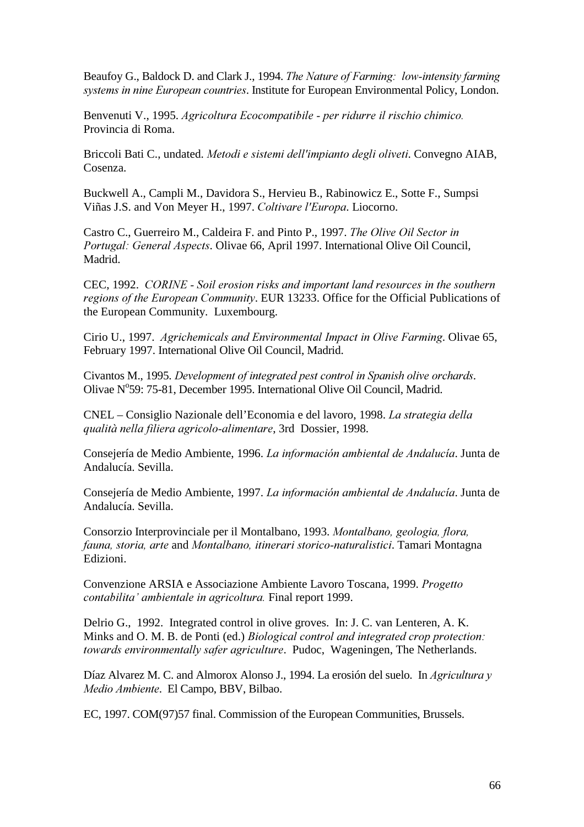Beaufoy G., Baldock D. and Clark J., 1994. *The Nature of Farming: low-intensity farming systems in nine European countries.* Institute for European Environmental Policy, London.

Benvenuti V., 1995. *Agricoltura Ecocompatibile - per ridurre il rischio chimico.* Provincia di Roma.

Briccoli Bati C., undated. Metodi e sistemi dell'impianto degli oliveti. Convegno AIAB, Cosenza.

Buckwell A., Campli M., Davidora S., Hervieu B., Rabinowicz E., Sotte F., Sumpsi Viñas J.S. and Von Meyer H., 1997. Coltivare l'Europa. Liocorno.

Castro C., Guerreiro M., Caldeira F. and Pinto P., 1997. *The Olive Oil Sector in Portugal: General Aspects.* Olivae 66, April 1997. International Olive Oil Council, Madrid.

CEC, 1992. *CORINE* - Soil erosion risks and important land resources in the southern regions of the European Community. EUR 13233. Office for the Official Publications of the European Community. Luxembourg.

Cirio U., 1997. *Agrichemicals and Environmental Impact in Olive Farming*. Olivae 65, February 1997. International Olive Oil Council, Madrid.

Civantos M., 1995. *Development of integrated pest control in Spanish olive orchards.* Olivae N°59: 75-81, December 1995. International Olive Oil Council, Madrid.

CNEL – Consiglio Nazionale dell'Economia e del lavoro, 1998. *La strategia della TXDOLWjQHOODILOLHUDDJULFRORDOLPHQWDUH*, 3rd Dossier, 1998.

Consejería de Medio Ambiente, 1996. *La información ambiental de Andalucía*. Junta de Andalucía. Sevilla.

Consejería de Medio Ambiente, 1997. La información ambiental de Andalucía. Junta de Andalucía. Sevilla.

Consorzio Interprovinciale per il Montalbano, 1993. Montalbano, geologia, flora, *Iguna, storia, arte and Montalbano, itinerari storico-naturalistici, Tamari Montagna* Edizioni.

Convenzione ARSIA e Associazione Ambiente Lavoro Toscana, 1999. *Progetto contabilita' ambientale in agricoltura.* Final report 1999.

Delrio G., 1992. Integrated control in olive groves. In: J. C. van Lenteren, A. K. Minks and O. M. B. de Ponti (ed.) *Biological control and integrated crop protection*: *towards environmentally safer agriculture.* Pudoc, Wageningen, The Netherlands.

Díaz Alvarez M. C. and Almorox Alonso J., 1994. La erosión del suelo. In *Agricultura* y *Medio Ambiente.* El Campo, BBV, Bilbao.

EC, 1997. COM(97)57 final. Commission of the European Communities, Brussels.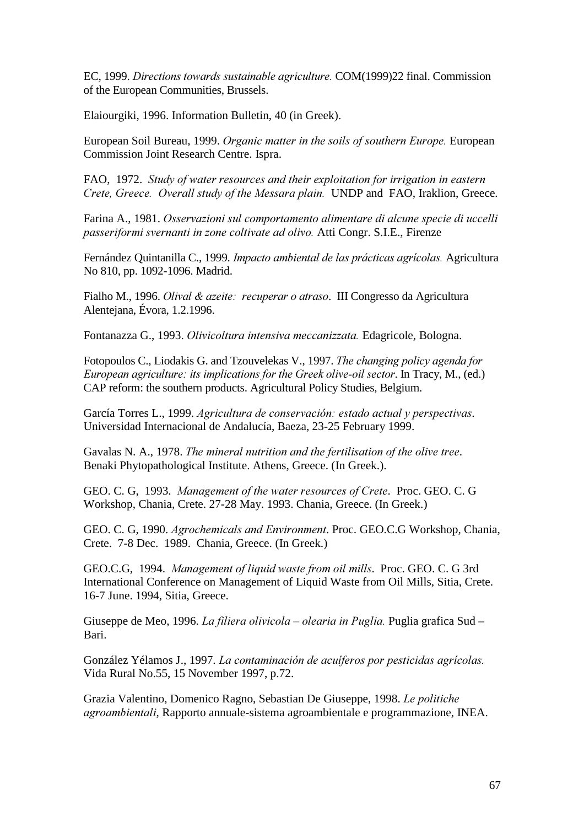EC, 1999. *Directions towards sustainable agriculture*. COM(1999)22 final. Commission of the European Communities, Brussels.

Elaiourgiki, 1996. Information Bulletin, 40 (in Greek).

European Soil Bureau, 1999. *Organic matter in the soils of southern Europe*. European Commission Joint Research Centre. Ispra.

FAO, 1972. *Study of water resources and their exploitation for irrigation in eastern Crete, Greece. Overall study of the Messara plain.* UNDP and FAO, Iraklion, Greece.

Farina A., 1981. *Osservazioni sul comportamento alimentare di alcune specie di uccelli Dasseriformi svernanti in zone coltivate ad olivo.* Atti Congr. S.I.E., Firenze

Fernández Quintanilla C., 1999. *Impacto ambiental de las prácticas agrícolas*. Agricultura No 810, pp. 1092-1096. Madrid.

Fialho M., 1996. *Olival & azeite: recuperar o atraso*. III Congresso da Agricultura Alentejana, Évora, 1.2.1996.

Fontanazza G., 1993. *Olivicoltura intensiva meccanizzata*. Edagricole, Bologna.

Fotopoulos C., Liodakis G. and Tzouvelekas V., 1997. *The changing policy agenda for European agriculture: its implications for the Greek olive-oil sector.* In Tracy, M., (ed.) CAP reform: the southern products. Agricultural Policy Studies, Belgium.

García Torres L., 1999. *Agricultura de conservación: estado actual y perspectivas.* Universidad Internacional de Andalucía, Baeza, 23-25 February 1999.

Gavalas N. A., 1978. *The mineral nutrition and the fertilisation of the olive tree.* Benaki Phytopathological Institute. Athens, Greece. (In Greek.).

GEO. C. G, 1993. *Management of the water resources of Crete*. Proc. GEO. C. G Workshop, Chania, Crete. 27-28 May. 1993. Chania, Greece. (In Greek.)

GEO. C. G, 1990. *Agrochemicals and Environment*. Proc. GEO.C.G Workshop, Chania, Crete. 7-8 Dec. 1989. Chania, Greece. (In Greek.)

GEO.C.G, 1994. *Management of liquid waste from oil mills*. Proc. GEO. C. G 3rd International Conference on Management of Liquid Waste from Oil Mills, Sitia, Crete. 16-7 June. 1994, Sitia, Greece.

Giuseppe de Meo, 1996. *La filiera olivicola – olearia in Puglia*. Puglia grafica Sud – Bari.

González Yélamos J., 1997. *La contaminación de acuíferos por pesticidas agrícolas*. Vida Rural No.55, 15 November 1997, p.72.

Grazia Valentino, Domenico Ragno, Sebastian De Giuseppe, 1998. *Le politiche agroambientali*, Rapporto annuale-sistema agroambientale e programmazione, INEA.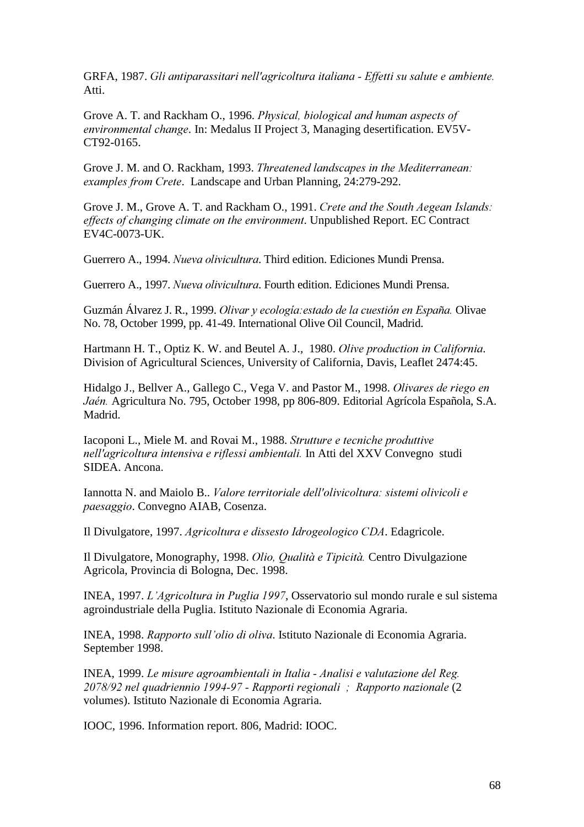GRFA, 1987. *Gli antiparassitari nell'agricoltura italiana - Effetti su salute e ambiente*. Atti.

Grove A. T. and Rackham O., 1996. *Physical, biological and human aspects of environmental change*. In: Medalus II Project 3, Managing desertification. EV5V-CT92-0165.

Grove J. M. and O. Rackham, 1993. *Threatened landscapes in the Mediterranean: examples from Crete.* Landscape and Urban Planning, 24:279-292.

Grove J. M., Grove A. T. and Rackham O., 1991. *Crete and the South Aegean Islands*: *effects of changing climate on the environment*. Unpublished Report. EC Contract EV4C-0073-UK.

Guerrero A., 1994. *Nueva olivicultura*. Third edition. Ediciones Mundi Prensa.

Guerrero A., 1997. *Nueva olivicultura*. Fourth edition. Ediciones Mundi Prensa.

Guzmán Álvarez J. R., 1999. *Olivar y ecología: estado de la cuestión en España*. Olivae No. 78, October 1999, pp. 41-49. International Olive Oil Council, Madrid.

Hartmann H. T., Optiz K. W. and Beutel A. J., 1980. *Olive production in California*. Division of Agricultural Sciences, University of California, Davis, Leaflet 2474:45.

Hidalgo J., Bellver A., Gallego C., Vega V. and Pastor M., 1998. *Olivares de riego en* Jaén. Agricultura No. 795, October 1998, pp 806-809. Editorial Agrícola Española, S.A. Madrid.

Iacoponi L., Miele M. and Rovai M., 1988. *Strutture e tecniche produttive* nell'agricoltura intensiva e riflessi ambientali. In Atti del XXV Convegno studi SIDEA. Ancona.

Iannotta N. and Maiolo B.. *Valore territoriale dell'olivicoltura: sistemi olivicoli e* paesaggio. Convegno AIAB, Cosenza.

Il Divulgatore, 1997. *Agricoltura e dissesto Idrogeologico CDA*. Edagricole.

Il Divulgatore, Monography, 1998. *Olio, Qualità e Tipicità*. Centro Divulgazione Agricola, Provincia di Bologna, Dec. 1998.

INEA, 1997. *L'Agricoltura in Puglia 1997*, Osservatorio sul mondo rurale e sul sistema agroindustriale della Puglia. Istituto Nazionale di Economia Agraria.

INEA, 1998. *Rapporto sull'olio di oliva*. Istituto Nazionale di Economia Agraria. September 1998.

INEA, 1999. *Le misure agroambientali in Italia - Analisi e valutazione del Reg. QOT8/92 nel quadriennio 1994-97 - Rapporti regionali ; Rapporto nazionale (2)* volumes). Istituto Nazionale di Economia Agraria.

IOOC, 1996. Information report. 806, Madrid: IOOC.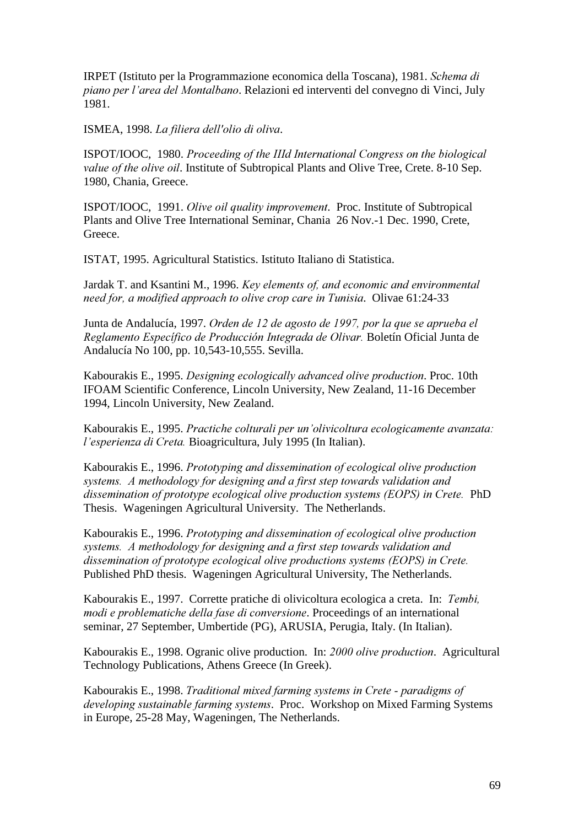IRPET (Istituto per la Programmazione economica della Toscana), 1981. *Schema di piano per l'area del Montalbano.* Relazioni ed interventi del convegno di Vinci, July 1981.

ISMEA, 1998. *La filiera dell'olio di oliva*.

ISPOT/IOOC, 1980. *Proceeding of the IIId International Congress on the biological Value of the olive oil.* Institute of Subtropical Plants and Olive Tree, Crete, 8-10 Sep. 1980, Chania, Greece.

ISPOT/IOOC, 1991. *Olive oil quality improvement*. Proc. Institute of Subtropical Plants and Olive Tree International Seminar, Chania 26 Nov.-1 Dec. 1990, Crete, Greece.

ISTAT, 1995. Agricultural Statistics. Istituto Italiano di Statistica.

Jardak T. and Ksantini M., 1996. *Key elements of, and economic and environmental need for, a modified approach to olive crop care in Tunisia. Olivae 61:24-33* 

Junta de Andalucía, 1997. Orden de 12 de agosto de 1997, por la que se aprueba el Reglamento Específico de Producción Integrada de Olivar. Boletín Oficial Junta de Andalucía No 100, pp. 10,543-10,555. Sevilla.

Kabourakis E., 1995. *Designing ecologically advanced olive production*. Proc. 10th IFOAM Scientific Conference, Lincoln University, New Zealand, 11-16 December 1994, Lincoln University, New Zealand.

Kabourakis E., 1995. *Practiche colturali per un'olivicoltura ecologicamente avanzata: l'esperienza di Creta.* Bioagricultura, July 1995 (In Italian).

Kabourakis E., 1996. *Prototyping and dissemination of ecological olive production Systems. A methodology for designing and a first step towards validation and dissemination of prototype ecological olive production systems (EOPS) in Crete.* PhD Thesis. Wageningen Agricultural University. The Netherlands.

Kabourakis E., 1996. *Prototyping and dissemination of ecological olive production Systems. A methodology for designing and a first step towards validation and dissemination of prototype ecological olive productions systems (EOPS) in Crete.* Published PhD thesis. Wageningen Agricultural University, The Netherlands.

Kabourakis E., 1997. Corrette pratiche di olivicoltura ecologica a creta. In: *Tembi*, *PRGREET Inodie e problematiche della fase di conversione.* Proceedings of an international seminar, 27 September, Umbertide (PG), ARUSIA, Perugia, Italy. (In Italian).

Kabourakis E., 1998. Ogranic olive production. In: 2000 olive production. Agricultural Technology Publications, Athens Greece (In Greek).

Kabourakis E., 1998. *Traditional mixed farming systems in Crete - paradigms of developing sustainable farming systems.* Proc. Workshop on Mixed Farming Systems in Europe, 25-28 May, Wageningen, The Netherlands.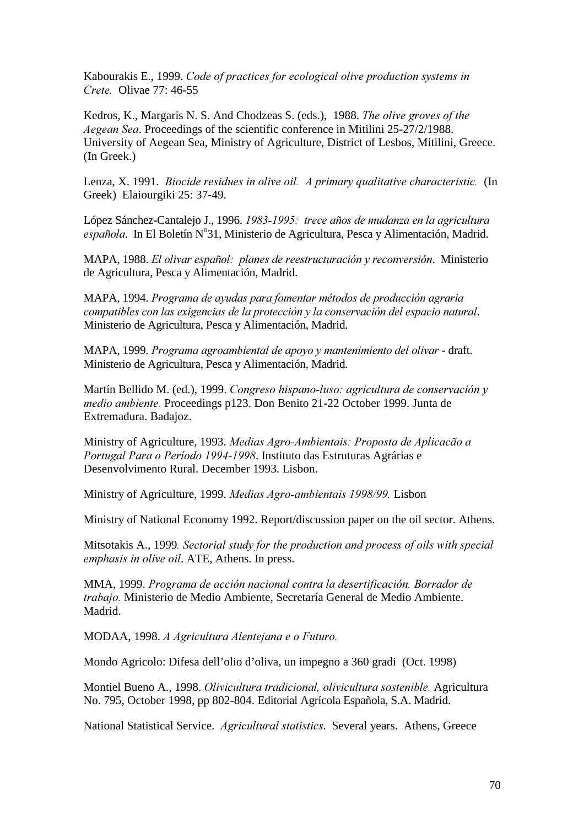Kabourakis E., 1999. *Code of practices for ecological olive production systems in Crete.* Olivae 77: 46-55

Kedros, K., Margaris N. S. And Chodzeas S. (eds.), 1988. *The olive groves of the Aegean Sea.* Proceedings of the scientific conference in Mitilini 25-27/2/1988. University of Aegean Sea, Ministry of Agriculture, District of Lesbos, Mitilini, Greece. (In Greek.)

Lenza, X. 1991. *Biocide residues in olive oil. A primary qualitative characteristic.* (In Greek) Elaiourgiki 25: 37-49.

López Sánchez-Cantalejo J., 1996. *1983-1995: trece años de mudanza en la agricultura* española. In El Boletín Nº31, Ministerio de Agricultura, Pesca y Alimentación, Madrid.

MAPA, 1988. *El olivar español: planes de reestructuración y reconversión*. Ministerio de Agricultura, Pesca y Alimentación, Madrid.

MAPA, 1994. *Programa de ayudas para fomentar métodos de producción agraria Compatibles con las exigencias de la protección y la conservación del espacio natural.* Ministerio de Agricultura, Pesca y Alimentación, Madrid.

MAPA, 1999. *Programa agroambiental de apoyo y mantenimiento del olivar* - draft. Ministerio de Agricultura, Pesca y Alimentación, Madrid.

Martín Bellido M. (ed.), 1999. Congreso hispano-luso: agricultura de conservación y *medio ambiente.* Proceedings p123. Don Benito 21-22 October 1999. Junta de Extremadura. Badajoz.

Ministry of Agriculture, 1993. *Medias Agro-Ambientais: Proposta de Aplicação a Portugal Para o Período 1994-1998*. Instituto das Estruturas Agrárias e Desenvolvimento Rural. December 1993. Lisbon.

Ministry of Agriculture, 1999. *Medias Agro-ambientais 1998/99*. Lisbon

Ministry of National Economy 1992. Report/discussion paper on the oil sector. Athens.

Mitsotakis A., 1999. Sectorial study for the production and process of oils with special *emphasis in olive oil.* ATE, Athens. In press.

MMA, 1999. *Programa de acción nacional contra la desertificación. Borrador de trabajo*. Ministerio de Medio Ambiente, Secretaría General de Medio Ambiente. Madrid.

MODAA, 1998. *A Agricultura Alentejana e o Futuro*.

Mondo Agricolo: Difesa dell'olio d'oliva, un impegno a 360 gradi (Oct. 1998)

Montiel Bueno A., 1998. *Olivicultura tradicional, olivicultura sostenible*. Agricultura No. 795, October 1998, pp 802-804. Editorial Agrícola Española, S.A. Madrid.

National Statistical Service. *Agricultural statistics*. Several years. Athens, Greece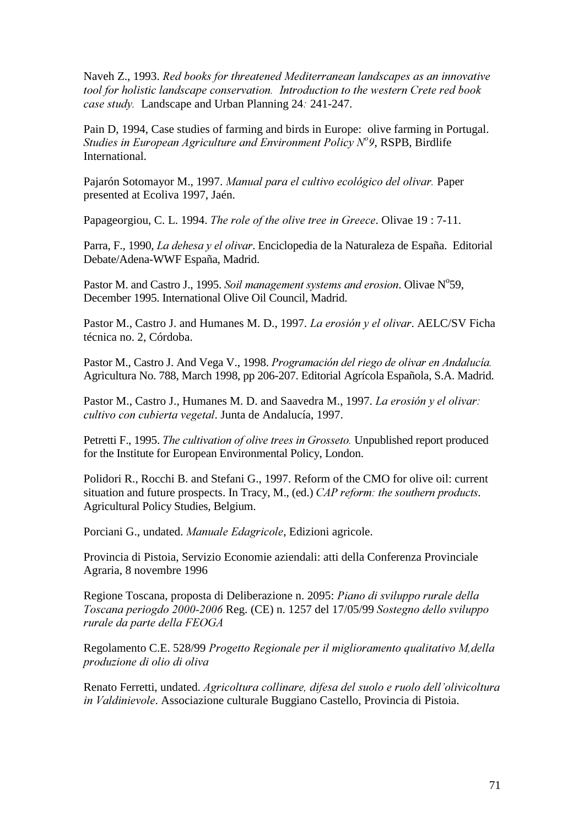Naveh Z., 1993. *Red books for threatened Mediterranean landscapes as an innovative tool for holistic landscape conservation. Introduction to the western Crete red book case study.* Landscape and Urban Planning 24: 241-247.

Pain D, 1994, Case studies of farming and birds in Europe: olive farming in Portugal. Studies in European Agriculture and Environment Policy N<sup>o</sup>9, RSPB, Birdlife International.

Pajarón Sotomayor M., 1997. Manual para el cultivo ecológico del olivar. Paper presented at Ecoliva 1997, Jaén.

Papageorgiou, C. L. 1994. *The role of the olive tree in Greece*. Olivae 19 : 7-11.

Parra, F., 1990, *La dehesa y el olivar*. Enciclopedia de la Naturaleza de España. Editorial Debate/Adena-WWF España, Madrid.

Pastor M. and Castro J., 1995. Soil management systems and erosion. Olivae N°59, December 1995. International Olive Oil Council, Madrid.

Pastor M., Castro J. and Humanes M. D., 1997. *La erosión y el olivar*. AELC/SV Ficha técnica no. 2, Córdoba.

Pastor M., Castro J. And Vega V., 1998. *Programación del riego de olivar en Andalucía*. Agricultura No. 788, March 1998, pp 206-207. Editorial Agrícola Española, S.A. Madrid.

Pastor M., Castro J., Humanes M. D. and Saavedra M., 1997. *La erosión y el olivar*: *Filivo con cubierta vegetal.* Junta de Andalucía, 1997.

Petretti F., 1995. *The cultivation of olive trees in Grosseto*. Unpublished report produced for the Institute for European Environmental Policy, London.

Polidori R., Rocchi B. and Stefani G., 1997. Reform of the CMO for olive oil: current situation and future prospects. In Tracy, M., (ed.) *CAP reform: the southern products.* Agricultural Policy Studies, Belgium.

Porciani G., undated. *Manuale Edagricole*, Edizioni agricole.

Provincia di Pistoia, Servizio Economie aziendali: atti della Conferenza Provinciale Agraria, 8 novembre 1996

Regione Toscana, proposta di Deliberazione n. 2095: *Piano di sviluppo rurale della Toscana periogdo 2000-2006* Reg. (CE) n. 1257 del 17/05/99 *Sostegno dello sviluppo rurale da parte della FEOGA* 

Regolamento C.E. 528/99 *Progetto Regionale per il miglioramento qualitativo M, della* produzione di olio di oliva

Renato Ferretti, undated. *Agricoltura collinare, difesa del suolo e ruolo dell'olivicoltura in Valdinievole.* Associazione culturale Buggiano Castello, Provincia di Pistoia.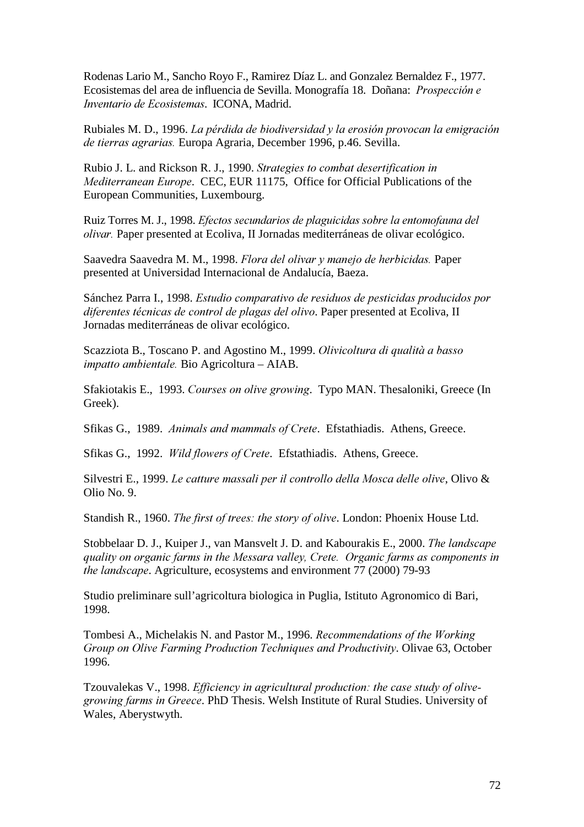Rodenas Lario M., Sancho Royo F., Ramirez Díaz L. and Gonzalez Bernaldez F., 1977. Ecosistemas del area de influencia de Sevilla. Monografía 18. Doñana: *Prospección e Inventario de Ecosistemas. ICONA, Madrid.* 

Rubiales M. D., 1996. *La pérdida de biodiversidad y la erosión provocan la emigración de tierras agrarias.* Europa Agraria, December 1996, p.46. Sevilla.

Rubio J. L. and Rickson R. J., 1990. *Strategies to combat desertification in Mediterranean Europe.* CEC, EUR 11175, Office for Official Publications of the European Communities, Luxembourg.

Ruiz Torres M. J., 1998. *Efectos secundarios de plaguicidas sobre la entomofauna del <i>olivar*. Paper presented at Ecoliva, II Jornadas mediterráneas de olivar ecológico.

Saavedra Saavedra M. M., 1998. *Flora del olivar y manejo de herbicidas*. Paper presented at Universidad Internacional de Andalucía, Baeza.

Sánchez Parra I., 1998. *Estudio comparativo de residuos de pesticidas producidos por diferentes técnicas de control de plagas del olivo*. Paper presented at Ecoliva, II Jornadas mediterráneas de olivar ecológico.

Scazziota B., Toscano P. and Agostino M., 1999. *Olivicoltura di qualità a basso impatto ambientale.* Bio Agricoltura – AIAB.

Sfakiotakis E., 1993. *Courses on olive growing*. Typo MAN. Thesaloniki, Greece (In Greek).

Sfikas G., 1989. *Animals and mammals of Crete*. Efstathiadis. Athens, Greece.

Sfikas G., 1992. *Wild flowers of Crete*. Efstathiadis. Athens, Greece.

Silvestri E., 1999. *Le catture massali per il controllo della Mosca delle olive*, Olivo & Olio No. 9.

Standish R., 1960. *The first of trees: the story of olive*. London: Phoenix House Ltd.

Stobbelaar D. J., Kuiper J., van Mansvelt J. D. and Kabourakis E., 2000. *The landscape* quality on organic farms in the Messara valley, Crete. Organic farms as components in *the landscape.* Agriculture, ecosystems and environment 77 (2000) 79-93

Studio preliminare sull'agricoltura biologica in Puglia, Istituto Agronomico di Bari, 1998.

Tombesi A., Michelakis N. and Pastor M., 1996. *Recommendations of the Working* Group on Olive Farming Production Techniques and Productivity. Olivae 63, October 1996.

Tzouvalekas V., 1998. *Efficiency in agricultural production: the case study of olive*growing farms in Greece. PhD Thesis. Welsh Institute of Rural Studies. University of Wales, Aberystwyth.